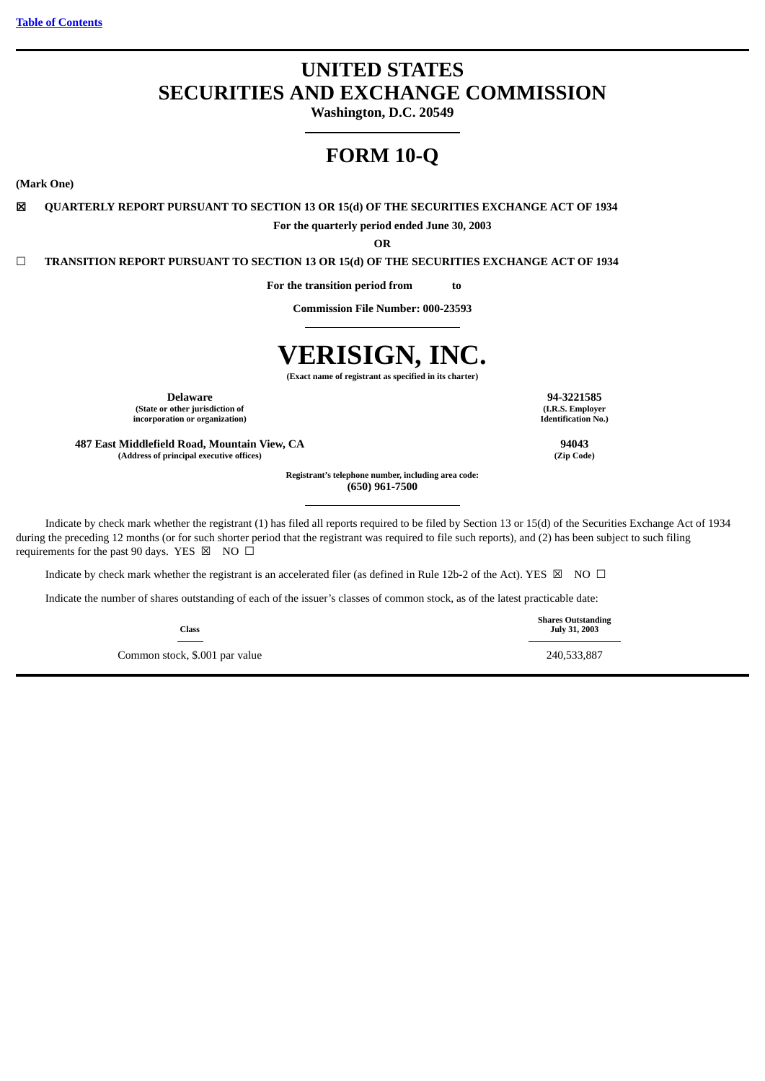## **UNITED STATES SECURITIES AND EXCHANGE COMMISSION**

**Washington, D.C. 20549**

## **FORM 10-Q**

**(Mark One)**

☒ **QUARTERLY REPORT PURSUANT TO SECTION 13 OR 15(d) OF THE SECURITIES EXCHANGE ACT OF 1934 For the quarterly period ended June 30, 2003**

**OR**

☐ **TRANSITION REPORT PURSUANT TO SECTION 13 OR 15(d) OF THE SECURITIES EXCHANGE ACT OF 1934**

**For the transition period from to** 

**Commission File Number: 000-23593**

# **VERISIGN, INC.**

**(Exact name of registrant as specified in its charter)**

**Delaware 94-3221585 (State or other jurisdiction of incorporation or organization)**

**487 East Middlefield Road, Mountain View, CA 94043 (Address of principal executive offices) (Zip Code)**

> **Registrant's telephone number, including area code: (650) 961-7500**

Indicate by check mark whether the registrant (1) has filed all reports required to be filed by Section 13 or 15(d) of the Securities Exchange Act of 1934

during the preceding 12 months (or for such shorter period that the registrant was required to file such reports), and (2) has been subject to such filing requirements for the past 90 days. YES  $\boxtimes$  NO  $\Box$ 

Indicate by check mark whether the registrant is an accelerated filer (as defined in Rule 12b-2 of the Act). YES  $\boxtimes$  NO  $\Box$ 

Indicate the number of shares outstanding of each of the issuer's classes of common stock, as of the latest practicable date:

**Class**

Common stock, \$.001 par value 240,533,887

**(I.R.S. Employer Identification No.)**

**Shares Outstanding July 31, 2003**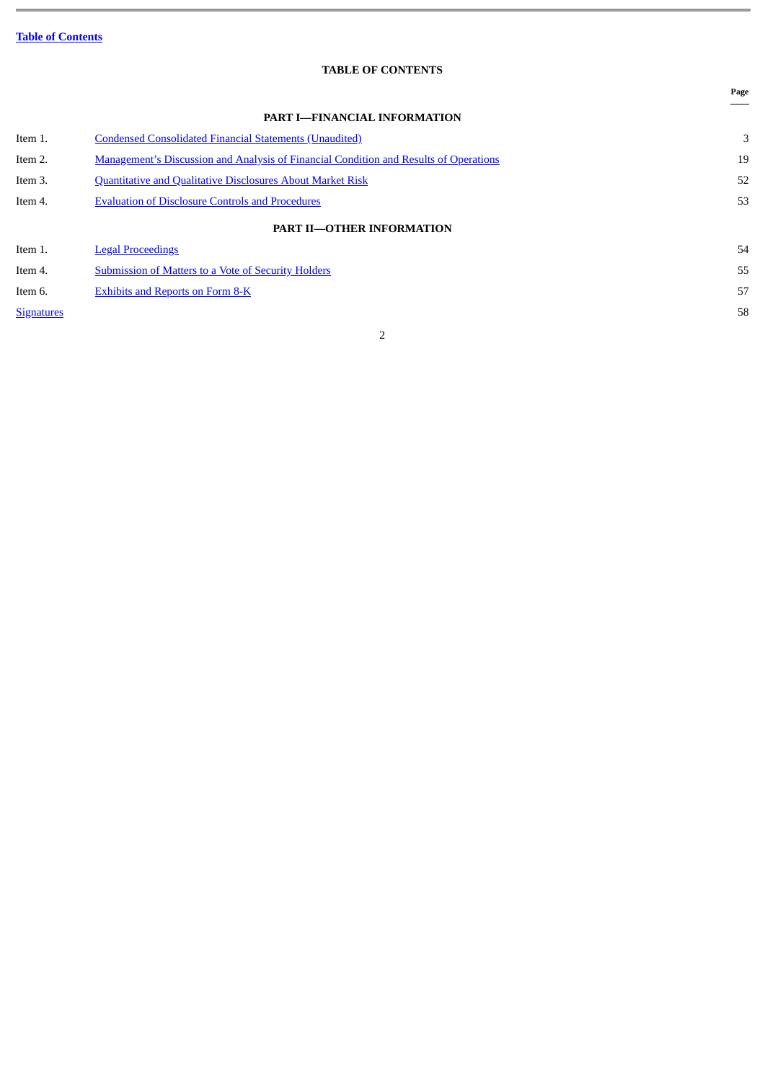## **TABLE OF CONTENTS**

<span id="page-1-0"></span>

|                   |                                                                                       | Page |
|-------------------|---------------------------------------------------------------------------------------|------|
|                   | <b>PART I-FINANCIAL INFORMATION</b>                                                   |      |
| Item 1.           | <b>Condensed Consolidated Financial Statements (Unaudited)</b>                        | 3    |
| Item 2.           | Management's Discussion and Analysis of Financial Condition and Results of Operations | 19   |
| Item 3.           | <b>Quantitative and Qualitative Disclosures About Market Risk</b>                     | 52   |
| Item 4.           | <b>Evaluation of Disclosure Controls and Procedures</b>                               | 53   |
|                   | <b>PART II-OTHER INFORMATION</b>                                                      |      |
| Item 1.           | <b>Legal Proceedings</b>                                                              | 54   |
| Item 4.           | Submission of Matters to a Vote of Security Holders                                   | 55   |
| Item 6.           | <b>Exhibits and Reports on Form 8-K</b>                                               | 57   |
| <b>Signatures</b> |                                                                                       | 58   |
|                   |                                                                                       |      |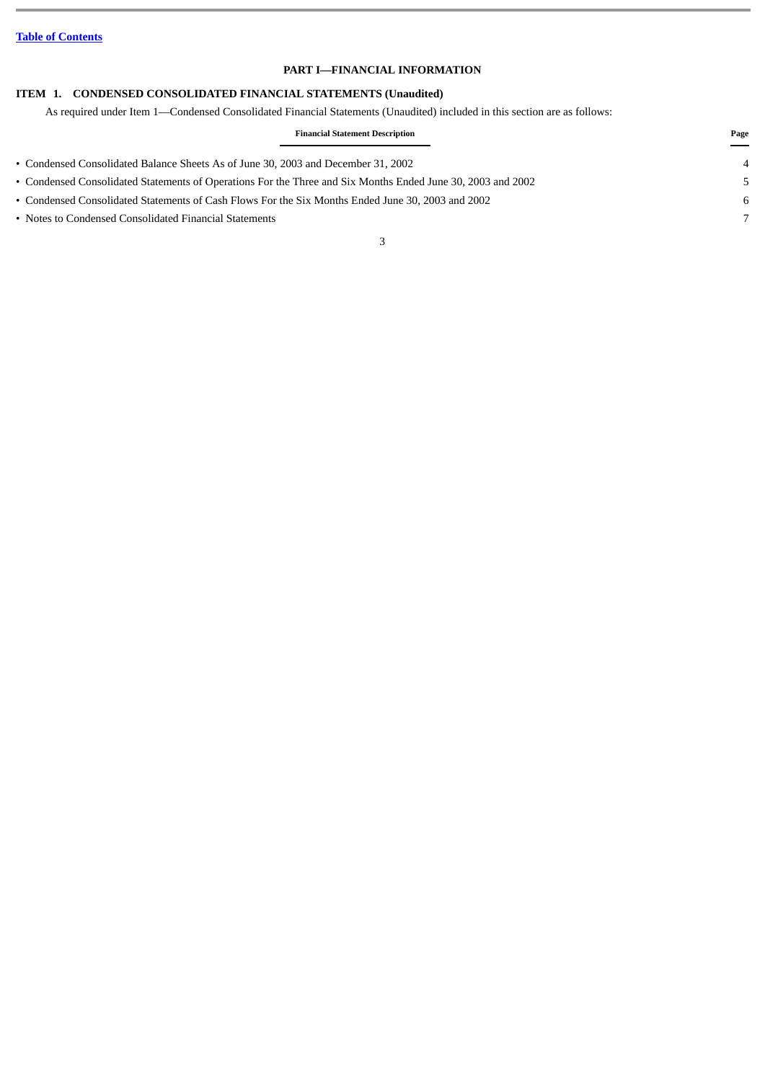## **PART I—FINANCIAL INFORMATION**

## <span id="page-2-0"></span>**ITEM 1. CONDENSED CONSOLIDATED FINANCIAL STATEMENTS (Unaudited)**

As required under Item 1—Condensed Consolidated Financial Statements (Unaudited) included in this section are as follows:

| <b>Financial Statement Description</b>                                                                    | Page           |
|-----------------------------------------------------------------------------------------------------------|----------------|
| • Condensed Consolidated Balance Sheets As of June 30, 2003 and December 31, 2002                         | $\overline{4}$ |
| Condensed Consolidated Statements of Operations For the Three and Six Months Ended June 30, 2003 and 2002 | 5              |
| Condensed Consolidated Statements of Cash Flows For the Six Months Ended June 30, 2003 and 2002           | 6              |
| • Notes to Condensed Consolidated Financial Statements                                                    | 7              |
|                                                                                                           |                |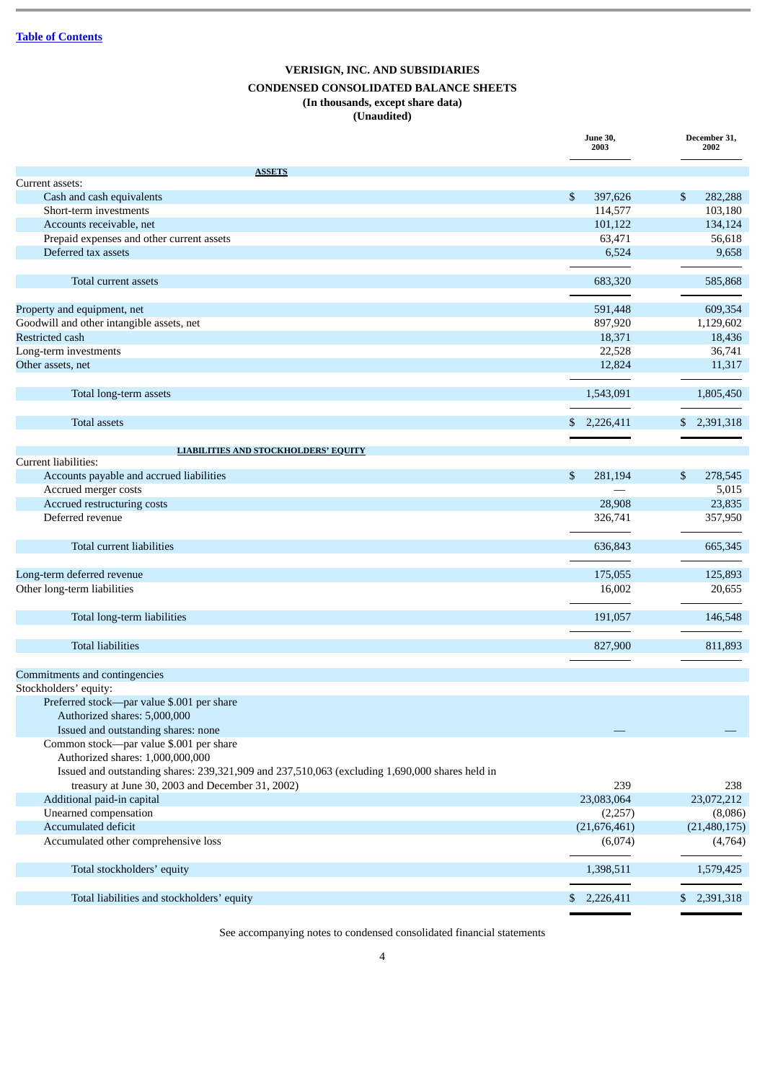## **VERISIGN, INC. AND SUBSIDIARIES CONDENSED CONSOLIDATED BALANCE SHEETS (In thousands, except share data) (Unaudited)**

|                                                                                                |                | <b>June 30,</b><br>2003 | December 31,<br>2002 |  |
|------------------------------------------------------------------------------------------------|----------------|-------------------------|----------------------|--|
| <b>ASSETS</b>                                                                                  |                |                         |                      |  |
| Current assets:                                                                                |                |                         |                      |  |
| Cash and cash equivalents                                                                      | $\mathfrak{s}$ | 397,626                 | \$<br>282,288        |  |
| Short-term investments                                                                         |                | 114,577                 | 103,180              |  |
| Accounts receivable, net                                                                       |                | 101,122                 | 134,124              |  |
| Prepaid expenses and other current assets                                                      |                | 63,471                  | 56,618               |  |
| Deferred tax assets                                                                            |                | 6,524                   | 9,658                |  |
| Total current assets                                                                           |                | 683,320                 | 585,868              |  |
| Property and equipment, net                                                                    |                | 591,448                 | 609,354              |  |
| Goodwill and other intangible assets, net                                                      |                | 897,920                 | 1,129,602            |  |
| Restricted cash                                                                                |                | 18,371                  | 18,436               |  |
| Long-term investments                                                                          |                | 22,528                  | 36,741               |  |
| Other assets, net                                                                              |                | 12,824                  | 11,317               |  |
|                                                                                                |                |                         |                      |  |
| Total long-term assets                                                                         |                | 1,543,091               | 1,805,450            |  |
|                                                                                                |                |                         |                      |  |
| <b>Total assets</b>                                                                            |                | \$2,226,411             | \$2,391,318          |  |
| <b>LIABILITIES AND STOCKHOLDERS' EQUITY</b>                                                    |                |                         |                      |  |
| Current liabilities:                                                                           |                |                         |                      |  |
| Accounts payable and accrued liabilities                                                       | \$             | 281,194                 | \$<br>278,545        |  |
| Accrued merger costs                                                                           |                |                         | 5,015                |  |
| Accrued restructuring costs                                                                    |                | 28,908                  | 23,835               |  |
| Deferred revenue                                                                               |                | 326,741                 | 357,950              |  |
| Total current liabilities                                                                      |                | 636,843                 | 665,345              |  |
|                                                                                                |                |                         |                      |  |
| Long-term deferred revenue                                                                     |                | 175,055                 | 125,893              |  |
| Other long-term liabilities                                                                    |                | 16,002                  | 20,655               |  |
| Total long-term liabilities                                                                    |                | 191,057                 | 146,548              |  |
|                                                                                                |                |                         |                      |  |
| <b>Total liabilities</b>                                                                       |                | 827,900                 | 811,893              |  |
| Commitments and contingencies                                                                  |                |                         |                      |  |
| Stockholders' equity:                                                                          |                |                         |                      |  |
| Preferred stock—par value \$.001 per share<br>Authorized shares: 5,000,000                     |                |                         |                      |  |
| Issued and outstanding shares: none                                                            |                |                         |                      |  |
| Common stock-par value \$.001 per share                                                        |                |                         |                      |  |
| Authorized shares: 1,000,000,000                                                               |                |                         |                      |  |
| Issued and outstanding shares: 239,321,909 and 237,510,063 (excluding 1,690,000 shares held in |                |                         |                      |  |
| treasury at June 30, 2003 and December 31, 2002)                                               |                | 239                     | 238                  |  |
| Additional paid-in capital                                                                     |                | 23,083,064              | 23,072,212           |  |
| Unearned compensation                                                                          |                | (2,257)                 | (8,086)              |  |
| Accumulated deficit                                                                            |                | (21, 676, 461)          | (21, 480, 175)       |  |
| Accumulated other comprehensive loss                                                           |                | (6,074)                 | (4,764)              |  |
| Total stockholders' equity                                                                     |                | 1,398,511               | 1,579,425            |  |
| Total liabilities and stockholders' equity                                                     |                |                         |                      |  |
|                                                                                                |                | \$2,226,411             | \$2,391,318          |  |

See accompanying notes to condensed consolidated financial statements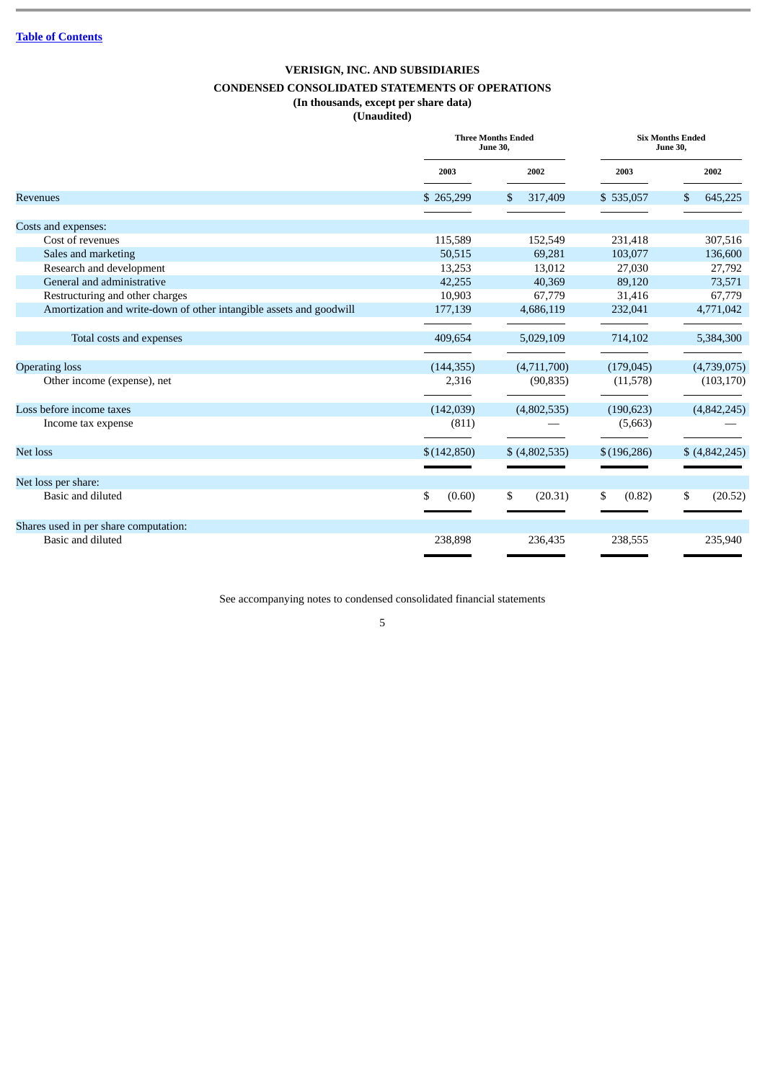## **VERISIGN, INC. AND SUBSIDIARIES CONDENSED CONSOLIDATED STATEMENTS OF OPERATIONS (In thousands, except per share data) (Unaudited)**

|                                                                     |              | <b>Three Months Ended</b><br><b>June 30,</b> |              | <b>Six Months Ended</b><br><b>June 30,</b> |  |  |
|---------------------------------------------------------------------|--------------|----------------------------------------------|--------------|--------------------------------------------|--|--|
|                                                                     | 2003         | 2002                                         | 2003         | 2002                                       |  |  |
| <b>Revenues</b>                                                     | \$265,299    | 317,409<br>S.                                | \$535,057    | 645,225<br>S.                              |  |  |
| Costs and expenses:                                                 |              |                                              |              |                                            |  |  |
| Cost of revenues                                                    | 115,589      | 152,549                                      | 231,418      | 307,516                                    |  |  |
| Sales and marketing                                                 | 50,515       | 69,281                                       | 103,077      | 136,600                                    |  |  |
| Research and development                                            | 13,253       | 13,012                                       | 27,030       | 27,792                                     |  |  |
| General and administrative                                          | 42,255       | 40,369                                       | 89,120       | 73,571                                     |  |  |
| Restructuring and other charges                                     | 10,903       | 67,779                                       | 31,416       | 67,779                                     |  |  |
| Amortization and write-down of other intangible assets and goodwill | 177,139      | 4,686,119                                    | 232,041      | 4,771,042                                  |  |  |
|                                                                     |              |                                              |              |                                            |  |  |
| Total costs and expenses                                            | 409.654      | 5,029,109                                    | 714,102      | 5,384,300                                  |  |  |
|                                                                     |              |                                              |              |                                            |  |  |
| <b>Operating loss</b>                                               | (144, 355)   | (4,711,700)                                  | (179, 045)   | (4,739,075)                                |  |  |
| Other income (expense), net                                         | 2,316        | (90, 835)                                    | (11,578)     | (103, 170)                                 |  |  |
| Loss before income taxes                                            | (142, 039)   | (4,802,535)                                  | (190, 623)   | (4,842,245)                                |  |  |
| Income tax expense                                                  | (811)        |                                              | (5,663)      |                                            |  |  |
| Net loss                                                            | \$(142, 850) | \$ (4,802,535)                               | \$(196, 286) | \$ (4,842,245)                             |  |  |
|                                                                     |              |                                              |              |                                            |  |  |
| Net loss per share:                                                 |              |                                              |              |                                            |  |  |
| Basic and diluted                                                   | (0.60)       | \$<br>(20.31)                                | (0.82)       | \$<br>(20.52)                              |  |  |
|                                                                     |              |                                              |              |                                            |  |  |
| Shares used in per share computation:<br>Basic and diluted          | 238,898      | 236,435                                      | 238,555      |                                            |  |  |
|                                                                     |              |                                              |              | 235,940                                    |  |  |

See accompanying notes to condensed consolidated financial statements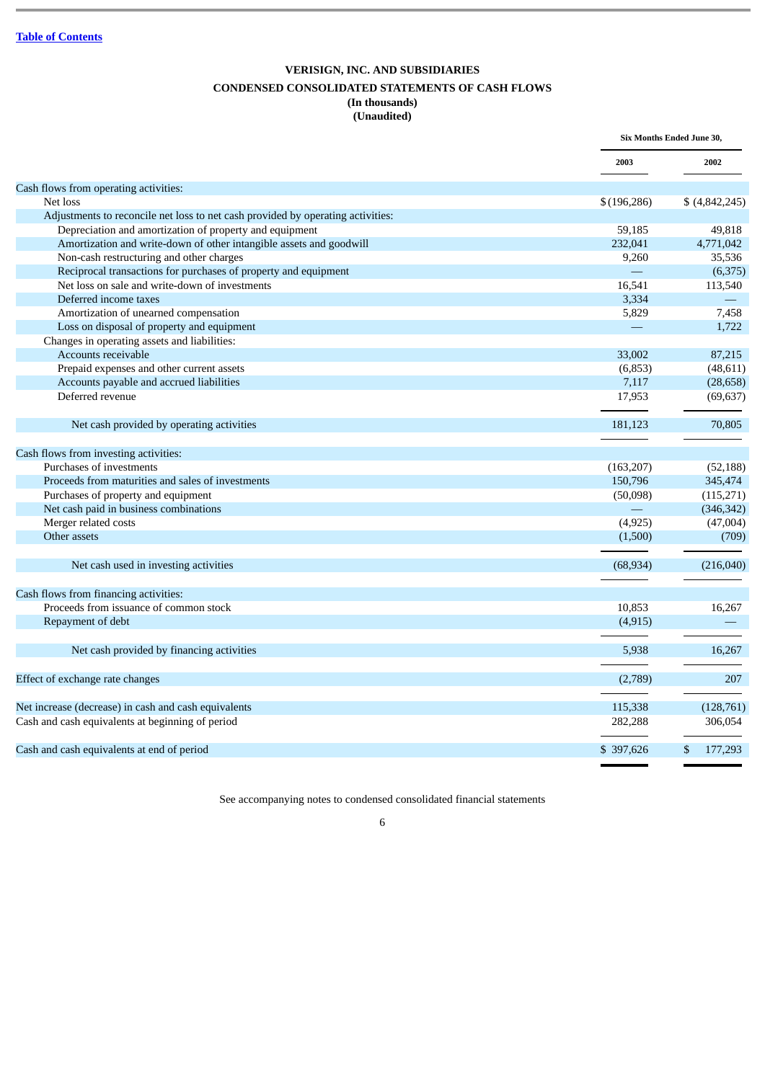## **VERISIGN, INC. AND SUBSIDIARIES CONDENSED CONSOLIDATED STATEMENTS OF CASH FLOWS (In thousands) (Unaudited)**

|                                                                                 |                   | Six Months Ended June 30, |
|---------------------------------------------------------------------------------|-------------------|---------------------------|
|                                                                                 | 2003              | 2002                      |
| Cash flows from operating activities:                                           |                   |                           |
| Net loss                                                                        | \$(196, 286)      | \$ (4,842,245)            |
| Adjustments to reconcile net loss to net cash provided by operating activities: |                   |                           |
| Depreciation and amortization of property and equipment                         | 59,185            | 49,818                    |
| Amortization and write-down of other intangible assets and goodwill             | 232,041           | 4,771,042                 |
| Non-cash restructuring and other charges                                        | 9,260             | 35,536                    |
| Reciprocal transactions for purchases of property and equipment                 | $\qquad \qquad =$ | (6,375)                   |
| Net loss on sale and write-down of investments                                  | 16,541            | 113,540                   |
| Deferred income taxes                                                           | 3,334             |                           |
| Amortization of unearned compensation                                           | 5,829             | 7,458                     |
| Loss on disposal of property and equipment                                      |                   | 1.722                     |
| Changes in operating assets and liabilities:                                    |                   |                           |
| Accounts receivable                                                             | 33,002            | 87,215                    |
| Prepaid expenses and other current assets                                       | (6, 853)          | (48, 611)                 |
| Accounts payable and accrued liabilities                                        | 7,117             | (28, 658)                 |
| Deferred revenue                                                                | 17,953            | (69, 637)                 |
| Net cash provided by operating activities                                       | 181,123           | 70,805                    |
| Cash flows from investing activities:                                           |                   |                           |
| Purchases of investments                                                        | (163, 207)        | (52, 188)                 |
| Proceeds from maturities and sales of investments                               | 150,796           | 345,474                   |
| Purchases of property and equipment                                             | (50,098)          | (115, 271)                |
| Net cash paid in business combinations                                          |                   | (346, 342)                |
| Merger related costs                                                            | (4,925)           | (47,004)                  |
| Other assets                                                                    | (1,500)           | (709)                     |
| Net cash used in investing activities                                           | (68, 934)         | (216,040)                 |
| Cash flows from financing activities:                                           |                   |                           |
| Proceeds from issuance of common stock                                          | 10,853            | 16,267                    |
| Repayment of debt                                                               | (4, 915)          |                           |
| Net cash provided by financing activities                                       | 5.938             | 16,267                    |
| Effect of exchange rate changes                                                 | (2,789)           | 207                       |
| Net increase (decrease) in cash and cash equivalents                            | 115,338           | (128,761)                 |
| Cash and cash equivalents at beginning of period                                | 282,288           | 306,054                   |
| Cash and cash equivalents at end of period                                      | \$397,626         | \$<br>177,293             |
|                                                                                 |                   |                           |

See accompanying notes to condensed consolidated financial statements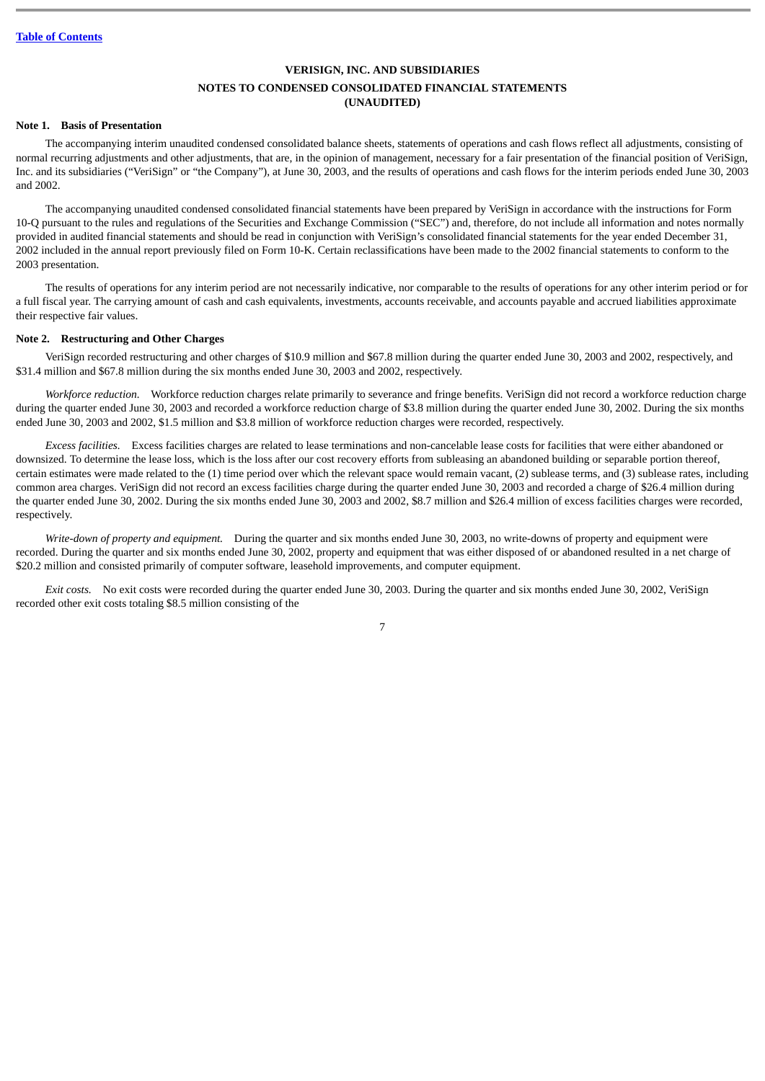## **VERISIGN, INC. AND SUBSIDIARIES NOTES TO CONDENSED CONSOLIDATED FINANCIAL STATEMENTS (UNAUDITED)**

## **Note 1. Basis of Presentation**

The accompanying interim unaudited condensed consolidated balance sheets, statements of operations and cash flows reflect all adjustments, consisting of normal recurring adjustments and other adjustments, that are, in the opinion of management, necessary for a fair presentation of the financial position of VeriSign, Inc. and its subsidiaries ("VeriSign" or "the Company"), at June 30, 2003, and the results of operations and cash flows for the interim periods ended June 30, 2003 and 2002.

The accompanying unaudited condensed consolidated financial statements have been prepared by VeriSign in accordance with the instructions for Form 10-Q pursuant to the rules and regulations of the Securities and Exchange Commission ("SEC") and, therefore, do not include all information and notes normally provided in audited financial statements and should be read in conjunction with VeriSign's consolidated financial statements for the year ended December 31, 2002 included in the annual report previously filed on Form 10-K. Certain reclassifications have been made to the 2002 financial statements to conform to the 2003 presentation.

The results of operations for any interim period are not necessarily indicative, nor comparable to the results of operations for any other interim period or for a full fiscal year. The carrying amount of cash and cash equivalents, investments, accounts receivable, and accounts payable and accrued liabilities approximate their respective fair values.

#### **Note 2. Restructuring and Other Charges**

VeriSign recorded restructuring and other charges of \$10.9 million and \$67.8 million during the quarter ended June 30, 2003 and 2002, respectively, and \$31.4 million and \$67.8 million during the six months ended June 30, 2003 and 2002, respectively.

*Workforce reduction.* Workforce reduction charges relate primarily to severance and fringe benefits. VeriSign did not record a workforce reduction charge during the quarter ended June 30, 2003 and recorded a workforce reduction charge of \$3.8 million during the quarter ended June 30, 2002. During the six months ended June 30, 2003 and 2002, \$1.5 million and \$3.8 million of workforce reduction charges were recorded, respectively.

*Excess facilities.* Excess facilities charges are related to lease terminations and non-cancelable lease costs for facilities that were either abandoned or downsized. To determine the lease loss, which is the loss after our cost recovery efforts from subleasing an abandoned building or separable portion thereof, certain estimates were made related to the (1) time period over which the relevant space would remain vacant, (2) sublease terms, and (3) sublease rates, including common area charges. VeriSign did not record an excess facilities charge during the quarter ended June 30, 2003 and recorded a charge of \$26.4 million during the quarter ended June 30, 2002. During the six months ended June 30, 2003 and 2002, \$8.7 million and \$26.4 million of excess facilities charges were recorded, respectively.

*Write-down of property and equipment.* During the quarter and six months ended June 30, 2003, no write-downs of property and equipment were recorded. During the quarter and six months ended June 30, 2002, property and equipment that was either disposed of or abandoned resulted in a net charge of \$20.2 million and consisted primarily of computer software, leasehold improvements, and computer equipment.

*Exit costs.* No exit costs were recorded during the quarter ended June 30, 2003. During the quarter and six months ended June 30, 2002, VeriSign recorded other exit costs totaling \$8.5 million consisting of the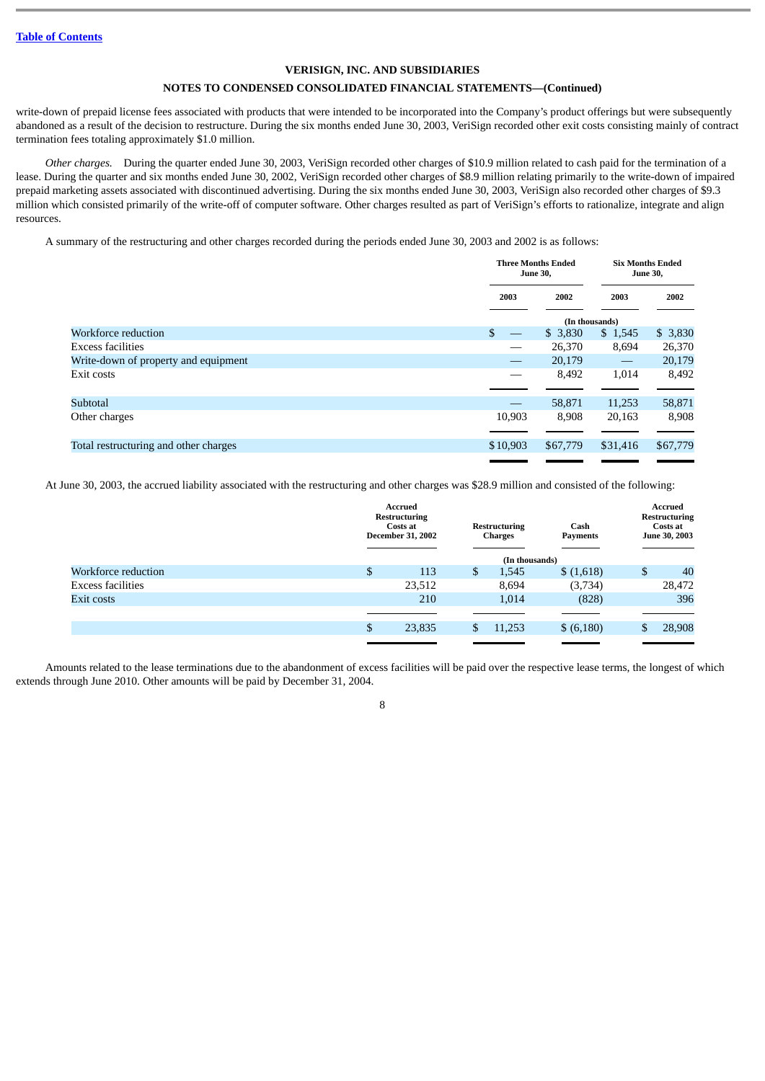## **NOTES TO CONDENSED CONSOLIDATED FINANCIAL STATEMENTS—(Continued)**

write-down of prepaid license fees associated with products that were intended to be incorporated into the Company's product offerings but were subsequently abandoned as a result of the decision to restructure. During the six months ended June 30, 2003, VeriSign recorded other exit costs consisting mainly of contract termination fees totaling approximately \$1.0 million.

*Other charges.* During the quarter ended June 30, 2003, VeriSign recorded other charges of \$10.9 million related to cash paid for the termination of a lease. During the quarter and six months ended June 30, 2002, VeriSign recorded other charges of \$8.9 million relating primarily to the write-down of impaired prepaid marketing assets associated with discontinued advertising. During the six months ended June 30, 2003, VeriSign also recorded other charges of \$9.3 million which consisted primarily of the write-off of computer software. Other charges resulted as part of VeriSign's efforts to rationalize, integrate and align resources.

A summary of the restructuring and other charges recorded during the periods ended June 30, 2003 and 2002 is as follows:

|                                       |          | <b>Three Months Ended</b><br><b>June 30,</b> |                | <b>Six Months Ended</b><br><b>June 30,</b> |  |  |  |  |  |      |  |  |  |      |
|---------------------------------------|----------|----------------------------------------------|----------------|--------------------------------------------|--|--|--|--|--|------|--|--|--|------|
|                                       | 2003     | 2002                                         |                |                                            |  |  |  |  |  | 2003 |  |  |  | 2002 |
|                                       |          |                                              | (In thousands) |                                            |  |  |  |  |  |      |  |  |  |      |
| Workforce reduction                   | \$       | \$3,830                                      | \$1,545        | \$3,830                                    |  |  |  |  |  |      |  |  |  |      |
| Excess facilities                     |          | 26,370                                       | 8,694          | 26,370                                     |  |  |  |  |  |      |  |  |  |      |
| Write-down of property and equipment  |          | 20,179                                       |                | 20,179                                     |  |  |  |  |  |      |  |  |  |      |
| Exit costs                            |          | 8,492                                        | 1,014          | 8,492                                      |  |  |  |  |  |      |  |  |  |      |
|                                       |          |                                              |                |                                            |  |  |  |  |  |      |  |  |  |      |
| Subtotal                              |          | 58,871                                       | 11,253         | 58,871                                     |  |  |  |  |  |      |  |  |  |      |
| Other charges                         | 10,903   | 8,908                                        | 20,163         | 8,908                                      |  |  |  |  |  |      |  |  |  |      |
|                                       |          |                                              |                |                                            |  |  |  |  |  |      |  |  |  |      |
| Total restructuring and other charges | \$10,903 | \$67,779                                     | \$31,416       | \$67,779                                   |  |  |  |  |  |      |  |  |  |      |
|                                       |          |                                              |                |                                            |  |  |  |  |  |      |  |  |  |      |

At June 30, 2003, the accrued liability associated with the restructuring and other charges was \$28.9 million and consisted of the following:

|                     | <b>Accrued</b><br><b>Restructuring</b><br>Costs at<br><b>December 31, 2002</b> | <b>Restructuring</b><br><b>Charges</b> | Cash<br><b>Payments</b> | <b>Accrued</b><br><b>Restructuring</b><br>Costs at<br>June 30, 2003 |
|---------------------|--------------------------------------------------------------------------------|----------------------------------------|-------------------------|---------------------------------------------------------------------|
|                     |                                                                                | (In thousands)                         |                         |                                                                     |
| Workforce reduction | \$<br>113                                                                      | \$<br>1,545                            | \$(1,618)               | \$<br>40                                                            |
| Excess facilities   | 23,512                                                                         | 8,694                                  | (3,734)                 | 28,472                                                              |
| Exit costs          | 210                                                                            | 1,014                                  | (828)                   | 396                                                                 |
|                     |                                                                                |                                        |                         |                                                                     |
|                     | \$<br>23,835                                                                   | \$<br>11,253                           | \$ (6,180)              | \$<br>28,908                                                        |
|                     |                                                                                |                                        |                         |                                                                     |

Amounts related to the lease terminations due to the abandonment of excess facilities will be paid over the respective lease terms, the longest of which extends through June 2010. Other amounts will be paid by December 31, 2004.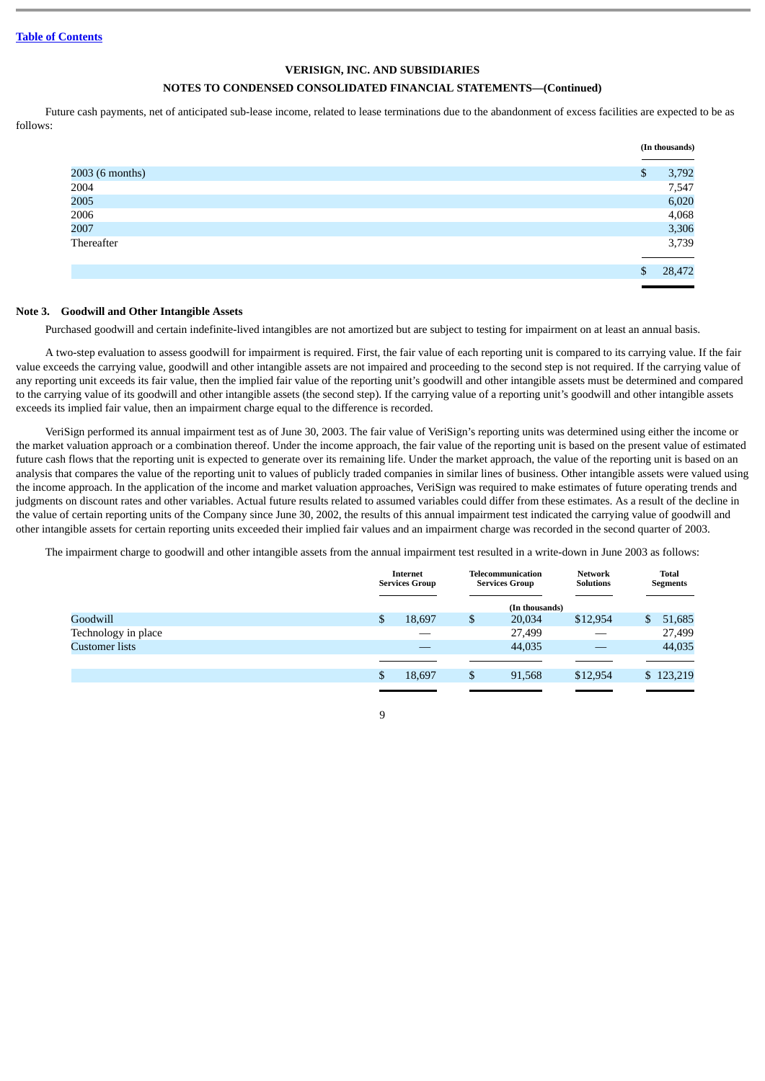## **NOTES TO CONDENSED CONSOLIDATED FINANCIAL STATEMENTS—(Continued)**

Future cash payments, net of anticipated sub-lease income, related to lease terminations due to the abandonment of excess facilities are expected to be as follows:

|                 | (In thousands) |  |
|-----------------|----------------|--|
| 2003 (6 months) | \$<br>3,792    |  |
| 2004            | 7,547          |  |
| 2005            | 6,020          |  |
| 2006            | 4,068          |  |
| 2007            | 3,306          |  |
| Thereafter      | 3,739          |  |
|                 | \$<br>28,472   |  |

## **Note 3. Goodwill and Other Intangible Assets**

Purchased goodwill and certain indefinite-lived intangibles are not amortized but are subject to testing for impairment on at least an annual basis.

A two-step evaluation to assess goodwill for impairment is required. First, the fair value of each reporting unit is compared to its carrying value. If the fair value exceeds the carrying value, goodwill and other intangible assets are not impaired and proceeding to the second step is not required. If the carrying value of any reporting unit exceeds its fair value, then the implied fair value of the reporting unit's goodwill and other intangible assets must be determined and compared to the carrying value of its goodwill and other intangible assets (the second step). If the carrying value of a reporting unit's goodwill and other intangible assets exceeds its implied fair value, then an impairment charge equal to the difference is recorded.

VeriSign performed its annual impairment test as of June 30, 2003. The fair value of VeriSign's reporting units was determined using either the income or the market valuation approach or a combination thereof. Under the income approach, the fair value of the reporting unit is based on the present value of estimated future cash flows that the reporting unit is expected to generate over its remaining life. Under the market approach, the value of the reporting unit is based on an analysis that compares the value of the reporting unit to values of publicly traded companies in similar lines of business. Other intangible assets were valued using the income approach. In the application of the income and market valuation approaches, VeriSign was required to make estimates of future operating trends and judgments on discount rates and other variables. Actual future results related to assumed variables could differ from these estimates. As a result of the decline in the value of certain reporting units of the Company since June 30, 2002, the results of this annual impairment test indicated the carrying value of goodwill and other intangible assets for certain reporting units exceeded their implied fair values and an impairment charge was recorded in the second quarter of 2003.

The impairment charge to goodwill and other intangible assets from the annual impairment test resulted in a write-down in June 2003 as follows:

|                       | Telecommunication<br>Internet<br><b>Services Group</b><br><b>Services Group</b> |    |                | <b>Network</b><br><b>Solutions</b> | <b>Total</b><br><b>Segments</b> |
|-----------------------|---------------------------------------------------------------------------------|----|----------------|------------------------------------|---------------------------------|
|                       |                                                                                 |    | (In thousands) |                                    |                                 |
| Goodwill              | \$<br>18,697                                                                    | \$ | 20,034         | \$12,954                           | 51,685                          |
| Technology in place   |                                                                                 |    | 27,499         |                                    | 27,499                          |
| <b>Customer</b> lists |                                                                                 |    | 44,035         |                                    | 44,035                          |
|                       |                                                                                 |    |                |                                    |                                 |
|                       | \$<br>18,697                                                                    | \$ | 91,568         | \$12,954                           | \$123,219                       |
|                       |                                                                                 |    |                |                                    |                                 |

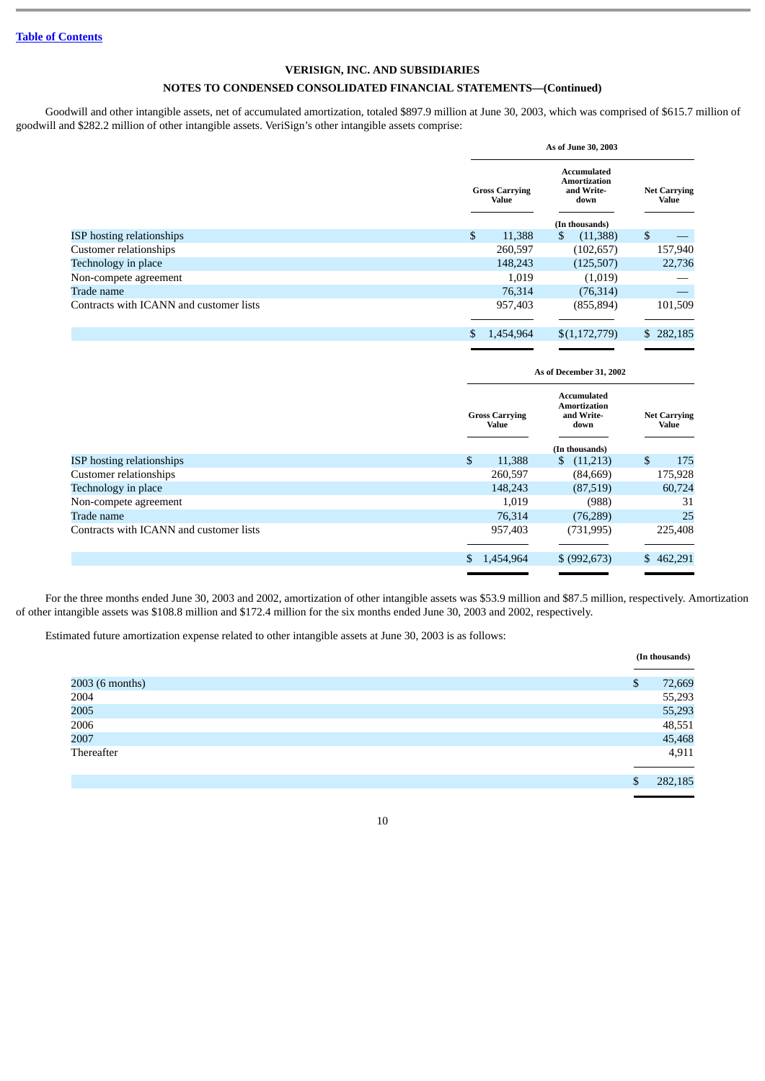## **NOTES TO CONDENSED CONSOLIDATED FINANCIAL STATEMENTS—(Continued)**

Goodwill and other intangible assets, net of accumulated amortization, totaled \$897.9 million at June 30, 2003, which was comprised of \$615.7 million of goodwill and \$282.2 million of other intangible assets. VeriSign's other intangible assets comprise:

|                                         | As of June 30, 2003 |                                       |   |                                                                                   |                              |           |
|-----------------------------------------|---------------------|---------------------------------------|---|-----------------------------------------------------------------------------------|------------------------------|-----------|
|                                         |                     | <b>Gross Carrying</b><br><b>Value</b> |   | <b>Accumulated</b><br><b>Amortization</b><br>and Write-<br>down<br>(In thousands) | <b>Net Carrying</b><br>Value |           |
| ISP hosting relationships               | \$                  | 11,388                                | S | (11,388)                                                                          | <sup>\$</sup>                |           |
| Customer relationships                  |                     | 260,597                               |   | (102, 657)                                                                        |                              | 157,940   |
| Technology in place                     |                     | 148,243                               |   | (125,507)                                                                         |                              | 22,736    |
| Non-compete agreement                   |                     | 1,019                                 |   | (1,019)                                                                           |                              |           |
| Trade name                              |                     | 76,314                                |   | (76, 314)                                                                         |                              |           |
| Contracts with ICANN and customer lists |                     | 957,403                               |   | (855, 894)                                                                        |                              | 101,509   |
|                                         |                     | 1,454,964                             |   | \$(1,172,779)                                                                     |                              | \$282,185 |

|                                         |                 | As of December 31, 2002                                  |                              |                                       |     |                              |  |
|-----------------------------------------|-----------------|----------------------------------------------------------|------------------------------|---------------------------------------|-----|------------------------------|--|
|                                         |                 | Accumulated<br><b>Amortization</b><br>and Write-<br>down |                              | <b>Gross Carrying</b><br><b>Value</b> |     | <b>Net Carrying</b><br>Value |  |
| ISP hosting relationships               | \$              | 11,388                                                   | (In thousands)<br>\$(11,213) | \$                                    | 175 |                              |  |
| Customer relationships                  |                 | 260,597                                                  | (84,669)                     | 175,928                               |     |                              |  |
| Technology in place                     |                 | 148,243                                                  | (87,519)                     | 60,724                                |     |                              |  |
| Non-compete agreement                   |                 | 1,019                                                    | (988)                        |                                       | 31  |                              |  |
| Trade name                              |                 | 76,314                                                   | (76, 289)                    |                                       | 25  |                              |  |
| Contracts with ICANN and customer lists |                 | 957,403                                                  | (731,995)                    | 225,408                               |     |                              |  |
|                                         |                 |                                                          |                              |                                       |     |                              |  |
|                                         | \$<br>1,454,964 |                                                          | \$ (992,673)                 | 462,291<br>S.                         |     |                              |  |
|                                         |                 |                                                          |                              |                                       |     |                              |  |

For the three months ended June 30, 2003 and 2002, amortization of other intangible assets was \$53.9 million and \$87.5 million, respectively. Amortization of other intangible assets was \$108.8 million and \$172.4 million for the six months ended June 30, 2003 and 2002, respectively.

Estimated future amortization expense related to other intangible assets at June 30, 2003 is as follows:

|                 | (In thousands) |
|-----------------|----------------|
| 2003 (6 months) | \$<br>72,669   |
| 2004            | 55,293         |
| 2005            | 55,293         |
| 2006            | 48,551         |
| 2007            | 45,468         |
| Thereafter      | 4,911          |
|                 | \$<br>282,185  |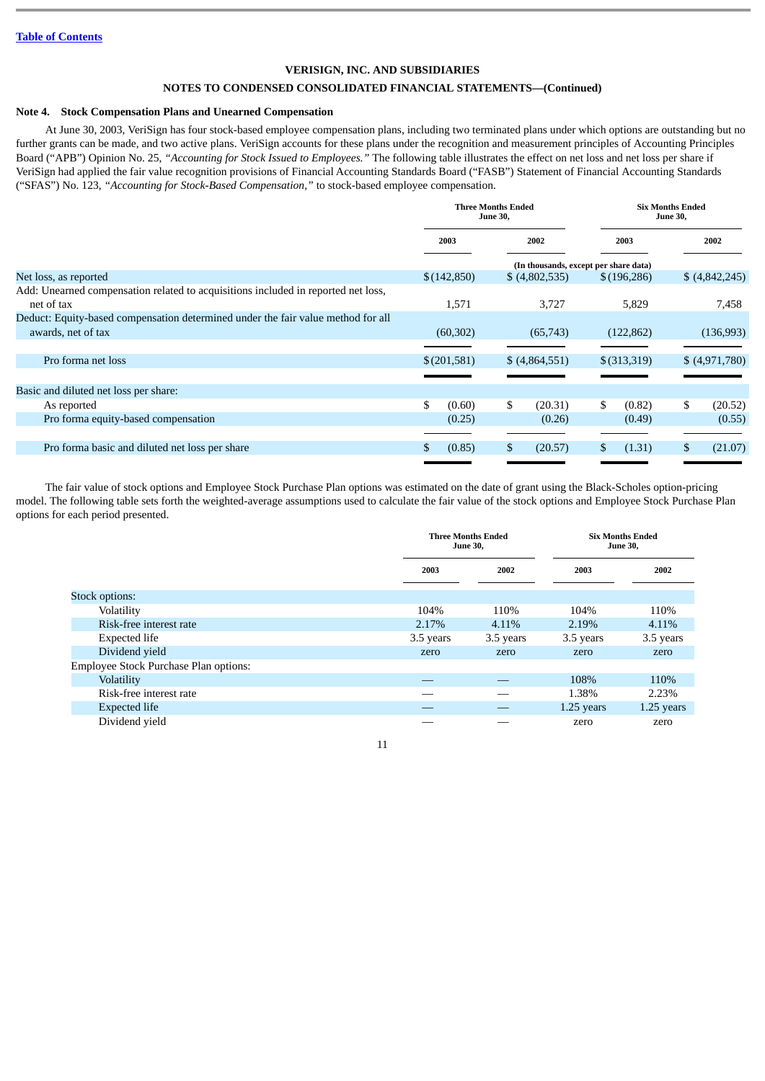## **NOTES TO CONDENSED CONSOLIDATED FINANCIAL STATEMENTS—(Continued)**

## **Note 4. Stock Compensation Plans and Unearned Compensation**

At June 30, 2003, VeriSign has four stock-based employee compensation plans, including two terminated plans under which options are outstanding but no further grants can be made, and two active plans. VeriSign accounts for these plans under the recognition and measurement principles of Accounting Principles Board ("APB") Opinion No. 25, "Accounting for Stock Issued to Employees." The following table illustrates the effect on net loss and net loss per share if VeriSign had applied the fair value recognition provisions of Financial Accounting Standards Board ("FASB") Statement of Financial Accounting Standards ("SFAS") No. 123, *"Accounting for Stock-Based Compensation,"* to stock-based employee compensation.

|                                                                                                        |              | <b>Three Months Ended</b><br><b>June 30,</b> | <b>Six Months Ended</b><br><b>June 30,</b> |                |  |
|--------------------------------------------------------------------------------------------------------|--------------|----------------------------------------------|--------------------------------------------|----------------|--|
|                                                                                                        | 2003         | 2002                                         | 2003                                       | 2002           |  |
|                                                                                                        |              |                                              | (In thousands, except per share data)      |                |  |
| Net loss, as reported                                                                                  | \$(142,850)  | (4,802,535)                                  | \$(196, 286)                               | \$ (4,842,245) |  |
| Add: Unearned compensation related to acquisitions included in reported net loss,<br>net of tax        | 1,571        | 3,727                                        | 5,829                                      | 7,458          |  |
| Deduct: Equity-based compensation determined under the fair value method for all<br>awards, net of tax | (60, 302)    | (65, 743)                                    | (122, 862)                                 | (136,993)      |  |
|                                                                                                        |              |                                              |                                            |                |  |
| Pro forma net loss                                                                                     | \$(201,581)  | $$$ (4,864,551)                              | $$$ (313,319)                              | \$ (4,971,780) |  |
|                                                                                                        |              |                                              |                                            |                |  |
| Basic and diluted net loss per share:                                                                  |              |                                              |                                            |                |  |
| As reported                                                                                            | \$<br>(0.60) | \$<br>(20.31)                                | \$<br>(0.82)                               | \$<br>(20.52)  |  |
| Pro forma equity-based compensation                                                                    | (0.25)       | (0.26)                                       | (0.49)                                     | (0.55)         |  |
|                                                                                                        |              |                                              |                                            |                |  |
| Pro forma basic and diluted net loss per share                                                         | (0.85)       | \$<br>(20.57)                                | (1.31)<br>\$.                              | (21.07)<br>S.  |  |
|                                                                                                        |              |                                              |                                            |                |  |

The fair value of stock options and Employee Stock Purchase Plan options was estimated on the date of grant using the Black-Scholes option-pricing model. The following table sets forth the weighted-average assumptions used to calculate the fair value of the stock options and Employee Stock Purchase Plan options for each period presented.

|                                       | <b>Three Months Ended</b><br><b>June 30,</b> |           | <b>June 30,</b> | <b>Six Months Ended</b> |
|---------------------------------------|----------------------------------------------|-----------|-----------------|-------------------------|
|                                       | 2003                                         | 2002      | 2003            | 2002                    |
| Stock options:                        |                                              |           |                 |                         |
| Volatility                            | 104%                                         | 110%      | 104%            | 110%                    |
| Risk-free interest rate               | 2.17%                                        | 4.11%     | 2.19%           | 4.11%                   |
| Expected life                         | 3.5 years                                    | 3.5 years | 3.5 years       | 3.5 years               |
| Dividend yield                        | zero                                         | zero      | zero            | zero                    |
| Employee Stock Purchase Plan options: |                                              |           |                 |                         |
| Volatility                            |                                              |           | 108%            | 110%                    |
| Risk-free interest rate               |                                              |           | 1.38%           | 2.23%                   |
| Expected life                         |                                              |           | 1.25 years      | 1.25 years              |
| Dividend yield                        |                                              |           | zero            | zero                    |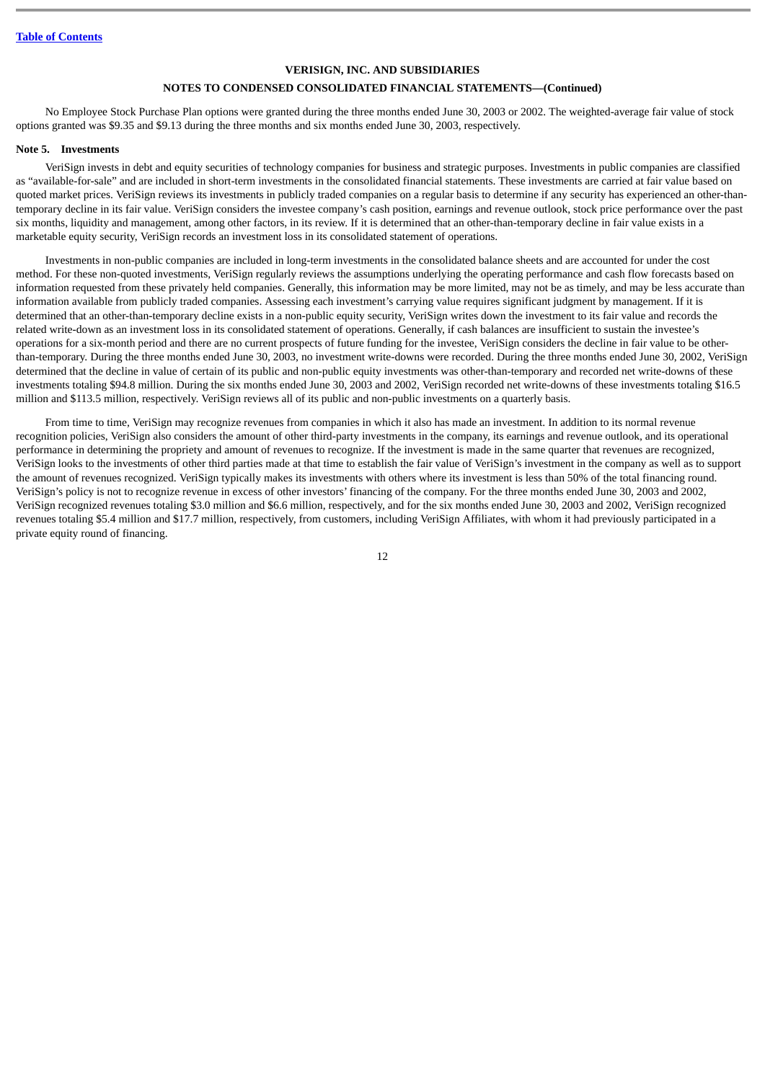## **NOTES TO CONDENSED CONSOLIDATED FINANCIAL STATEMENTS—(Continued)**

No Employee Stock Purchase Plan options were granted during the three months ended June 30, 2003 or 2002. The weighted-average fair value of stock options granted was \$9.35 and \$9.13 during the three months and six months ended June 30, 2003, respectively.

### **Note 5. Investments**

VeriSign invests in debt and equity securities of technology companies for business and strategic purposes. Investments in public companies are classified as "available-for-sale" and are included in short-term investments in the consolidated financial statements. These investments are carried at fair value based on quoted market prices. VeriSign reviews its investments in publicly traded companies on a regular basis to determine if any security has experienced an other-thantemporary decline in its fair value. VeriSign considers the investee company's cash position, earnings and revenue outlook, stock price performance over the past six months, liquidity and management, among other factors, in its review. If it is determined that an other-than-temporary decline in fair value exists in a marketable equity security, VeriSign records an investment loss in its consolidated statement of operations.

Investments in non-public companies are included in long-term investments in the consolidated balance sheets and are accounted for under the cost method. For these non-quoted investments, VeriSign regularly reviews the assumptions underlying the operating performance and cash flow forecasts based on information requested from these privately held companies. Generally, this information may be more limited, may not be as timely, and may be less accurate than information available from publicly traded companies. Assessing each investment's carrying value requires significant judgment by management. If it is determined that an other-than-temporary decline exists in a non-public equity security, VeriSign writes down the investment to its fair value and records the related write-down as an investment loss in its consolidated statement of operations. Generally, if cash balances are insufficient to sustain the investee's operations for a six-month period and there are no current prospects of future funding for the investee, VeriSign considers the decline in fair value to be otherthan-temporary. During the three months ended June 30, 2003, no investment write-downs were recorded. During the three months ended June 30, 2002, VeriSign determined that the decline in value of certain of its public and non-public equity investments was other-than-temporary and recorded net write-downs of these investments totaling \$94.8 million. During the six months ended June 30, 2003 and 2002, VeriSign recorded net write-downs of these investments totaling \$16.5 million and \$113.5 million, respectively. VeriSign reviews all of its public and non-public investments on a quarterly basis.

From time to time, VeriSign may recognize revenues from companies in which it also has made an investment. In addition to its normal revenue recognition policies, VeriSign also considers the amount of other third-party investments in the company, its earnings and revenue outlook, and its operational performance in determining the propriety and amount of revenues to recognize. If the investment is made in the same quarter that revenues are recognized, VeriSign looks to the investments of other third parties made at that time to establish the fair value of VeriSign's investment in the company as well as to support the amount of revenues recognized. VeriSign typically makes its investments with others where its investment is less than 50% of the total financing round. VeriSign's policy is not to recognize revenue in excess of other investors' financing of the company. For the three months ended June 30, 2003 and 2002, VeriSign recognized revenues totaling \$3.0 million and \$6.6 million, respectively, and for the six months ended June 30, 2003 and 2002, VeriSign recognized revenues totaling \$5.4 million and \$17.7 million, respectively, from customers, including VeriSign Affiliates, with whom it had previously participated in a private equity round of financing.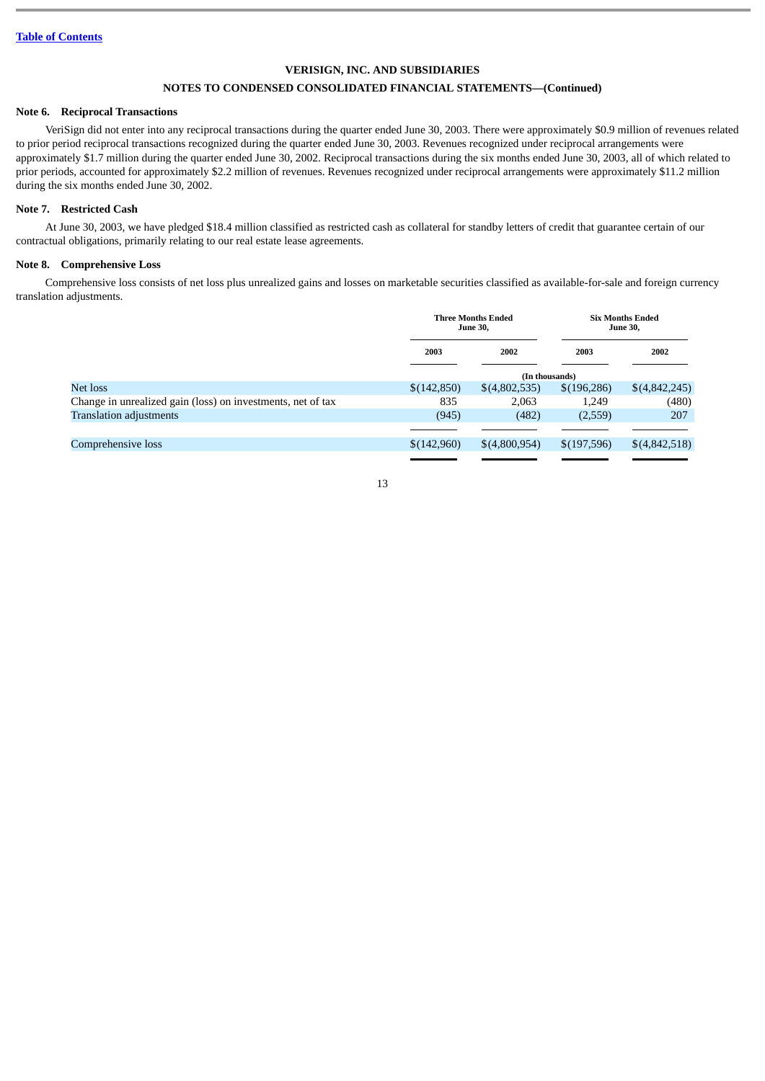## **NOTES TO CONDENSED CONSOLIDATED FINANCIAL STATEMENTS—(Continued)**

## **Note 6. Reciprocal Transactions**

VeriSign did not enter into any reciprocal transactions during the quarter ended June 30, 2003. There were approximately \$0.9 million of revenues related to prior period reciprocal transactions recognized during the quarter ended June 30, 2003. Revenues recognized under reciprocal arrangements were approximately \$1.7 million during the quarter ended June 30, 2002. Reciprocal transactions during the six months ended June 30, 2003, all of which related to prior periods, accounted for approximately \$2.2 million of revenues. Revenues recognized under reciprocal arrangements were approximately \$11.2 million during the six months ended June 30, 2002.

## **Note 7. Restricted Cash**

At June 30, 2003, we have pledged \$18.4 million classified as restricted cash as collateral for standby letters of credit that guarantee certain of our contractual obligations, primarily relating to our real estate lease agreements.

## **Note 8. Comprehensive Loss**

Comprehensive loss consists of net loss plus unrealized gains and losses on marketable securities classified as available-for-sale and foreign currency translation adjustments.

|                                                             |             | <b>Three Months Ended</b><br><b>June 30,</b> | <b>Six Months Ended</b><br><b>June 30,</b> |               |  |
|-------------------------------------------------------------|-------------|----------------------------------------------|--------------------------------------------|---------------|--|
|                                                             | 2003        | 2002                                         |                                            | 2002          |  |
|                                                             |             | (In thousands)                               |                                            |               |  |
| Net loss                                                    | \$(142,850) | \$(4,802,535)                                | \$(196,286)                                | \$(4,842,245) |  |
| Change in unrealized gain (loss) on investments, net of tax | 835         | 2.063                                        | 1.249                                      | (480)         |  |
| <b>Translation adjustments</b>                              | (945)       | (482)                                        | (2,559)                                    | 207           |  |
|                                                             |             |                                              |                                            |               |  |
| Comprehensive loss                                          | \$(142,960) | \$(4,800,954)                                | \$(197,596)                                | \$(4,842,518) |  |
|                                                             |             |                                              |                                            |               |  |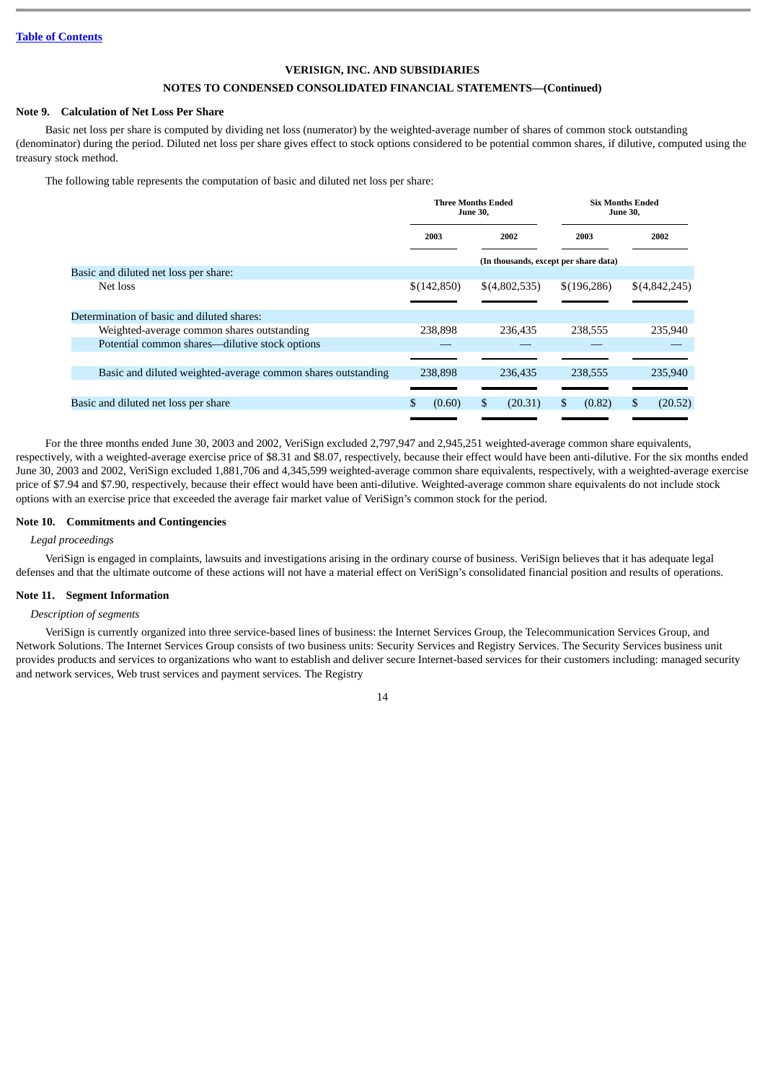## **NOTES TO CONDENSED CONSOLIDATED FINANCIAL STATEMENTS—(Continued)**

### **Note 9. Calculation of Net Loss Per Share**

Basic net loss per share is computed by dividing net loss (numerator) by the weighted-average number of shares of common stock outstanding (denominator) during the period. Diluted net loss per share gives effect to stock options considered to be potential common shares, if dilutive, computed using the treasury stock method.

The following table represents the computation of basic and diluted net loss per share:

|                                                              |             | <b>Three Months Ended</b><br><b>June 30,</b> | <b>Six Months Ended</b><br><b>June 30,</b> |               |  |
|--------------------------------------------------------------|-------------|----------------------------------------------|--------------------------------------------|---------------|--|
|                                                              | 2003        | 2002                                         | 2003                                       | 2002          |  |
|                                                              |             |                                              | (In thousands, except per share data)      |               |  |
| Basic and diluted net loss per share:                        |             |                                              |                                            |               |  |
| Net loss                                                     | \$(142,850) | \$(4,802,535)                                | \$(196, 286)                               | \$(4,842,245) |  |
|                                                              |             |                                              |                                            |               |  |
| Determination of basic and diluted shares:                   |             |                                              |                                            |               |  |
| Weighted-average common shares outstanding                   | 238,898     | 236,435                                      | 238.555                                    | 235.940       |  |
| Potential common shares—dilutive stock options               |             |                                              |                                            |               |  |
|                                                              |             |                                              |                                            |               |  |
| Basic and diluted weighted-average common shares outstanding | 238,898     | 236,435                                      | 238,555                                    | 235,940       |  |
|                                                              |             |                                              |                                            |               |  |
| Basic and diluted net loss per share                         | (0.60)      | \$<br>(20.31)                                | (0.82)<br>S.                               | \$<br>(20.52) |  |
|                                                              |             |                                              |                                            |               |  |

For the three months ended June 30, 2003 and 2002, VeriSign excluded 2,797,947 and 2,945,251 weighted-average common share equivalents, respectively, with a weighted-average exercise price of \$8.31 and \$8.07, respectively, because their effect would have been anti-dilutive. For the six months ended June 30, 2003 and 2002, VeriSign excluded 1,881,706 and 4,345,599 weighted-average common share equivalents, respectively, with a weighted-average exercise price of \$7.94 and \$7.90, respectively, because their effect would have been anti-dilutive. Weighted-average common share equivalents do not include stock options with an exercise price that exceeded the average fair market value of VeriSign's common stock for the period.

## **Note 10. Commitments and Contingencies**

## *Legal proceedings*

VeriSign is engaged in complaints, lawsuits and investigations arising in the ordinary course of business. VeriSign believes that it has adequate legal defenses and that the ultimate outcome of these actions will not have a material effect on VeriSign's consolidated financial position and results of operations.

## **Note 11. Segment Information**

## *Description of segments*

VeriSign is currently organized into three service-based lines of business: the Internet Services Group, the Telecommunication Services Group, and Network Solutions. The Internet Services Group consists of two business units: Security Services and Registry Services. The Security Services business unit provides products and services to organizations who want to establish and deliver secure Internet-based services for their customers including: managed security and network services, Web trust services and payment services. The Registry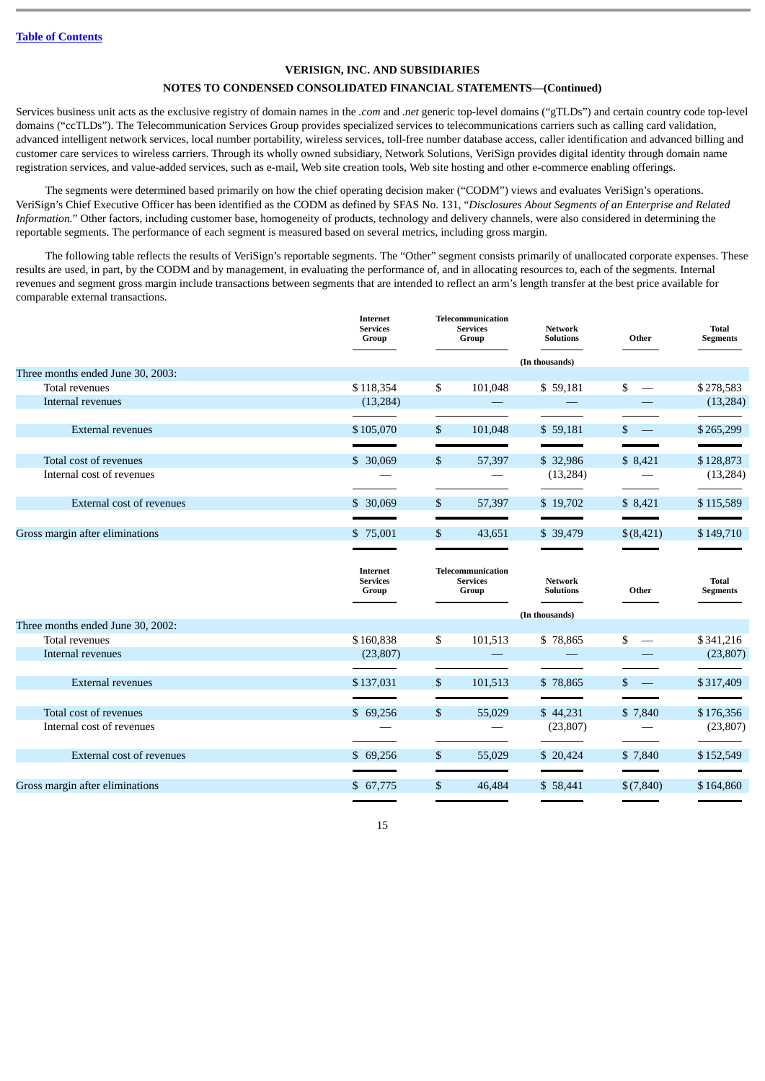## **NOTES TO CONDENSED CONSOLIDATED FINANCIAL STATEMENTS—(Continued)**

Services business unit acts as the exclusive registry of domain names in the *.com* and *.net* generic top-level domains ("gTLDs") and certain country code top-level domains ("ccTLDs"). The Telecommunication Services Group provides specialized services to telecommunications carriers such as calling card validation, advanced intelligent network services, local number portability, wireless services, toll-free number database access, caller identification and advanced billing and customer care services to wireless carriers. Through its wholly owned subsidiary, Network Solutions, VeriSign provides digital identity through domain name registration services, and value-added services, such as e-mail, Web site creation tools, Web site hosting and other e-commerce enabling offerings.

The segments were determined based primarily on how the chief operating decision maker ("CODM") views and evaluates VeriSign's operations. VeriSign's Chief Executive Officer has been identified as the CODM as defined by SFAS No. 131, "*Disclosures About Segments of an Enterprise and Related Information.*" Other factors, including customer base, homogeneity of products, technology and delivery channels, were also considered in determining the reportable segments. The performance of each segment is measured based on several metrics, including gross margin.

The following table reflects the results of VeriSign's reportable segments. The "Other" segment consists primarily of unallocated corporate expenses. These results are used, in part, by the CODM and by management, in evaluating the performance of, and in allocating resources to, each of the segments. Internal revenues and segment gross margin include transactions between segments that are intended to reflect an arm's length transfer at the best price available for comparable external transactions.

|                                   | Internet<br><b>Services</b><br>Group |              | Telecommunication<br><b>Services</b><br>Group | Network<br><b>Solutions</b> | Other     | <b>Total</b><br><b>Segments</b> |
|-----------------------------------|--------------------------------------|--------------|-----------------------------------------------|-----------------------------|-----------|---------------------------------|
|                                   |                                      |              |                                               | (In thousands)              |           |                                 |
| Three months ended June 30, 2003: |                                      |              |                                               |                             |           |                                 |
| Total revenues                    | \$118,354                            | \$           | 101,048                                       | \$59,181                    | \$.       | \$278,583                       |
| Internal revenues                 | (13,284)                             |              |                                               |                             |           | (13, 284)                       |
|                                   |                                      |              |                                               |                             |           |                                 |
| External revenues                 | \$105,070                            | \$           | 101,048                                       | \$59,181                    | S.        | \$265,299                       |
|                                   |                                      |              |                                               |                             |           |                                 |
| Total cost of revenues            | \$30,069                             | $\mathbb{S}$ | 57,397                                        | \$32,986                    | \$8,421   | \$128,873                       |
| Internal cost of revenues         |                                      |              |                                               | (13, 284)                   |           | (13, 284)                       |
|                                   |                                      |              |                                               |                             |           |                                 |
| External cost of revenues         | \$30,069                             | $\mathbb{S}$ | 57,397                                        | \$19,702                    | \$8,421   | \$115,589                       |
|                                   |                                      |              |                                               |                             |           |                                 |
| Gross margin after eliminations   | \$75,001                             | $\mathbb{S}$ | 43,651                                        | \$ 39,479                   | \$(8,421) | \$149,710                       |
|                                   |                                      |              |                                               |                             |           |                                 |
|                                   |                                      |              |                                               |                             |           |                                 |

|                                   | <b>Services</b><br>Group |              | <b>Services</b><br>Group | <b>Network</b><br><b>Solutions</b> | Other                          | <b>Total</b><br><b>Segments</b> |
|-----------------------------------|--------------------------|--------------|--------------------------|------------------------------------|--------------------------------|---------------------------------|
|                                   |                          |              |                          | (In thousands)                     |                                |                                 |
| Three months ended June 30, 2002: |                          |              |                          |                                    |                                |                                 |
| Total revenues                    | \$160,838                | \$           | 101,513                  | \$78,865                           | \$                             | \$341,216                       |
| Internal revenues                 | (23, 807)                |              |                          |                                    |                                | (23, 807)                       |
|                                   |                          |              |                          |                                    |                                |                                 |
| External revenues                 | \$137,031                | \$           | 101,513                  | \$78,865                           | \$<br>$\overline{\phantom{a}}$ | \$317,409                       |
|                                   |                          |              |                          |                                    |                                |                                 |
| Total cost of revenues            | \$69,256                 | $\mathbb{S}$ | 55,029                   | \$44,231                           | \$7,840                        | \$176,356                       |
| Internal cost of revenues         |                          |              |                          | (23, 807)                          |                                | (23, 807)                       |
|                                   |                          |              |                          |                                    |                                |                                 |
| External cost of revenues         | \$69,256                 | $\mathbb{S}$ | 55,029                   | \$20,424                           | \$7,840                        | \$152,549                       |
|                                   |                          |              |                          |                                    |                                |                                 |
| Gross margin after eliminations   | \$67,775                 | $\mathbb{S}$ | 46,484                   | \$58,441                           | \$(7,840)                      | \$164,860                       |
|                                   |                          |              |                          |                                    |                                |                                 |

15

**Internet**

**Telecommunication**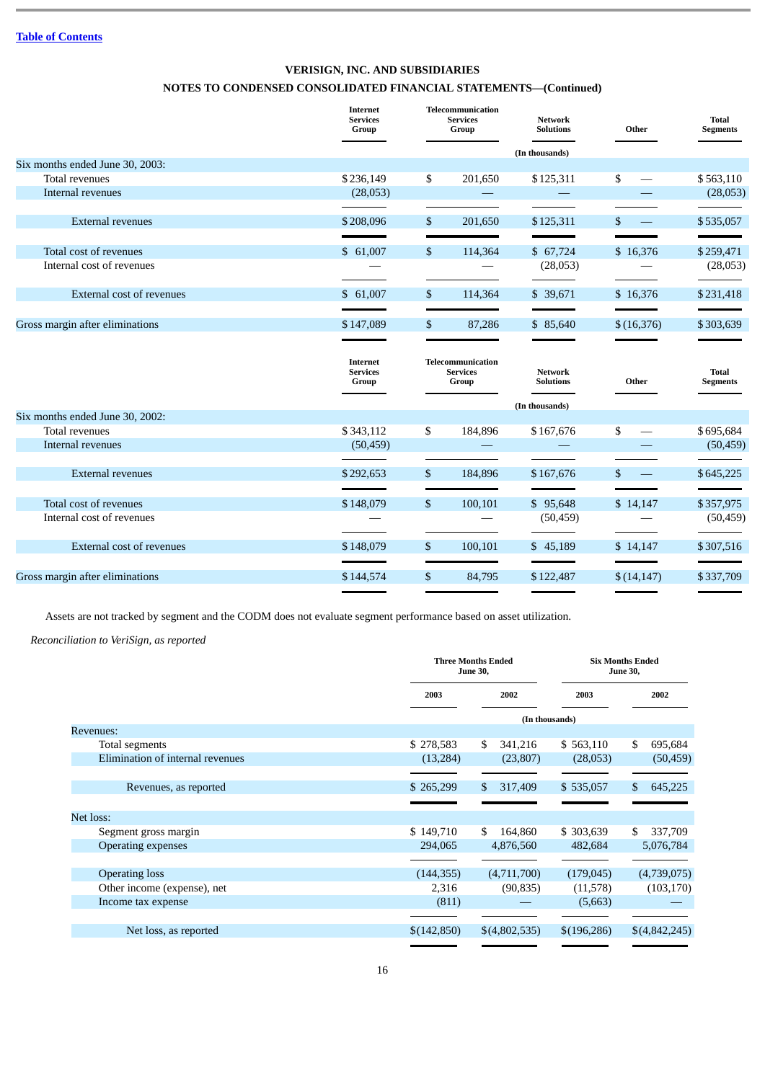## **VERISIGN, INC. AND SUBSIDIARIES NOTES TO CONDENSED CONSOLIDATED FINANCIAL STATEMENTS—(Continued)**

|                                 | Internet<br><b>Services</b><br>Group |              | Telecommunication<br><b>Services</b><br>Group | <b>Network</b><br><b>Solutions</b> | Other       | <b>Total</b><br><b>Segments</b> |
|---------------------------------|--------------------------------------|--------------|-----------------------------------------------|------------------------------------|-------------|---------------------------------|
|                                 |                                      |              |                                               | (In thousands)                     |             |                                 |
| Six months ended June 30, 2003: |                                      |              |                                               |                                    |             |                                 |
| <b>Total revenues</b>           | \$236,149                            | \$           | 201,650                                       | \$125,311                          | \$          | \$563,110                       |
| Internal revenues               | (28,053)                             |              |                                               |                                    |             | (28,053)                        |
| <b>External revenues</b>        | \$208,096                            | \$           | 201,650                                       | \$125,311                          | \$          | \$535,057                       |
|                                 |                                      |              |                                               |                                    |             |                                 |
| Total cost of revenues          | \$61,007                             | \$           | 114,364                                       | \$67,724                           | \$16,376    | \$259,471                       |
| Internal cost of revenues       |                                      |              |                                               | (28,053)                           |             | (28,053)                        |
| External cost of revenues       | \$61,007                             | \$           | 114,364                                       | \$ 39,671                          | \$16,376    | \$231,418                       |
| Gross margin after eliminations | \$147,089                            | \$           | 87,286                                        | \$85,640                           | \$(16, 376) | \$303,639                       |
|                                 |                                      |              |                                               |                                    |             |                                 |
|                                 | Internet<br><b>Services</b><br>Group |              | Telecommunication<br><b>Services</b><br>Group | <b>Network</b><br><b>Solutions</b> | Other       | <b>Total</b><br><b>Segments</b> |
|                                 |                                      |              |                                               | (In thousands)                     |             |                                 |
| Six months ended June 30, 2002: |                                      |              |                                               |                                    |             |                                 |
| Total revenues                  | \$343,112                            | \$           | 184,896                                       | \$167,676                          | \$          | \$695,684                       |
| Internal revenues               | (50, 459)                            |              |                                               |                                    |             | (50, 459)                       |
| <b>External revenues</b>        | \$292,653                            | \$           | 184,896                                       | \$167,676                          | S           | \$645,225                       |
| Total cost of revenues          | \$148,079                            | $\mathbb{S}$ | 100,101                                       | \$95,648                           | \$14,147    | \$357,975                       |
| Internal cost of revenues       |                                      |              |                                               | (50, 459)                          |             | (50, 459)                       |
| External cost of revenues       | \$148,079                            | $\mathbb{S}$ | 100,101                                       | \$45,189                           | \$14,147    | \$307,516                       |
| Gross margin after eliminations | \$144,574                            | \$           | 84,795                                        | \$122,487                          | \$(14, 147) | \$337,709                       |
|                                 |                                      |              |                                               |                                    |             |                                 |

Assets are not tracked by segment and the CODM does not evaluate segment performance based on asset utilization.

*Reconciliation to VeriSign, as reported*

|                                  |             | <b>Three Months Ended</b><br><b>June 30,</b> | <b>Six Months Ended</b><br><b>June 30.</b> |               |  |
|----------------------------------|-------------|----------------------------------------------|--------------------------------------------|---------------|--|
|                                  | 2003        | 2002                                         |                                            | 2002          |  |
|                                  |             | (In thousands)                               |                                            |               |  |
| Revenues:                        |             |                                              |                                            |               |  |
| Total segments                   | \$278,583   | \$<br>341,216                                | \$563,110                                  | \$<br>695,684 |  |
| Elimination of internal revenues | (13, 284)   | (23, 807)                                    | (28,053)                                   | (50, 459)     |  |
|                                  |             |                                              |                                            |               |  |
| Revenues, as reported            | \$265,299   | 317,409<br>S.                                | \$535,057                                  | 645,225       |  |
|                                  |             |                                              |                                            |               |  |
| Net loss:                        |             |                                              |                                            |               |  |
| Segment gross margin             | \$149,710   | \$<br>164,860                                | \$303,639                                  | 337,709<br>\$ |  |
| <b>Operating expenses</b>        | 294,065     | 4,876,560                                    | 482,684                                    | 5,076,784     |  |
|                                  |             |                                              |                                            |               |  |
| <b>Operating loss</b>            | (144, 355)  | (4,711,700)                                  | (179, 045)                                 | (4,739,075)   |  |
| Other income (expense), net      | 2,316       | (90, 835)                                    | (11,578)                                   | (103, 170)    |  |
| Income tax expense               | (811)       |                                              | (5,663)                                    |               |  |
|                                  |             |                                              |                                            |               |  |
| Net loss, as reported            | \$(142,850) | \$(4,802,535)                                | \$(196, 286)                               | \$(4,842,245) |  |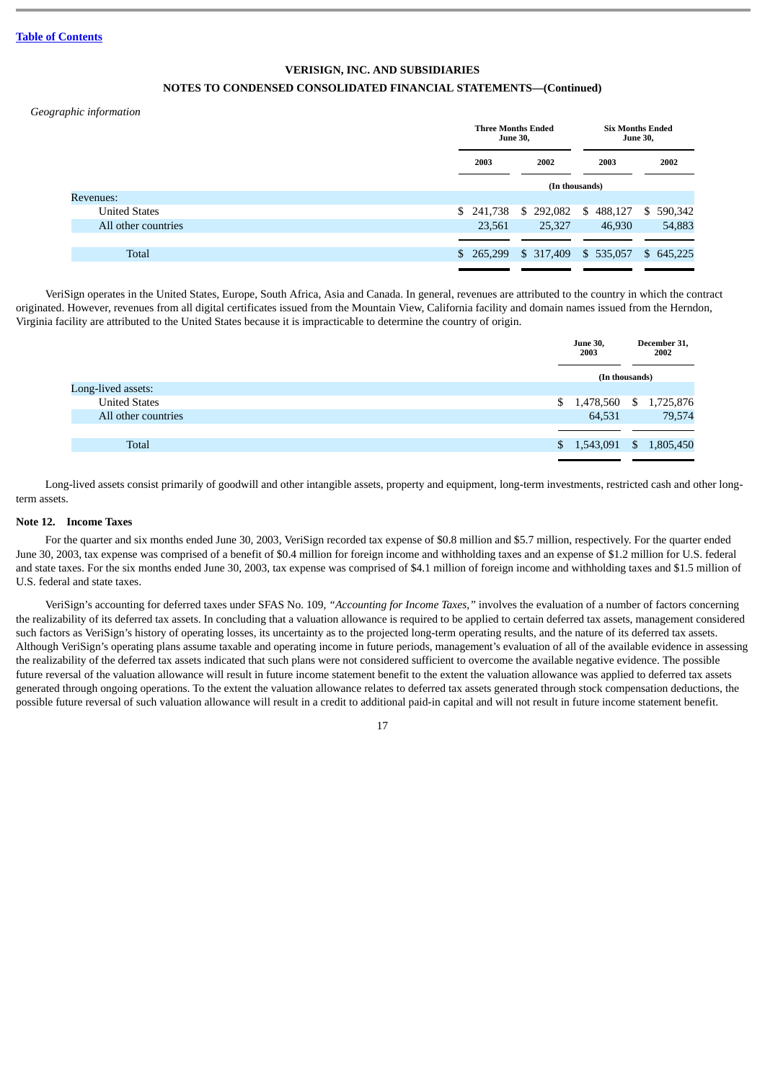## **VERISIGN, INC. AND SUBSIDIARIES NOTES TO CONDENSED CONSOLIDATED FINANCIAL STATEMENTS—(Continued)**

*Geographic information* **Three Months Ended June 30,** Î, **Six Months Ended June 30, 2003** Î, **2002** Î, **2003** Î, **2002 (In thousands) Revenues: Revenues:** *Proposition in the contract of the contract of the contract of the contract of the contract of the contract of the contract of the contract of the contract of the contract of the contract of the c* United States \$ 241,738 \$ 292,082 \$ 488,127 \$ 590,342 All other countries 23,561 25,327 46,930 54,883 Total \$ 265,299 \$ 317,409 \$ 535,057 \$ 645,225

VeriSign operates in the United States, Europe, South Africa, Asia and Canada. In general, revenues are attributed to the country in which the contract originated. However, revenues from all digital certificates issued from the Mountain View, California facility and domain names issued from the Herndon, Virginia facility are attributed to the United States because it is impracticable to determine the country of origin.

|                      | <b>June 30,</b><br>2003 |                | December 31,<br>2002 |  |
|----------------------|-------------------------|----------------|----------------------|--|
|                      |                         | (In thousands) |                      |  |
| Long-lived assets:   |                         |                |                      |  |
| <b>United States</b> | 1,478,560<br>\$         | \$             | 1,725,876            |  |
| All other countries  | 64,531                  |                | 79,574               |  |
|                      |                         |                |                      |  |
| <b>Total</b>         | \$1,543,091             | \$             | 1,805,450            |  |
|                      |                         |                |                      |  |

Long-lived assets consist primarily of goodwill and other intangible assets, property and equipment, long-term investments, restricted cash and other longterm assets.

## **Note 12. Income Taxes**

For the quarter and six months ended June 30, 2003, VeriSign recorded tax expense of \$0.8 million and \$5.7 million, respectively. For the quarter ended June 30, 2003, tax expense was comprised of a benefit of \$0.4 million for foreign income and withholding taxes and an expense of \$1.2 million for U.S. federal and state taxes. For the six months ended June 30, 2003, tax expense was comprised of \$4.1 million of foreign income and withholding taxes and \$1.5 million of U.S. federal and state taxes.

VeriSign's accounting for deferred taxes under SFAS No. 109, *"Accounting for Income Taxes,"* involves the evaluation of a number of factors concerning the realizability of its deferred tax assets. In concluding that a valuation allowance is required to be applied to certain deferred tax assets, management considered such factors as VeriSign's history of operating losses, its uncertainty as to the projected long-term operating results, and the nature of its deferred tax assets. Although VeriSign's operating plans assume taxable and operating income in future periods, management's evaluation of all of the available evidence in assessing the realizability of the deferred tax assets indicated that such plans were not considered sufficient to overcome the available negative evidence. The possible future reversal of the valuation allowance will result in future income statement benefit to the extent the valuation allowance was applied to deferred tax assets generated through ongoing operations. To the extent the valuation allowance relates to deferred tax assets generated through stock compensation deductions, the possible future reversal of such valuation allowance will result in a credit to additional paid-in capital and will not result in future income statement benefit.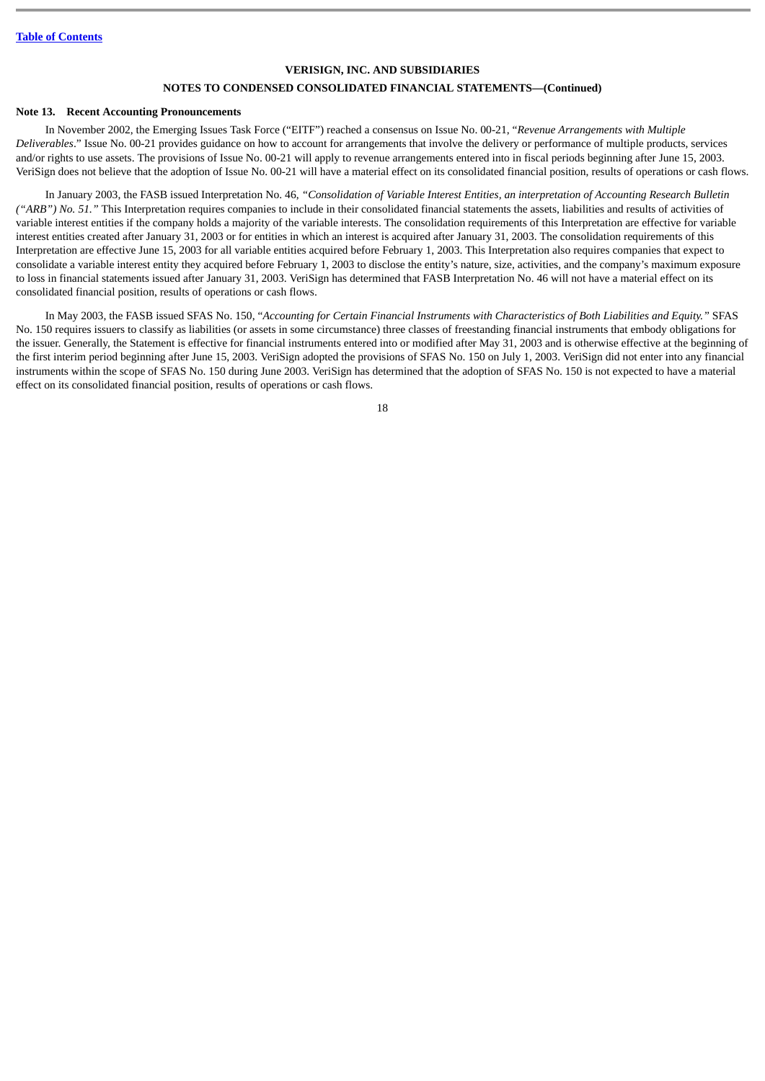## **NOTES TO CONDENSED CONSOLIDATED FINANCIAL STATEMENTS—(Continued)**

#### **Note 13. Recent Accounting Pronouncements**

In November 2002, the Emerging Issues Task Force ("EITF") reached a consensus on Issue No. 00-21, "*Revenue Arrangements with Multiple Deliverables*." Issue No. 00-21 provides guidance on how to account for arrangements that involve the delivery or performance of multiple products, services and/or rights to use assets. The provisions of Issue No. 00-21 will apply to revenue arrangements entered into in fiscal periods beginning after June 15, 2003. VeriSign does not believe that the adoption of Issue No. 00-21 will have a material effect on its consolidated financial position, results of operations or cash flows.

In January 2003, the FASB issued Interpretation No. 46, *"Consolidation of Variable Interest Entities, an interpretation of Accounting Research Bulletin ("ARB") No. 51."* This Interpretation requires companies to include in their consolidated financial statements the assets, liabilities and results of activities of variable interest entities if the company holds a majority of the variable interests. The consolidation requirements of this Interpretation are effective for variable interest entities created after January 31, 2003 or for entities in which an interest is acquired after January 31, 2003. The consolidation requirements of this Interpretation are effective June 15, 2003 for all variable entities acquired before February 1, 2003. This Interpretation also requires companies that expect to consolidate a variable interest entity they acquired before February 1, 2003 to disclose the entity's nature, size, activities, and the company's maximum exposure to loss in financial statements issued after January 31, 2003. VeriSign has determined that FASB Interpretation No. 46 will not have a material effect on its consolidated financial position, results of operations or cash flows.

In May 2003, the FASB issued SFAS No. 150, "*Accounting for Certain Financial Instruments with Characteristics of Both Liabilities and Equity."* SFAS No. 150 requires issuers to classify as liabilities (or assets in some circumstance) three classes of freestanding financial instruments that embody obligations for the issuer. Generally, the Statement is effective for financial instruments entered into or modified after May 31, 2003 and is otherwise effective at the beginning of the first interim period beginning after June 15, 2003. VeriSign adopted the provisions of SFAS No. 150 on July 1, 2003. VeriSign did not enter into any financial instruments within the scope of SFAS No. 150 during June 2003. VeriSign has determined that the adoption of SFAS No. 150 is not expected to have a material effect on its consolidated financial position, results of operations or cash flows.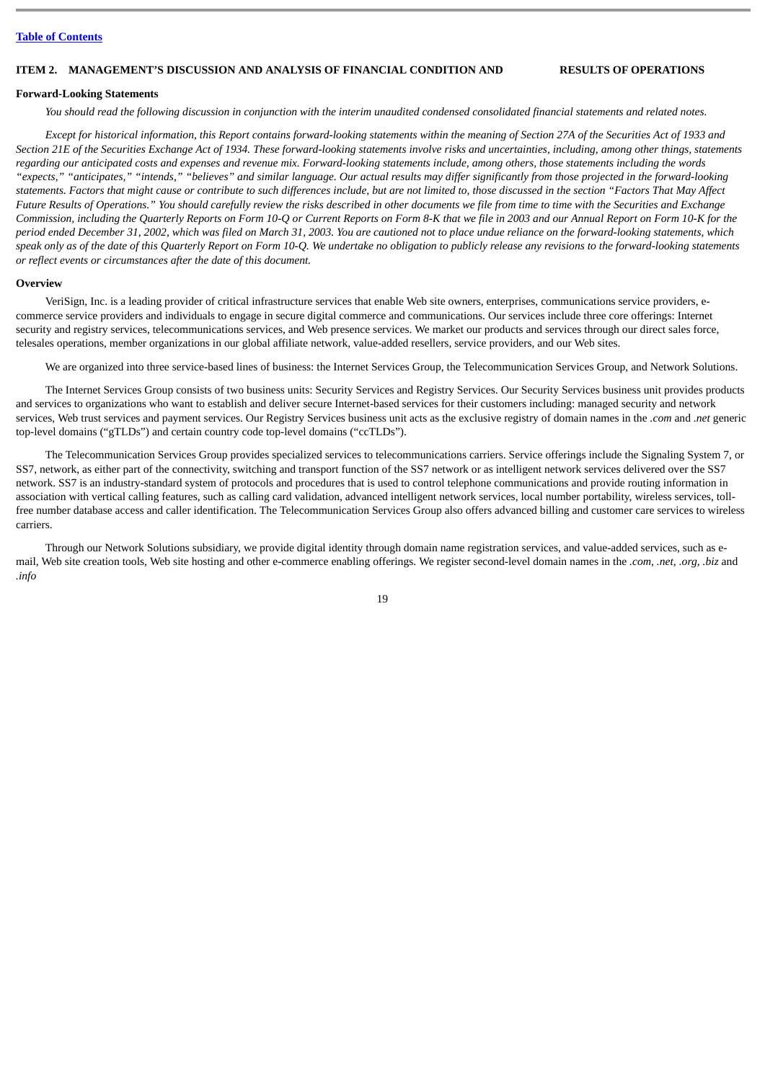## <span id="page-18-0"></span>**ITEM 2. MANAGEMENT'S DISCUSSION AND ANALYSIS OF FINANCIAL CONDITION AND RESULTS OF OPERATIONS**

## **Forward-Looking Statements**

*You should read the following discussion in conjunction with the interim unaudited condensed consolidated financial statements and related notes.*

*Except for historical information, this Report contains forward-looking statements within the meaning of Section 27A of the Securities Act of 1933 and Section 21E of the Securities Exchange Act of 1934. These forward-looking statements involve risks and uncertainties, including, among other things, statements regarding our anticipated costs and expenses and revenue mix. Forward-looking statements include, among others, those statements including the words "expects," "anticipates," "intends," "believes" and similar language. Our actual results may differ significantly from those projected in the forward-looking statements. Factors that might cause or contribute to such differences include, but are not limited to, those discussed in the section "Factors That May Affect Future Results of Operations." You should carefully review the risks described in other documents we file from time to time with the Securities and Exchange Commission, including the Quarterly Reports on Form 10-Q or Current Reports on Form 8-K that we file in 2003 and our Annual Report on Form 10-K for the period ended December 31, 2002, which was filed on March 31, 2003. You are cautioned not to place undue reliance on the forward-looking statements, which speak only as of the date of this Quarterly Report on Form 10-Q. We undertake no obligation to publicly release any revisions to the forward-looking statements or reflect events or circumstances after the date of this document.*

#### **Overview**

VeriSign, Inc. is a leading provider of critical infrastructure services that enable Web site owners, enterprises, communications service providers, ecommerce service providers and individuals to engage in secure digital commerce and communications. Our services include three core offerings: Internet security and registry services, telecommunications services, and Web presence services. We market our products and services through our direct sales force, telesales operations, member organizations in our global affiliate network, value-added resellers, service providers, and our Web sites.

We are organized into three service-based lines of business: the Internet Services Group, the Telecommunication Services Group, and Network Solutions.

The Internet Services Group consists of two business units: Security Services and Registry Services. Our Security Services business unit provides products and services to organizations who want to establish and deliver secure Internet-based services for their customers including: managed security and network services, Web trust services and payment services. Our Registry Services business unit acts as the exclusive registry of domain names in the *.com* and *.net* generic top-level domains ("gTLDs") and certain country code top-level domains ("ccTLDs").

The Telecommunication Services Group provides specialized services to telecommunications carriers. Service offerings include the Signaling System 7, or SS7, network, as either part of the connectivity, switching and transport function of the SS7 network or as intelligent network services delivered over the SS7 network. SS7 is an industry-standard system of protocols and procedures that is used to control telephone communications and provide routing information in association with vertical calling features, such as calling card validation, advanced intelligent network services, local number portability, wireless services, tollfree number database access and caller identification. The Telecommunication Services Group also offers advanced billing and customer care services to wireless carriers.

Through our Network Solutions subsidiary, we provide digital identity through domain name registration services, and value-added services, such as email, Web site creation tools, Web site hosting and other e-commerce enabling offerings. We register second-level domain names in the *.com, .net, .org, .biz* and *.info*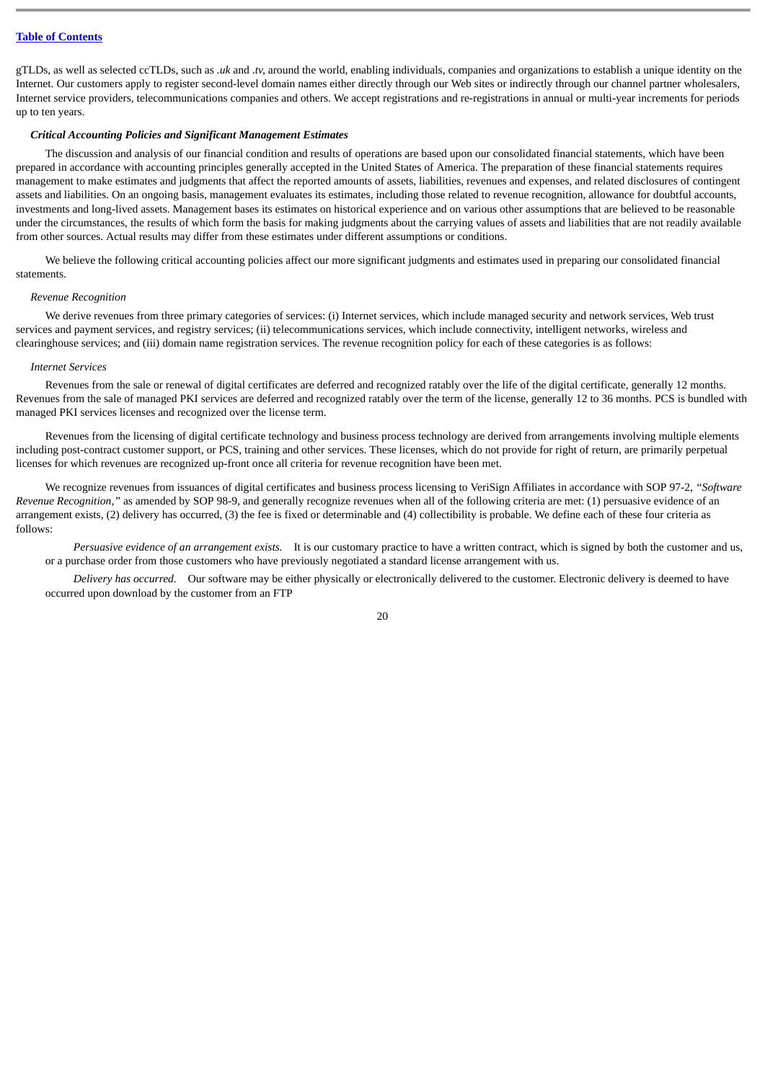gTLDs, as well as selected ccTLDs, such as *.uk* and .*tv,* around the world, enabling individuals, companies and organizations to establish a unique identity on the Internet. Our customers apply to register second-level domain names either directly through our Web sites or indirectly through our channel partner wholesalers, Internet service providers, telecommunications companies and others. We accept registrations and re-registrations in annual or multi-year increments for periods up to ten years.

## *Critical Accounting Policies and Significant Management Estimates*

The discussion and analysis of our financial condition and results of operations are based upon our consolidated financial statements, which have been prepared in accordance with accounting principles generally accepted in the United States of America. The preparation of these financial statements requires management to make estimates and judgments that affect the reported amounts of assets, liabilities, revenues and expenses, and related disclosures of contingent assets and liabilities. On an ongoing basis, management evaluates its estimates, including those related to revenue recognition, allowance for doubtful accounts, investments and long-lived assets. Management bases its estimates on historical experience and on various other assumptions that are believed to be reasonable under the circumstances, the results of which form the basis for making judgments about the carrying values of assets and liabilities that are not readily available from other sources. Actual results may differ from these estimates under different assumptions or conditions.

We believe the following critical accounting policies affect our more significant judgments and estimates used in preparing our consolidated financial statements.

#### *Revenue Recognition*

We derive revenues from three primary categories of services: (i) Internet services, which include managed security and network services, Web trust services and payment services, and registry services; (ii) telecommunications services, which include connectivity, intelligent networks, wireless and clearinghouse services; and (iii) domain name registration services. The revenue recognition policy for each of these categories is as follows:

#### *Internet Services*

Revenues from the sale or renewal of digital certificates are deferred and recognized ratably over the life of the digital certificate, generally 12 months. Revenues from the sale of managed PKI services are deferred and recognized ratably over the term of the license, generally 12 to 36 months. PCS is bundled with managed PKI services licenses and recognized over the license term.

Revenues from the licensing of digital certificate technology and business process technology are derived from arrangements involving multiple elements including post-contract customer support, or PCS, training and other services. These licenses, which do not provide for right of return, are primarily perpetual licenses for which revenues are recognized up-front once all criteria for revenue recognition have been met.

We recognize revenues from issuances of digital certificates and business process licensing to VeriSign Affiliates in accordance with SOP 97-2, *"Software Revenue Recognition,"* as amended by SOP 98-9, and generally recognize revenues when all of the following criteria are met: (1) persuasive evidence of an arrangement exists, (2) delivery has occurred, (3) the fee is fixed or determinable and (4) collectibility is probable. We define each of these four criteria as follows:

*Persuasive evidence of an arrangement exists.* It is our customary practice to have a written contract, which is signed by both the customer and us, or a purchase order from those customers who have previously negotiated a standard license arrangement with us.

*Delivery has occurred.* Our software may be either physically or electronically delivered to the customer. Electronic delivery is deemed to have occurred upon download by the customer from an FTP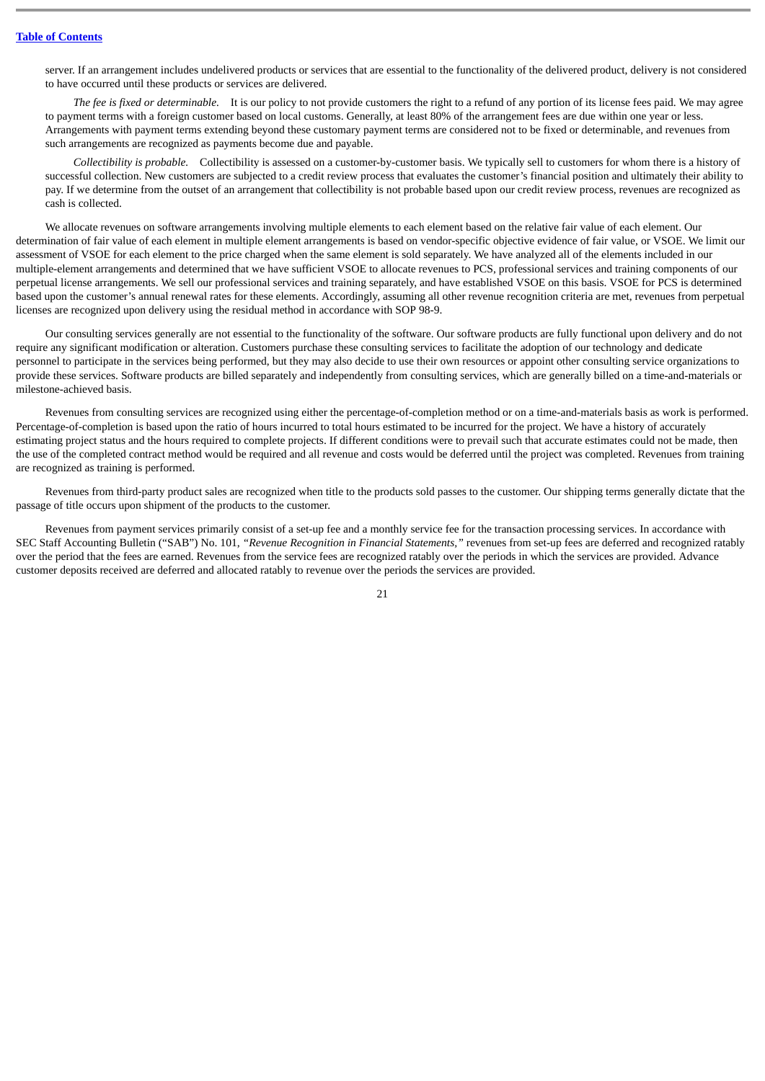server. If an arrangement includes undelivered products or services that are essential to the functionality of the delivered product, delivery is not considered to have occurred until these products or services are delivered.

*The fee is fixed or determinable.* It is our policy to not provide customers the right to a refund of any portion of its license fees paid. We may agree to payment terms with a foreign customer based on local customs. Generally, at least 80% of the arrangement fees are due within one year or less. Arrangements with payment terms extending beyond these customary payment terms are considered not to be fixed or determinable, and revenues from such arrangements are recognized as payments become due and payable.

*Collectibility is probable.* Collectibility is assessed on a customer-by-customer basis. We typically sell to customers for whom there is a history of successful collection. New customers are subjected to a credit review process that evaluates the customer's financial position and ultimately their ability to pay. If we determine from the outset of an arrangement that collectibility is not probable based upon our credit review process, revenues are recognized as cash is collected.

We allocate revenues on software arrangements involving multiple elements to each element based on the relative fair value of each element. Our determination of fair value of each element in multiple element arrangements is based on vendor-specific objective evidence of fair value, or VSOE. We limit our assessment of VSOE for each element to the price charged when the same element is sold separately. We have analyzed all of the elements included in our multiple-element arrangements and determined that we have sufficient VSOE to allocate revenues to PCS, professional services and training components of our perpetual license arrangements. We sell our professional services and training separately, and have established VSOE on this basis. VSOE for PCS is determined based upon the customer's annual renewal rates for these elements. Accordingly, assuming all other revenue recognition criteria are met, revenues from perpetual licenses are recognized upon delivery using the residual method in accordance with SOP 98-9.

Our consulting services generally are not essential to the functionality of the software. Our software products are fully functional upon delivery and do not require any significant modification or alteration. Customers purchase these consulting services to facilitate the adoption of our technology and dedicate personnel to participate in the services being performed, but they may also decide to use their own resources or appoint other consulting service organizations to provide these services. Software products are billed separately and independently from consulting services, which are generally billed on a time-and-materials or milestone-achieved basis.

Revenues from consulting services are recognized using either the percentage-of-completion method or on a time-and-materials basis as work is performed. Percentage-of-completion is based upon the ratio of hours incurred to total hours estimated to be incurred for the project. We have a history of accurately estimating project status and the hours required to complete projects. If different conditions were to prevail such that accurate estimates could not be made, then the use of the completed contract method would be required and all revenue and costs would be deferred until the project was completed. Revenues from training are recognized as training is performed.

Revenues from third-party product sales are recognized when title to the products sold passes to the customer. Our shipping terms generally dictate that the passage of title occurs upon shipment of the products to the customer.

Revenues from payment services primarily consist of a set-up fee and a monthly service fee for the transaction processing services. In accordance with SEC Staff Accounting Bulletin ("SAB") No. 101, *"Revenue Recognition in Financial Statements,"* revenues from set-up fees are deferred and recognized ratably over the period that the fees are earned. Revenues from the service fees are recognized ratably over the periods in which the services are provided. Advance customer deposits received are deferred and allocated ratably to revenue over the periods the services are provided.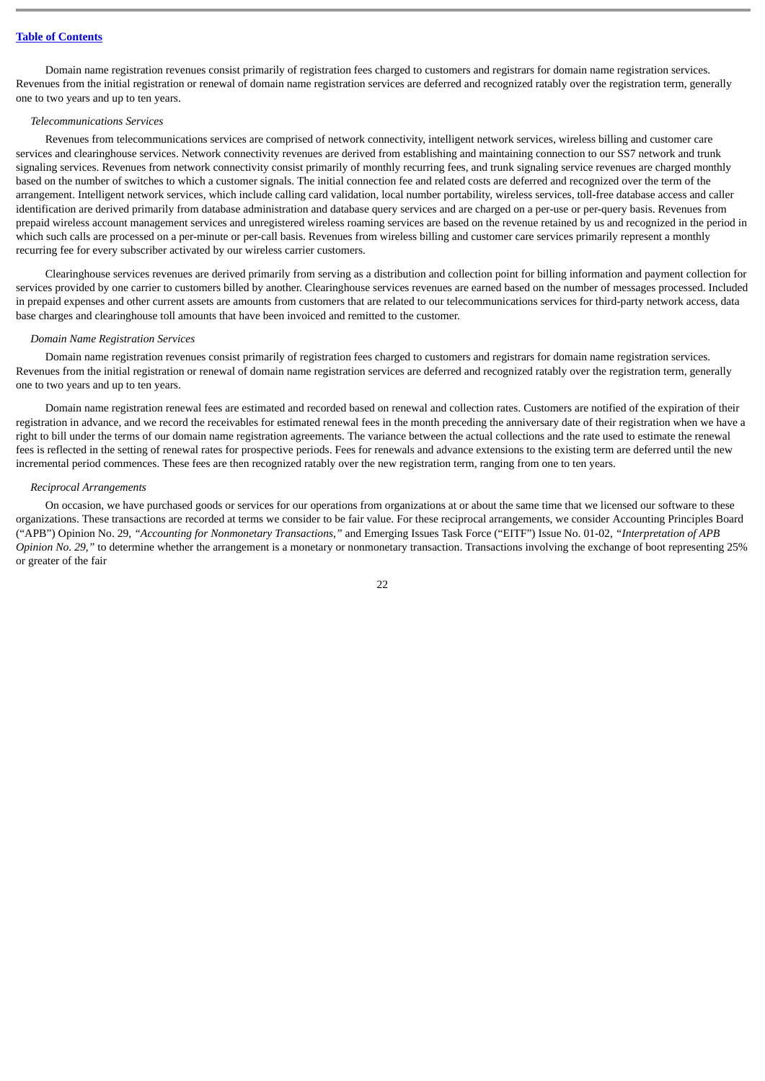Domain name registration revenues consist primarily of registration fees charged to customers and registrars for domain name registration services. Revenues from the initial registration or renewal of domain name registration services are deferred and recognized ratably over the registration term, generally one to two years and up to ten years.

#### *Telecommunications Services*

Revenues from telecommunications services are comprised of network connectivity, intelligent network services, wireless billing and customer care services and clearinghouse services. Network connectivity revenues are derived from establishing and maintaining connection to our SS7 network and trunk signaling services. Revenues from network connectivity consist primarily of monthly recurring fees, and trunk signaling service revenues are charged monthly based on the number of switches to which a customer signals. The initial connection fee and related costs are deferred and recognized over the term of the arrangement. Intelligent network services, which include calling card validation, local number portability, wireless services, toll-free database access and caller identification are derived primarily from database administration and database query services and are charged on a per-use or per-query basis. Revenues from prepaid wireless account management services and unregistered wireless roaming services are based on the revenue retained by us and recognized in the period in which such calls are processed on a per-minute or per-call basis. Revenues from wireless billing and customer care services primarily represent a monthly recurring fee for every subscriber activated by our wireless carrier customers.

Clearinghouse services revenues are derived primarily from serving as a distribution and collection point for billing information and payment collection for services provided by one carrier to customers billed by another. Clearinghouse services revenues are earned based on the number of messages processed. Included in prepaid expenses and other current assets are amounts from customers that are related to our telecommunications services for third-party network access, data base charges and clearinghouse toll amounts that have been invoiced and remitted to the customer.

#### *Domain Name Registration Services*

Domain name registration revenues consist primarily of registration fees charged to customers and registrars for domain name registration services. Revenues from the initial registration or renewal of domain name registration services are deferred and recognized ratably over the registration term, generally one to two years and up to ten years.

Domain name registration renewal fees are estimated and recorded based on renewal and collection rates. Customers are notified of the expiration of their registration in advance, and we record the receivables for estimated renewal fees in the month preceding the anniversary date of their registration when we have a right to bill under the terms of our domain name registration agreements. The variance between the actual collections and the rate used to estimate the renewal fees is reflected in the setting of renewal rates for prospective periods. Fees for renewals and advance extensions to the existing term are deferred until the new incremental period commences. These fees are then recognized ratably over the new registration term, ranging from one to ten years.

## *Reciprocal Arrangements*

On occasion, we have purchased goods or services for our operations from organizations at or about the same time that we licensed our software to these organizations. These transactions are recorded at terms we consider to be fair value. For these reciprocal arrangements, we consider Accounting Principles Board ("APB") Opinion No. 29, *"Accounting for Nonmonetary Transactions,"* and Emerging Issues Task Force ("EITF") Issue No. 01-02, *"Interpretation of APB Opinion No. 29,"* to determine whether the arrangement is a monetary or nonmonetary transaction. Transactions involving the exchange of boot representing 25% or greater of the fair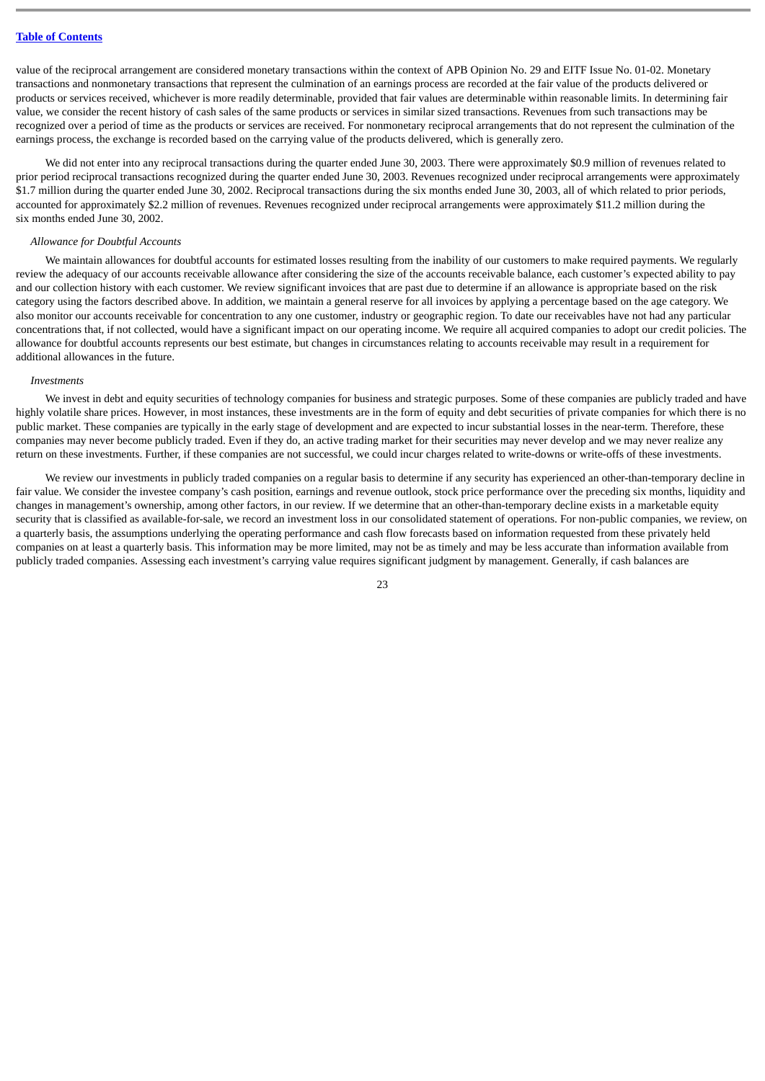value of the reciprocal arrangement are considered monetary transactions within the context of APB Opinion No. 29 and EITF Issue No. 01-02. Monetary transactions and nonmonetary transactions that represent the culmination of an earnings process are recorded at the fair value of the products delivered or products or services received, whichever is more readily determinable, provided that fair values are determinable within reasonable limits. In determining fair value, we consider the recent history of cash sales of the same products or services in similar sized transactions. Revenues from such transactions may be recognized over a period of time as the products or services are received. For nonmonetary reciprocal arrangements that do not represent the culmination of the earnings process, the exchange is recorded based on the carrying value of the products delivered, which is generally zero.

We did not enter into any reciprocal transactions during the quarter ended June 30, 2003. There were approximately \$0.9 million of revenues related to prior period reciprocal transactions recognized during the quarter ended June 30, 2003. Revenues recognized under reciprocal arrangements were approximately \$1.7 million during the quarter ended June 30, 2002. Reciprocal transactions during the six months ended June 30, 2003, all of which related to prior periods, accounted for approximately \$2.2 million of revenues. Revenues recognized under reciprocal arrangements were approximately \$11.2 million during the six months ended June 30, 2002.

## *Allowance for Doubtful Accounts*

We maintain allowances for doubtful accounts for estimated losses resulting from the inability of our customers to make required payments. We regularly review the adequacy of our accounts receivable allowance after considering the size of the accounts receivable balance, each customer's expected ability to pay and our collection history with each customer. We review significant invoices that are past due to determine if an allowance is appropriate based on the risk category using the factors described above. In addition, we maintain a general reserve for all invoices by applying a percentage based on the age category. We also monitor our accounts receivable for concentration to any one customer, industry or geographic region. To date our receivables have not had any particular concentrations that, if not collected, would have a significant impact on our operating income. We require all acquired companies to adopt our credit policies. The allowance for doubtful accounts represents our best estimate, but changes in circumstances relating to accounts receivable may result in a requirement for additional allowances in the future.

#### *Investments*

We invest in debt and equity securities of technology companies for business and strategic purposes. Some of these companies are publicly traded and have highly volatile share prices. However, in most instances, these investments are in the form of equity and debt securities of private companies for which there is no public market. These companies are typically in the early stage of development and are expected to incur substantial losses in the near-term. Therefore, these companies may never become publicly traded. Even if they do, an active trading market for their securities may never develop and we may never realize any return on these investments. Further, if these companies are not successful, we could incur charges related to write-downs or write-offs of these investments.

We review our investments in publicly traded companies on a regular basis to determine if any security has experienced an other-than-temporary decline in fair value. We consider the investee company's cash position, earnings and revenue outlook, stock price performance over the preceding six months, liquidity and changes in management's ownership, among other factors, in our review. If we determine that an other-than-temporary decline exists in a marketable equity security that is classified as available-for-sale, we record an investment loss in our consolidated statement of operations. For non-public companies, we review, on a quarterly basis, the assumptions underlying the operating performance and cash flow forecasts based on information requested from these privately held companies on at least a quarterly basis. This information may be more limited, may not be as timely and may be less accurate than information available from publicly traded companies. Assessing each investment's carrying value requires significant judgment by management. Generally, if cash balances are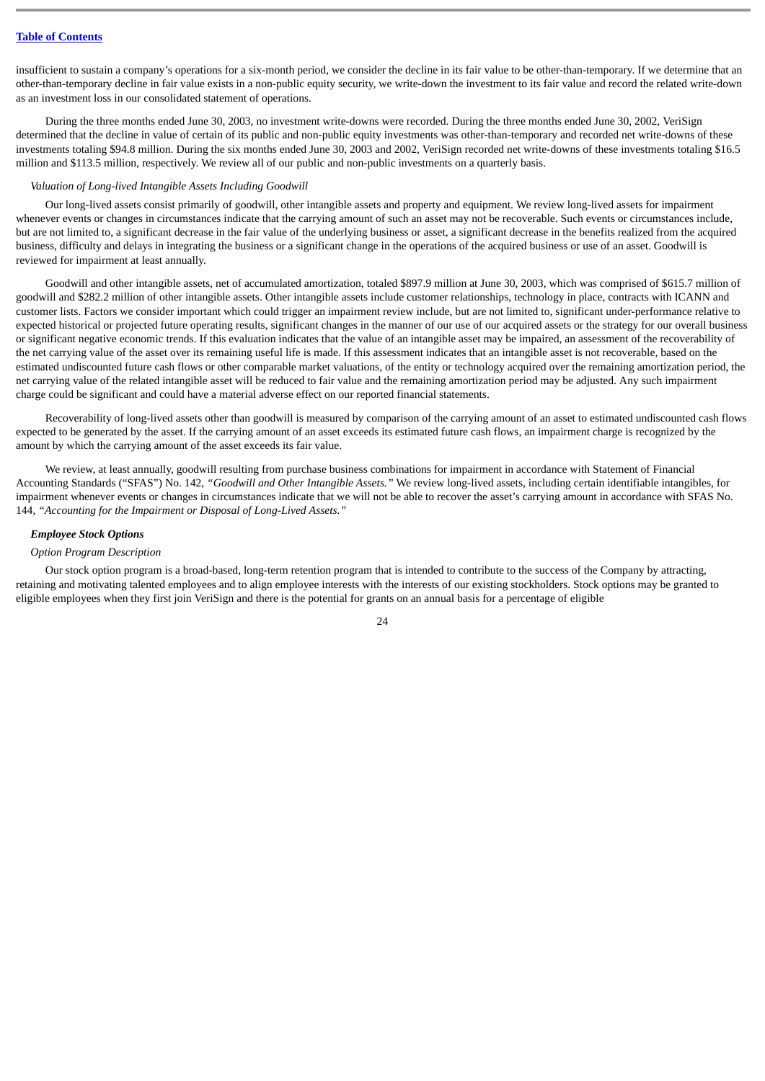insufficient to sustain a company's operations for a six-month period, we consider the decline in its fair value to be other-than-temporary. If we determine that an other-than-temporary decline in fair value exists in a non-public equity security, we write-down the investment to its fair value and record the related write-down as an investment loss in our consolidated statement of operations.

During the three months ended June 30, 2003, no investment write-downs were recorded. During the three months ended June 30, 2002, VeriSign determined that the decline in value of certain of its public and non-public equity investments was other-than-temporary and recorded net write-downs of these investments totaling \$94.8 million. During the six months ended June 30, 2003 and 2002, VeriSign recorded net write-downs of these investments totaling \$16.5 million and \$113.5 million, respectively. We review all of our public and non-public investments on a quarterly basis.

### *Valuation of Long-lived Intangible Assets Including Goodwill*

Our long-lived assets consist primarily of goodwill, other intangible assets and property and equipment. We review long-lived assets for impairment whenever events or changes in circumstances indicate that the carrying amount of such an asset may not be recoverable. Such events or circumstances include, but are not limited to, a significant decrease in the fair value of the underlying business or asset, a significant decrease in the benefits realized from the acquired business, difficulty and delays in integrating the business or a significant change in the operations of the acquired business or use of an asset. Goodwill is reviewed for impairment at least annually.

Goodwill and other intangible assets, net of accumulated amortization, totaled \$897.9 million at June 30, 2003, which was comprised of \$615.7 million of goodwill and \$282.2 million of other intangible assets. Other intangible assets include customer relationships, technology in place, contracts with ICANN and customer lists. Factors we consider important which could trigger an impairment review include, but are not limited to, significant under-performance relative to expected historical or projected future operating results, significant changes in the manner of our use of our acquired assets or the strategy for our overall business or significant negative economic trends. If this evaluation indicates that the value of an intangible asset may be impaired, an assessment of the recoverability of the net carrying value of the asset over its remaining useful life is made. If this assessment indicates that an intangible asset is not recoverable, based on the estimated undiscounted future cash flows or other comparable market valuations, of the entity or technology acquired over the remaining amortization period, the net carrying value of the related intangible asset will be reduced to fair value and the remaining amortization period may be adjusted. Any such impairment charge could be significant and could have a material adverse effect on our reported financial statements.

Recoverability of long-lived assets other than goodwill is measured by comparison of the carrying amount of an asset to estimated undiscounted cash flows expected to be generated by the asset. If the carrying amount of an asset exceeds its estimated future cash flows, an impairment charge is recognized by the amount by which the carrying amount of the asset exceeds its fair value.

We review, at least annually, goodwill resulting from purchase business combinations for impairment in accordance with Statement of Financial Accounting Standards ("SFAS") No. 142, *"Goodwill and Other Intangible Assets."* We review long-lived assets, including certain identifiable intangibles, for impairment whenever events or changes in circumstances indicate that we will not be able to recover the asset's carrying amount in accordance with SFAS No. 144, *"Accounting for the Impairment or Disposal of Long-Lived Assets."*

## *Employee Stock Options*

## *Option Program Description*

Our stock option program is a broad-based, long-term retention program that is intended to contribute to the success of the Company by attracting, retaining and motivating talented employees and to align employee interests with the interests of our existing stockholders. Stock options may be granted to eligible employees when they first join VeriSign and there is the potential for grants on an annual basis for a percentage of eligible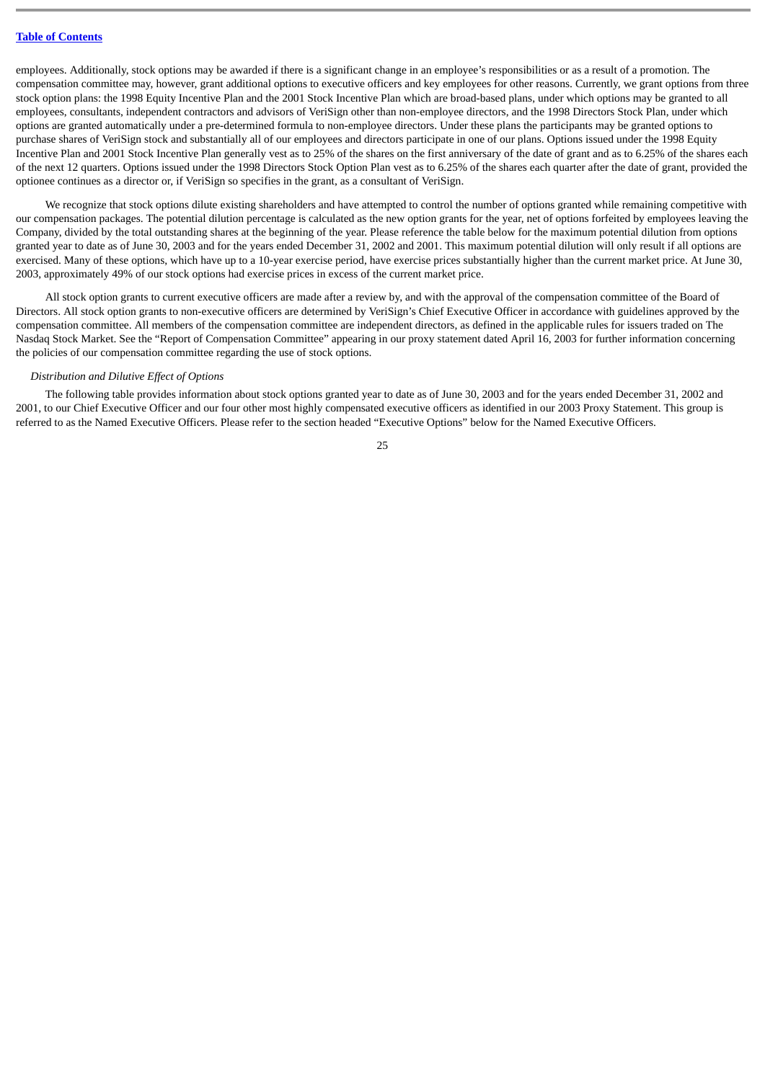employees. Additionally, stock options may be awarded if there is a significant change in an employee's responsibilities or as a result of a promotion. The compensation committee may, however, grant additional options to executive officers and key employees for other reasons. Currently, we grant options from three stock option plans: the 1998 Equity Incentive Plan and the 2001 Stock Incentive Plan which are broad-based plans, under which options may be granted to all employees, consultants, independent contractors and advisors of VeriSign other than non-employee directors, and the 1998 Directors Stock Plan, under which options are granted automatically under a pre-determined formula to non-employee directors. Under these plans the participants may be granted options to purchase shares of VeriSign stock and substantially all of our employees and directors participate in one of our plans. Options issued under the 1998 Equity Incentive Plan and 2001 Stock Incentive Plan generally vest as to 25% of the shares on the first anniversary of the date of grant and as to 6.25% of the shares each of the next 12 quarters. Options issued under the 1998 Directors Stock Option Plan vest as to 6.25% of the shares each quarter after the date of grant, provided the optionee continues as a director or, if VeriSign so specifies in the grant, as a consultant of VeriSign.

We recognize that stock options dilute existing shareholders and have attempted to control the number of options granted while remaining competitive with our compensation packages. The potential dilution percentage is calculated as the new option grants for the year, net of options forfeited by employees leaving the Company, divided by the total outstanding shares at the beginning of the year. Please reference the table below for the maximum potential dilution from options granted year to date as of June 30, 2003 and for the years ended December 31, 2002 and 2001. This maximum potential dilution will only result if all options are exercised. Many of these options, which have up to a 10-year exercise period, have exercise prices substantially higher than the current market price. At June 30, 2003, approximately 49% of our stock options had exercise prices in excess of the current market price.

All stock option grants to current executive officers are made after a review by, and with the approval of the compensation committee of the Board of Directors. All stock option grants to non-executive officers are determined by VeriSign's Chief Executive Officer in accordance with guidelines approved by the compensation committee. All members of the compensation committee are independent directors, as defined in the applicable rules for issuers traded on The Nasdaq Stock Market. See the "Report of Compensation Committee" appearing in our proxy statement dated April 16, 2003 for further information concerning the policies of our compensation committee regarding the use of stock options.

## *Distribution and Dilutive Effect of Options*

The following table provides information about stock options granted year to date as of June 30, 2003 and for the years ended December 31, 2002 and 2001, to our Chief Executive Officer and our four other most highly compensated executive officers as identified in our 2003 Proxy Statement. This group is referred to as the Named Executive Officers. Please refer to the section headed "Executive Options" below for the Named Executive Officers.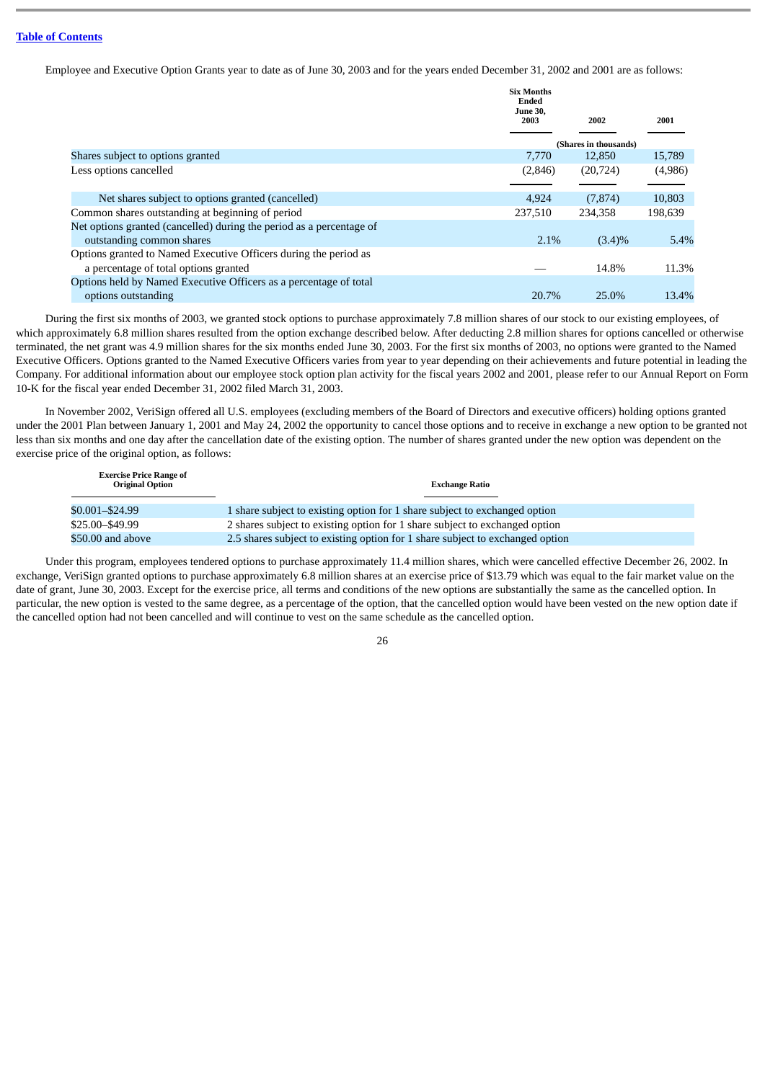Employee and Executive Option Grants year to date as of June 30, 2003 and for the years ended December 31, 2002 and 2001 are as follows:

|                                                                      | <b>Six Months</b><br>Ended<br><b>June 30,</b> |                       |         |
|----------------------------------------------------------------------|-----------------------------------------------|-----------------------|---------|
|                                                                      | 2003                                          | 2002                  | 2001    |
|                                                                      |                                               | (Shares in thousands) |         |
| Shares subject to options granted                                    | 7.770                                         | 12,850                | 15,789  |
| Less options cancelled                                               | (2,846)                                       | (20, 724)             | (4,986) |
|                                                                      |                                               |                       |         |
| Net shares subject to options granted (cancelled)                    | 4,924                                         | (7, 874)              | 10,803  |
| Common shares outstanding at beginning of period                     | 237,510                                       | 234,358               | 198,639 |
| Net options granted (cancelled) during the period as a percentage of |                                               |                       |         |
| outstanding common shares                                            | 2.1%                                          | $(3.4)\%$             | 5.4%    |
| Options granted to Named Executive Officers during the period as     |                                               |                       |         |
| a percentage of total options granted                                |                                               | 14.8%                 | 11.3%   |
| Options held by Named Executive Officers as a percentage of total    |                                               |                       |         |
| options outstanding                                                  | 20.7%                                         | 25.0%                 | 13.4%   |

During the first six months of 2003, we granted stock options to purchase approximately 7.8 million shares of our stock to our existing employees, of which approximately 6.8 million shares resulted from the option exchange described below. After deducting 2.8 million shares for options cancelled or otherwise terminated, the net grant was 4.9 million shares for the six months ended June 30, 2003. For the first six months of 2003, no options were granted to the Named Executive Officers. Options granted to the Named Executive Officers varies from year to year depending on their achievements and future potential in leading the Company. For additional information about our employee stock option plan activity for the fiscal years 2002 and 2001, please refer to our Annual Report on Form 10-K for the fiscal year ended December 31, 2002 filed March 31, 2003.

In November 2002, VeriSign offered all U.S. employees (excluding members of the Board of Directors and executive officers) holding options granted under the 2001 Plan between January 1, 2001 and May 24, 2002 the opportunity to cancel those options and to receive in exchange a new option to be granted not less than six months and one day after the cancellation date of the existing option. The number of shares granted under the new option was dependent on the exercise price of the original option, as follows:

| <b>Exercise Price Range of</b><br><b>Original Option</b> | <b>Exchange Ratio</b>                                                         |
|----------------------------------------------------------|-------------------------------------------------------------------------------|
| \$0.001-\$24.99                                          | 1 share subject to existing option for 1 share subject to exchanged option    |
| \$25.00-\$49.99                                          | 2 shares subject to existing option for 1 share subject to exchanged option   |
| \$50.00 and above                                        | 2.5 shares subject to existing option for 1 share subject to exchanged option |

Under this program, employees tendered options to purchase approximately 11.4 million shares, which were cancelled effective December 26, 2002. In exchange, VeriSign granted options to purchase approximately 6.8 million shares at an exercise price of \$13.79 which was equal to the fair market value on the date of grant, June 30, 2003. Except for the exercise price, all terms and conditions of the new options are substantially the same as the cancelled option. In particular, the new option is vested to the same degree, as a percentage of the option, that the cancelled option would have been vested on the new option date if the cancelled option had not been cancelled and will continue to vest on the same schedule as the cancelled option.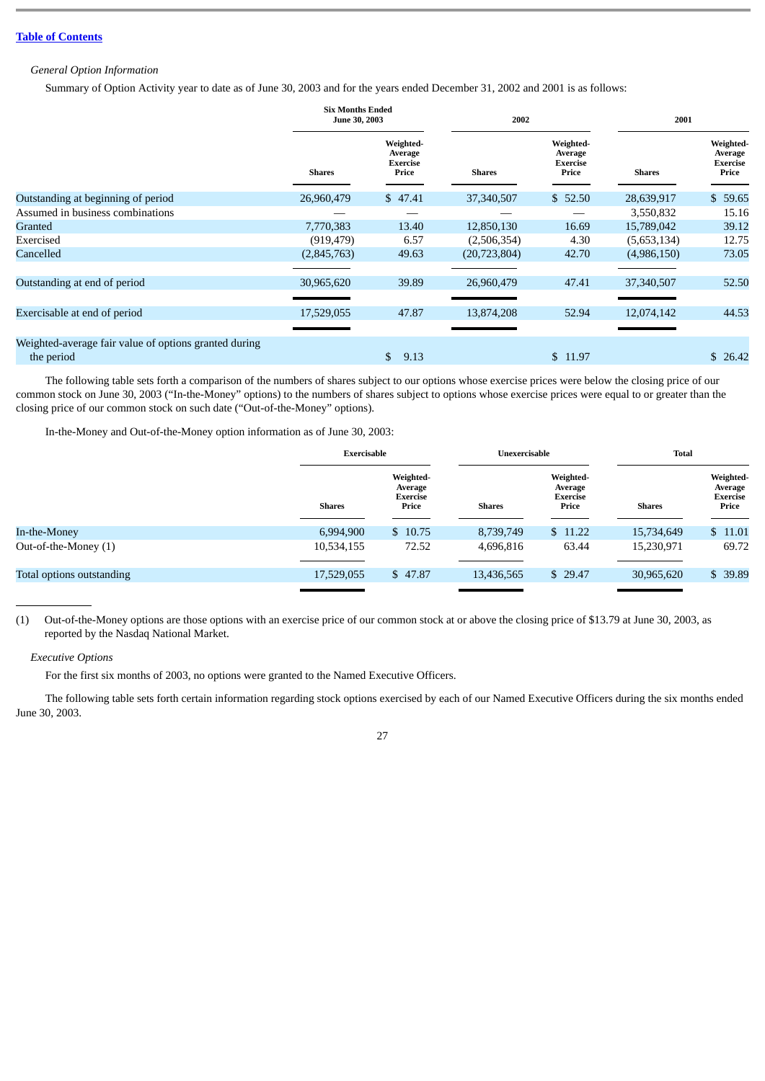## *General Option Information*

Summary of Option Activity year to date as of June 30, 2003 and for the years ended December 31, 2002 and 2001 is as follows:

|                                                       | <b>Six Months Ended</b><br>June 30, 2003 |                                                  | 2002           |                                                  | 2001          |                                           |
|-------------------------------------------------------|------------------------------------------|--------------------------------------------------|----------------|--------------------------------------------------|---------------|-------------------------------------------|
|                                                       | <b>Shares</b>                            | Weighted-<br>Average<br><b>Exercise</b><br>Price | <b>Shares</b>  | Weighted-<br>Average<br><b>Exercise</b><br>Price | <b>Shares</b> | Weighted-<br>Average<br>Exercise<br>Price |
| Outstanding at beginning of period                    | 26,960,479                               | \$47.41                                          | 37,340,507     | \$52.50                                          | 28,639,917    | \$59.65                                   |
| Assumed in business combinations                      |                                          |                                                  |                |                                                  | 3,550,832     | 15.16                                     |
| Granted                                               | 7,770,383                                | 13.40                                            | 12,850,130     | 16.69                                            | 15,789,042    | 39.12                                     |
| Exercised                                             | (919, 479)                               | 6.57                                             | (2,506,354)    | 4.30                                             | (5,653,134)   | 12.75                                     |
| Cancelled                                             | (2,845,763)                              | 49.63                                            | (20, 723, 804) | 42.70                                            | (4,986,150)   | 73.05                                     |
|                                                       |                                          |                                                  |                |                                                  |               |                                           |
| Outstanding at end of period                          | 30,965,620                               | 39.89                                            | 26,960,479     | 47.41                                            | 37,340,507    | 52.50                                     |
|                                                       |                                          |                                                  |                |                                                  |               |                                           |
| Exercisable at end of period                          | 17,529,055                               | 47.87                                            | 13,874,208     | 52.94                                            | 12,074,142    | 44.53                                     |
|                                                       |                                          |                                                  |                |                                                  |               |                                           |
| Weighted-average fair value of options granted during |                                          |                                                  |                |                                                  |               |                                           |
| the period                                            |                                          | \$<br>9.13                                       |                | \$11.97                                          |               | \$26.42                                   |

The following table sets forth a comparison of the numbers of shares subject to our options whose exercise prices were below the closing price of our common stock on June 30, 2003 ("In-the-Money" options) to the numbers of shares subject to options whose exercise prices were equal to or greater than the closing price of our common stock on such date ("Out-of-the-Money" options).

In-the-Money and Out-of-the-Money option information as of June 30, 2003:

|                           | <b>Exercisable</b> |                                                  |               | Unexercisable                                    |               | <b>Total</b>                                     |  |
|---------------------------|--------------------|--------------------------------------------------|---------------|--------------------------------------------------|---------------|--------------------------------------------------|--|
|                           | <b>Shares</b>      | Weighted-<br>Average<br><b>Exercise</b><br>Price | <b>Shares</b> | Weighted-<br>Average<br><b>Exercise</b><br>Price | <b>Shares</b> | Weighted-<br>Average<br><b>Exercise</b><br>Price |  |
| In-the-Money              | 6,994,900          | \$10.75                                          | 8,739,749     | \$11.22                                          | 15,734,649    | \$11.01                                          |  |
| Out-of-the-Money (1)      | 10,534,155         | 72.52                                            | 4,696,816     | 63.44                                            | 15,230,971    | 69.72                                            |  |
| Total options outstanding | 17,529,055         | \$47.87                                          | 13,436,565    | \$29.47                                          | 30,965,620    | \$39.89                                          |  |
|                           |                    |                                                  |               |                                                  |               |                                                  |  |

(1) Out-of-the-Money options are those options with an exercise price of our common stock at or above the closing price of \$13.79 at June 30, 2003, as reported by the Nasdaq National Market.

## *Executive Options*

For the first six months of 2003, no options were granted to the Named Executive Officers.

The following table sets forth certain information regarding stock options exercised by each of our Named Executive Officers during the six months ended June 30, 2003.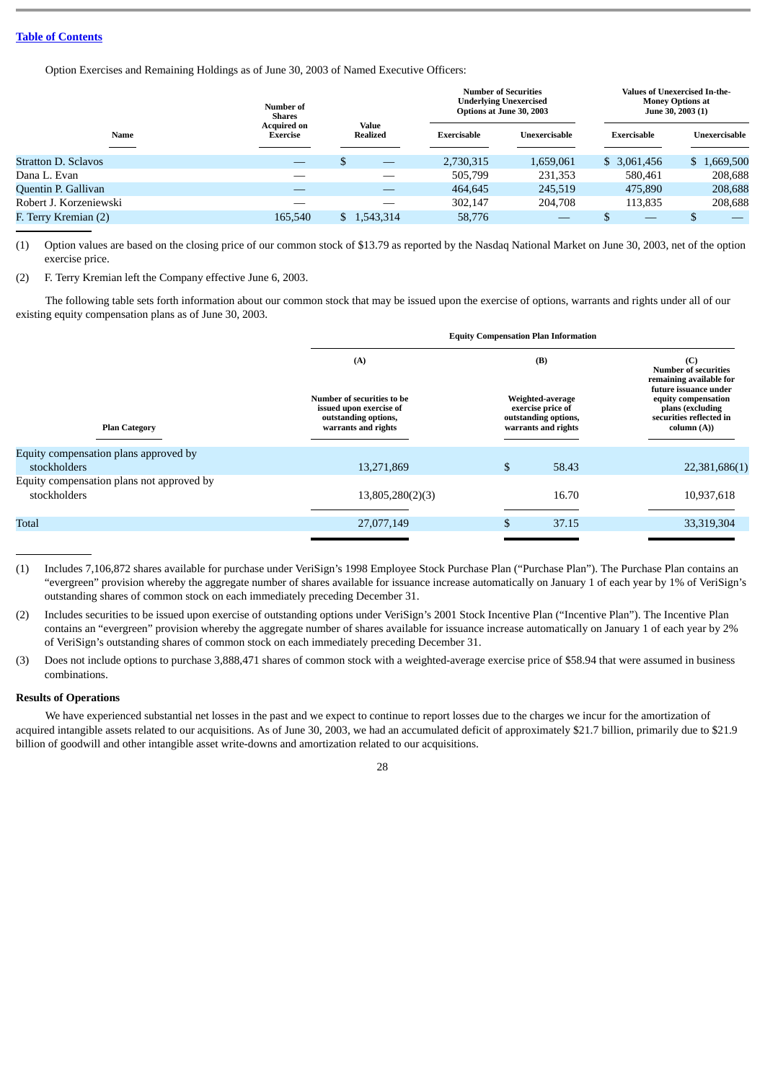Option Exercises and Remaining Holdings as of June 30, 2003 of Named Executive Officers:

|                        | Number of<br><b>Shares</b>            |                   | Number of Securities<br><b>Underlying Unexercised</b><br>Options at June 30, 2003 |               | <b>Values of Unexercised In-the-</b><br><b>Money Options at</b><br>June 30, 2003 (1) |               |  |
|------------------------|---------------------------------------|-------------------|-----------------------------------------------------------------------------------|---------------|--------------------------------------------------------------------------------------|---------------|--|
| Name                   | <b>Acquired on</b><br><b>Exercise</b> | Value<br>Realized | Exercisable                                                                       | Unexercisable | Exercisable                                                                          | Unexercisable |  |
| Stratton D. Sclavos    |                                       |                   | 2,730,315                                                                         | 1,659,061     | \$3,061,456                                                                          | \$1,669,500   |  |
| Dana L. Evan           |                                       |                   | 505,799                                                                           | 231,353       | 580,461                                                                              | 208,688       |  |
| Quentin P. Gallivan    |                                       |                   | 464,645                                                                           | 245,519       | 475,890                                                                              | 208,688       |  |
| Robert J. Korzeniewski |                                       |                   | 302,147                                                                           | 204,708       | 113,835                                                                              | 208,688       |  |
| F. Terry Kremian (2)   | 165,540                               | 1,543,314         | 58,776                                                                            |               |                                                                                      |               |  |

(1) Option values are based on the closing price of our common stock of \$13.79 as reported by the Nasdaq National Market on June 30, 2003, net of the option exercise price.

(2) F. Terry Kremian left the Company effective June 6, 2003.

The following table sets forth information about our common stock that may be issued upon the exercise of options, warrants and rights under all of our existing equity compensation plans as of June 30, 2003.

|                                                           | <b>Equity Compensation Plan Information</b>                                                                 |                                                                                             |       |                                                                                                                                                                             |  |  |
|-----------------------------------------------------------|-------------------------------------------------------------------------------------------------------------|---------------------------------------------------------------------------------------------|-------|-----------------------------------------------------------------------------------------------------------------------------------------------------------------------------|--|--|
| <b>Plan Category</b>                                      | (A)<br>Number of securities to be<br>issued upon exercise of<br>outstanding options,<br>warrants and rights | (B)<br>Weighted-average<br>exercise price of<br>outstanding options,<br>warrants and rights |       | (C)<br><b>Number of securities</b><br>remaining available for<br>future issuance under<br>equity compensation<br>plans (excluding<br>securities reflected in<br>column (A)) |  |  |
|                                                           |                                                                                                             |                                                                                             |       |                                                                                                                                                                             |  |  |
| Equity compensation plans approved by                     |                                                                                                             |                                                                                             |       |                                                                                                                                                                             |  |  |
| stockholders                                              | 13,271,869                                                                                                  | \$                                                                                          | 58.43 | 22,381,686(1)                                                                                                                                                               |  |  |
| Equity compensation plans not approved by<br>stockholders | 13,805,280(2)(3)                                                                                            |                                                                                             | 16.70 | 10,937,618                                                                                                                                                                  |  |  |
| <b>Total</b>                                              | 27,077,149                                                                                                  | Эħ.                                                                                         | 37.15 | 33,319,304                                                                                                                                                                  |  |  |
|                                                           |                                                                                                             |                                                                                             |       |                                                                                                                                                                             |  |  |

(1) Includes 7,106,872 shares available for purchase under VeriSign's 1998 Employee Stock Purchase Plan ("Purchase Plan"). The Purchase Plan contains an "evergreen" provision whereby the aggregate number of shares available for issuance increase automatically on January 1 of each year by 1% of VeriSign's outstanding shares of common stock on each immediately preceding December 31.

(2) Includes securities to be issued upon exercise of outstanding options under VeriSign's 2001 Stock Incentive Plan ("Incentive Plan"). The Incentive Plan contains an "evergreen" provision whereby the aggregate number of shares available for issuance increase automatically on January 1 of each year by 2% of VeriSign's outstanding shares of common stock on each immediately preceding December 31.

(3) Does not include options to purchase 3,888,471 shares of common stock with a weighted-average exercise price of \$58.94 that were assumed in business combinations.

## **Results of Operations**

We have experienced substantial net losses in the past and we expect to continue to report losses due to the charges we incur for the amortization of acquired intangible assets related to our acquisitions. As of June 30, 2003, we had an accumulated deficit of approximately \$21.7 billion, primarily due to \$21.9 billion of goodwill and other intangible asset write-downs and amortization related to our acquisitions.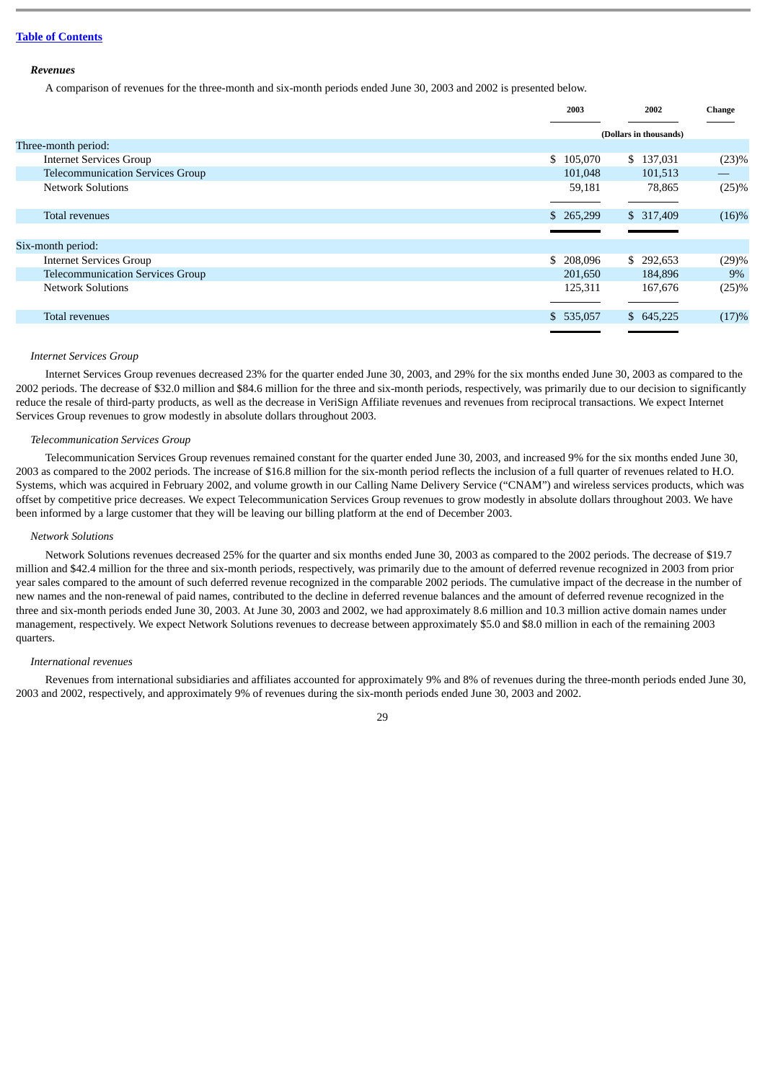## *Revenues*

A comparison of revenues for the three-month and six-month periods ended June 30, 2003 and 2002 is presented below.

|                                         | 2003       | 2002                   | <b>Change</b> |
|-----------------------------------------|------------|------------------------|---------------|
|                                         |            | (Dollars in thousands) |               |
| Three-month period:                     |            |                        |               |
| <b>Internet Services Group</b>          | \$105,070  | \$137,031              | (23)%         |
| <b>Telecommunication Services Group</b> | 101,048    | 101,513                |               |
| <b>Network Solutions</b>                | 59,181     | 78,865                 | (25)%         |
|                                         |            |                        |               |
| Total revenues                          | \$265,299  | \$ 317,409             | (16)%         |
|                                         |            |                        |               |
| Six-month period:                       |            |                        |               |
| <b>Internet Services Group</b>          | \$ 208,096 | \$292,653              | (29)%         |
| <b>Telecommunication Services Group</b> | 201,650    | 184,896                | 9%            |
| <b>Network Solutions</b>                | 125,311    | 167,676                | (25)%         |
|                                         |            |                        |               |
| Total revenues                          | \$535,057  | \$645,225              | (17)%         |
|                                         |            |                        |               |

## *Internet Services Group*

Internet Services Group revenues decreased 23% for the quarter ended June 30, 2003, and 29% for the six months ended June 30, 2003 as compared to the 2002 periods. The decrease of \$32.0 million and \$84.6 million for the three and six-month periods, respectively, was primarily due to our decision to significantly reduce the resale of third-party products, as well as the decrease in VeriSign Affiliate revenues and revenues from reciprocal transactions. We expect Internet Services Group revenues to grow modestly in absolute dollars throughout 2003.

### *Telecommunication Services Group*

Telecommunication Services Group revenues remained constant for the quarter ended June 30, 2003, and increased 9% for the six months ended June 30, 2003 as compared to the 2002 periods. The increase of \$16.8 million for the six-month period reflects the inclusion of a full quarter of revenues related to H.O. Systems, which was acquired in February 2002, and volume growth in our Calling Name Delivery Service ("CNAM") and wireless services products, which was offset by competitive price decreases. We expect Telecommunication Services Group revenues to grow modestly in absolute dollars throughout 2003. We have been informed by a large customer that they will be leaving our billing platform at the end of December 2003.

#### *Network Solutions*

Network Solutions revenues decreased 25% for the quarter and six months ended June 30, 2003 as compared to the 2002 periods. The decrease of \$19.7 million and \$42.4 million for the three and six-month periods, respectively, was primarily due to the amount of deferred revenue recognized in 2003 from prior year sales compared to the amount of such deferred revenue recognized in the comparable 2002 periods. The cumulative impact of the decrease in the number of new names and the non-renewal of paid names, contributed to the decline in deferred revenue balances and the amount of deferred revenue recognized in the three and six-month periods ended June 30, 2003. At June 30, 2003 and 2002, we had approximately 8.6 million and 10.3 million active domain names under management, respectively. We expect Network Solutions revenues to decrease between approximately \$5.0 and \$8.0 million in each of the remaining 2003 quarters.

#### *International revenues*

Revenues from international subsidiaries and affiliates accounted for approximately 9% and 8% of revenues during the three-month periods ended June 30, 2003 and 2002, respectively, and approximately 9% of revenues during the six-month periods ended June 30, 2003 and 2002.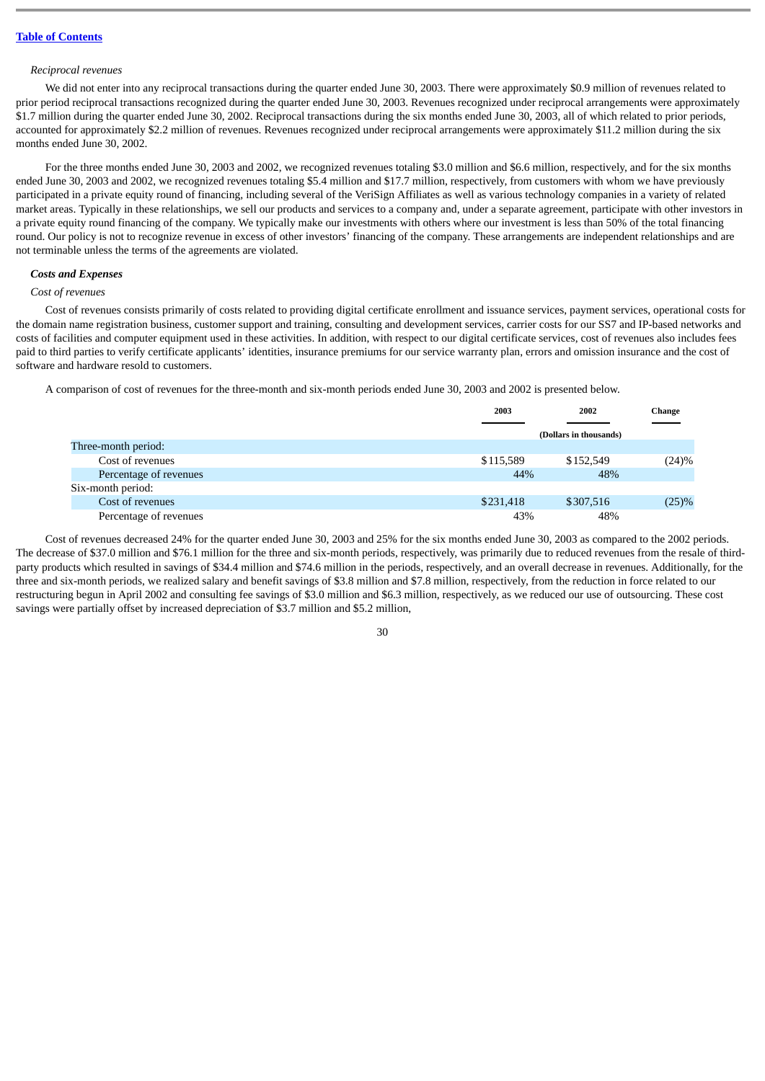#### *Reciprocal revenues*

We did not enter into any reciprocal transactions during the quarter ended June 30, 2003. There were approximately \$0.9 million of revenues related to prior period reciprocal transactions recognized during the quarter ended June 30, 2003. Revenues recognized under reciprocal arrangements were approximately \$1.7 million during the quarter ended June 30, 2002. Reciprocal transactions during the six months ended June 30, 2003, all of which related to prior periods, accounted for approximately \$2.2 million of revenues. Revenues recognized under reciprocal arrangements were approximately \$11.2 million during the six months ended June 30, 2002.

For the three months ended June 30, 2003 and 2002, we recognized revenues totaling \$3.0 million and \$6.6 million, respectively, and for the six months ended June 30, 2003 and 2002, we recognized revenues totaling \$5.4 million and \$17.7 million, respectively, from customers with whom we have previously participated in a private equity round of financing, including several of the VeriSign Affiliates as well as various technology companies in a variety of related market areas. Typically in these relationships, we sell our products and services to a company and, under a separate agreement, participate with other investors in a private equity round financing of the company. We typically make our investments with others where our investment is less than 50% of the total financing round. Our policy is not to recognize revenue in excess of other investors' financing of the company. These arrangements are independent relationships and are not terminable unless the terms of the agreements are violated.

## *Costs and Expenses*

#### *Cost of revenues*

Cost of revenues consists primarily of costs related to providing digital certificate enrollment and issuance services, payment services, operational costs for the domain name registration business, customer support and training, consulting and development services, carrier costs for our SS7 and IP-based networks and costs of facilities and computer equipment used in these activities. In addition, with respect to our digital certificate services, cost of revenues also includes fees paid to third parties to verify certificate applicants' identities, insurance premiums for our service warranty plan, errors and omission insurance and the cost of software and hardware resold to customers.

A comparison of cost of revenues for the three-month and six-month periods ended June 30, 2003 and 2002 is presented below.

|                        | 2003      | 2002                   | Change |
|------------------------|-----------|------------------------|--------|
|                        |           | (Dollars in thousands) |        |
| Three-month period:    |           |                        |        |
| Cost of revenues       | \$115,589 | \$152,549              | (24)%  |
| Percentage of revenues | 44%       | 48%                    |        |
| Six-month period:      |           |                        |        |
| Cost of revenues       | \$231,418 | \$307,516              | (25)%  |
| Percentage of revenues | 43%       | 48%                    |        |

Cost of revenues decreased 24% for the quarter ended June 30, 2003 and 25% for the six months ended June 30, 2003 as compared to the 2002 periods. The decrease of \$37.0 million and \$76.1 million for the three and six-month periods, respectively, was primarily due to reduced revenues from the resale of thirdparty products which resulted in savings of \$34.4 million and \$74.6 million in the periods, respectively, and an overall decrease in revenues. Additionally, for the three and six-month periods, we realized salary and benefit savings of \$3.8 million and \$7.8 million, respectively, from the reduction in force related to our restructuring begun in April 2002 and consulting fee savings of \$3.0 million and \$6.3 million, respectively, as we reduced our use of outsourcing. These cost savings were partially offset by increased depreciation of \$3.7 million and \$5.2 million,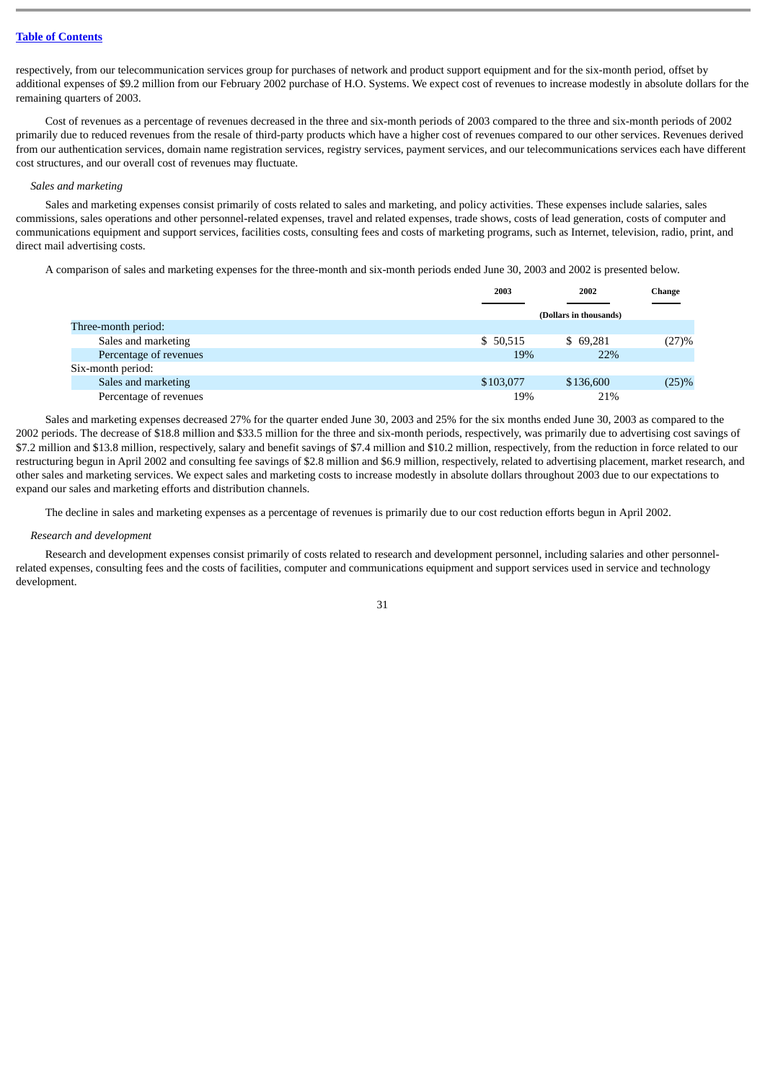respectively, from our telecommunication services group for purchases of network and product support equipment and for the six-month period, offset by additional expenses of \$9.2 million from our February 2002 purchase of H.O. Systems. We expect cost of revenues to increase modestly in absolute dollars for the remaining quarters of 2003.

Cost of revenues as a percentage of revenues decreased in the three and six-month periods of 2003 compared to the three and six-month periods of 2002 primarily due to reduced revenues from the resale of third-party products which have a higher cost of revenues compared to our other services. Revenues derived from our authentication services, domain name registration services, registry services, payment services, and our telecommunications services each have different cost structures, and our overall cost of revenues may fluctuate.

## *Sales and marketing*

Sales and marketing expenses consist primarily of costs related to sales and marketing, and policy activities. These expenses include salaries, sales commissions, sales operations and other personnel-related expenses, travel and related expenses, trade shows, costs of lead generation, costs of computer and communications equipment and support services, facilities costs, consulting fees and costs of marketing programs, such as Internet, television, radio, print, and direct mail advertising costs.

A comparison of sales and marketing expenses for the three-month and six-month periods ended June 30, 2003 and 2002 is presented below.

|                        | 2003      | 2002                   | Change |
|------------------------|-----------|------------------------|--------|
|                        |           | (Dollars in thousands) |        |
| Three-month period:    |           |                        |        |
| Sales and marketing    | \$50,515  | \$69,281               | (27)%  |
| Percentage of revenues | 19%       | 22%                    |        |
| Six-month period:      |           |                        |        |
| Sales and marketing    | \$103,077 | \$136,600              | (25)%  |
| Percentage of revenues | 19%       | 21%                    |        |

Sales and marketing expenses decreased 27% for the quarter ended June 30, 2003 and 25% for the six months ended June 30, 2003 as compared to the 2002 periods. The decrease of \$18.8 million and \$33.5 million for the three and six-month periods, respectively, was primarily due to advertising cost savings of \$7.2 million and \$13.8 million, respectively, salary and benefit savings of \$7.4 million and \$10.2 million, respectively, from the reduction in force related to our restructuring begun in April 2002 and consulting fee savings of \$2.8 million and \$6.9 million, respectively, related to advertising placement, market research, and other sales and marketing services. We expect sales and marketing costs to increase modestly in absolute dollars throughout 2003 due to our expectations to expand our sales and marketing efforts and distribution channels.

The decline in sales and marketing expenses as a percentage of revenues is primarily due to our cost reduction efforts begun in April 2002.

#### *Research and development*

Research and development expenses consist primarily of costs related to research and development personnel, including salaries and other personnelrelated expenses, consulting fees and the costs of facilities, computer and communications equipment and support services used in service and technology development.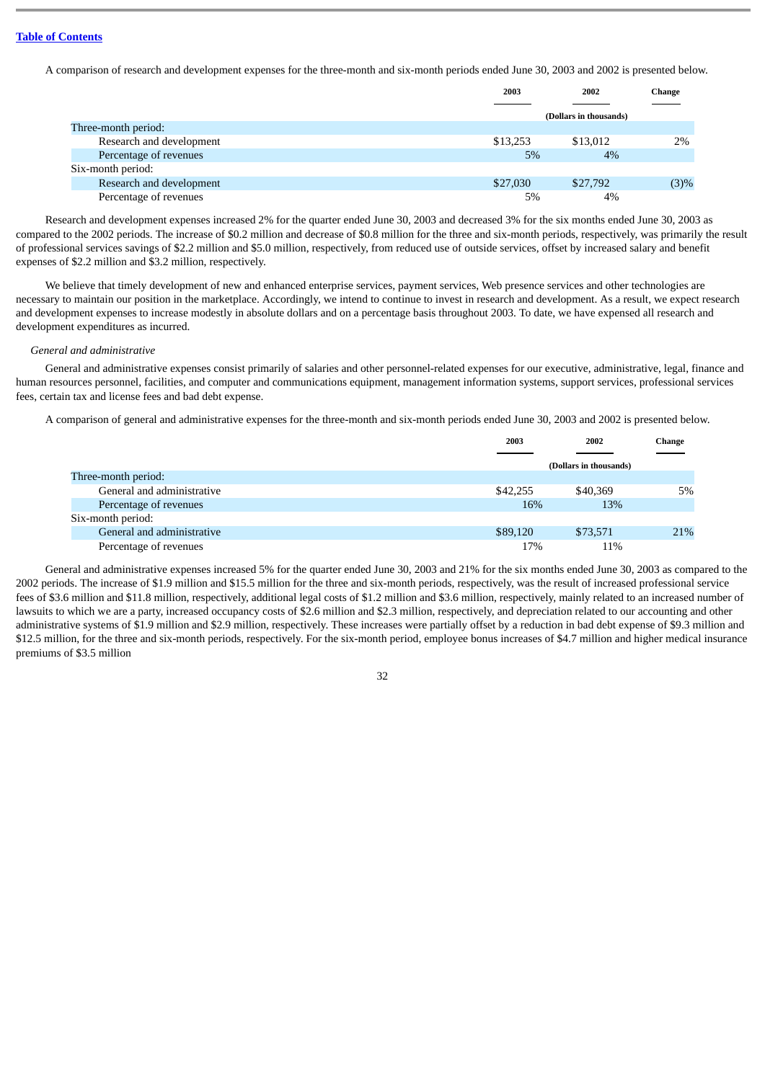A comparison of research and development expenses for the three-month and six-month periods ended June 30, 2003 and 2002 is presented below.

|                          | 2003     | 2002                   | Change |
|--------------------------|----------|------------------------|--------|
|                          |          | (Dollars in thousands) |        |
| Three-month period:      |          |                        |        |
| Research and development | \$13,253 | \$13,012               | 2%     |
| Percentage of revenues   | 5%       | 4%                     |        |
| Six-month period:        |          |                        |        |
| Research and development | \$27,030 | \$27,792               | (3)%   |
| Percentage of revenues   | 5%       | 4%                     |        |

Research and development expenses increased 2% for the quarter ended June 30, 2003 and decreased 3% for the six months ended June 30, 2003 as compared to the 2002 periods. The increase of \$0.2 million and decrease of \$0.8 million for the three and six-month periods, respectively, was primarily the result of professional services savings of \$2.2 million and \$5.0 million, respectively, from reduced use of outside services, offset by increased salary and benefit expenses of \$2.2 million and \$3.2 million, respectively.

We believe that timely development of new and enhanced enterprise services, payment services, Web presence services and other technologies are necessary to maintain our position in the marketplace. Accordingly, we intend to continue to invest in research and development. As a result, we expect research and development expenses to increase modestly in absolute dollars and on a percentage basis throughout 2003. To date, we have expensed all research and development expenditures as incurred.

## *General and administrative*

General and administrative expenses consist primarily of salaries and other personnel-related expenses for our executive, administrative, legal, finance and human resources personnel, facilities, and computer and communications equipment, management information systems, support services, professional services fees, certain tax and license fees and bad debt expense.

A comparison of general and administrative expenses for the three-month and six-month periods ended June 30, 2003 and 2002 is presented below.

|                            | 2003     | 2002                   | Change |
|----------------------------|----------|------------------------|--------|
|                            |          | (Dollars in thousands) |        |
| Three-month period:        |          |                        |        |
| General and administrative | \$42,255 | \$40,369               | 5%     |
| Percentage of revenues     | 16%      | 13%                    |        |
| Six-month period:          |          |                        |        |
| General and administrative | \$89,120 | \$73,571               | 21%    |
| Percentage of revenues     | 17%      | 11%                    |        |

General and administrative expenses increased 5% for the quarter ended June 30, 2003 and 21% for the six months ended June 30, 2003 as compared to the 2002 periods. The increase of \$1.9 million and \$15.5 million for the three and six-month periods, respectively, was the result of increased professional service fees of \$3.6 million and \$11.8 million, respectively, additional legal costs of \$1.2 million and \$3.6 million, respectively, mainly related to an increased number of lawsuits to which we are a party, increased occupancy costs of \$2.6 million and \$2.3 million, respectively, and depreciation related to our accounting and other administrative systems of \$1.9 million and \$2.9 million, respectively. These increases were partially offset by a reduction in bad debt expense of \$9.3 million and \$12.5 million, for the three and six-month periods, respectively. For the six-month period, employee bonus increases of \$4.7 million and higher medical insurance premiums of \$3.5 million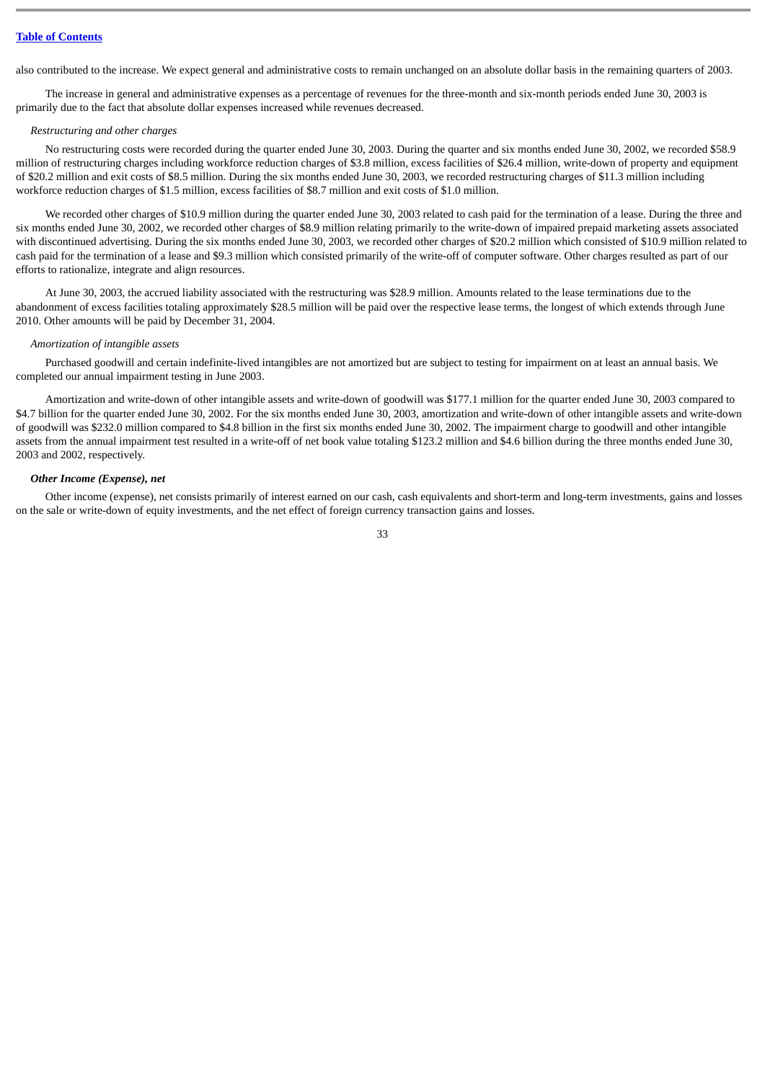also contributed to the increase. We expect general and administrative costs to remain unchanged on an absolute dollar basis in the remaining quarters of 2003.

The increase in general and administrative expenses as a percentage of revenues for the three-month and six-month periods ended June 30, 2003 is primarily due to the fact that absolute dollar expenses increased while revenues decreased.

### *Restructuring and other charges*

No restructuring costs were recorded during the quarter ended June 30, 2003. During the quarter and six months ended June 30, 2002, we recorded \$58.9 million of restructuring charges including workforce reduction charges of \$3.8 million, excess facilities of \$26.4 million, write-down of property and equipment of \$20.2 million and exit costs of \$8.5 million. During the six months ended June 30, 2003, we recorded restructuring charges of \$11.3 million including workforce reduction charges of \$1.5 million, excess facilities of \$8.7 million and exit costs of \$1.0 million.

We recorded other charges of \$10.9 million during the quarter ended June 30, 2003 related to cash paid for the termination of a lease. During the three and six months ended June 30, 2002, we recorded other charges of \$8.9 million relating primarily to the write-down of impaired prepaid marketing assets associated with discontinued advertising. During the six months ended June 30, 2003, we recorded other charges of \$20.2 million which consisted of \$10.9 million related to cash paid for the termination of a lease and \$9.3 million which consisted primarily of the write-off of computer software. Other charges resulted as part of our efforts to rationalize, integrate and align resources.

At June 30, 2003, the accrued liability associated with the restructuring was \$28.9 million. Amounts related to the lease terminations due to the abandonment of excess facilities totaling approximately \$28.5 million will be paid over the respective lease terms, the longest of which extends through June 2010. Other amounts will be paid by December 31, 2004.

#### *Amortization of intangible assets*

Purchased goodwill and certain indefinite-lived intangibles are not amortized but are subject to testing for impairment on at least an annual basis. We completed our annual impairment testing in June 2003.

Amortization and write-down of other intangible assets and write-down of goodwill was \$177.1 million for the quarter ended June 30, 2003 compared to \$4.7 billion for the quarter ended June 30, 2002. For the six months ended June 30, 2003, amortization and write-down of other intangible assets and write-down of goodwill was \$232.0 million compared to \$4.8 billion in the first six months ended June 30, 2002. The impairment charge to goodwill and other intangible assets from the annual impairment test resulted in a write-off of net book value totaling \$123.2 million and \$4.6 billion during the three months ended June 30, 2003 and 2002, respectively.

### *Other Income (Expense), net*

Other income (expense), net consists primarily of interest earned on our cash, cash equivalents and short-term and long-term investments, gains and losses on the sale or write-down of equity investments, and the net effect of foreign currency transaction gains and losses.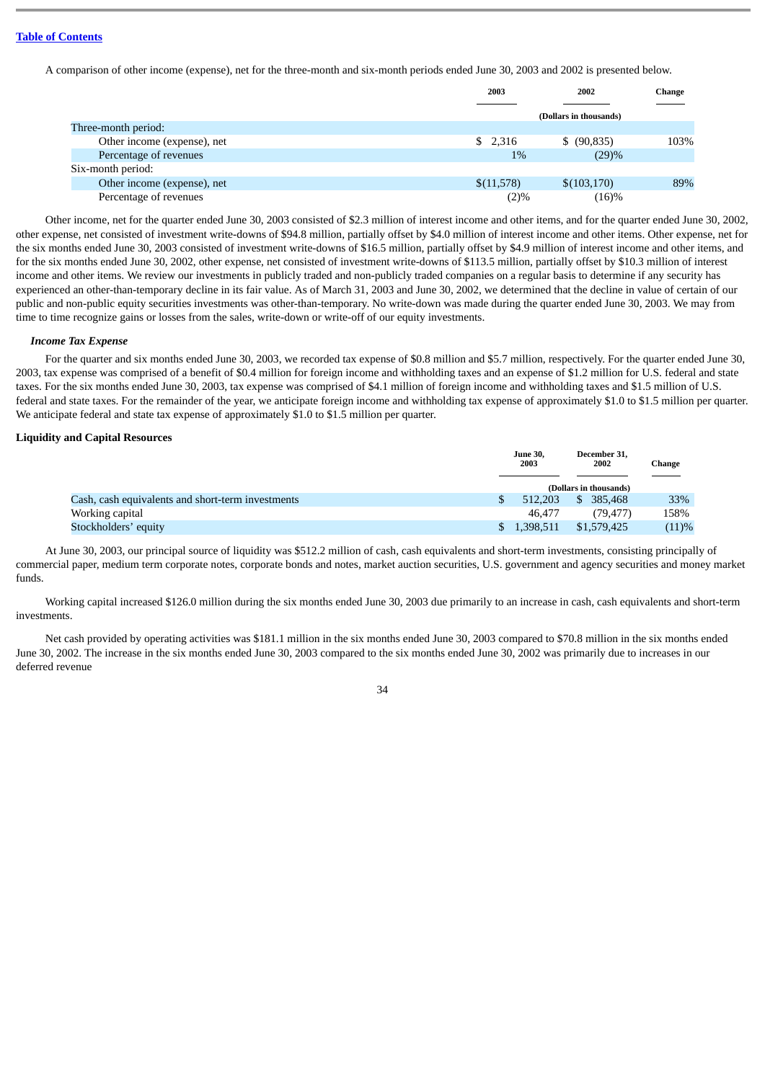A comparison of other income (expense), net for the three-month and six-month periods ended June 30, 2003 and 2002 is presented below.

|                             | 2003       | 2002                   | Change |
|-----------------------------|------------|------------------------|--------|
|                             |            | (Dollars in thousands) |        |
| Three-month period:         |            |                        |        |
| Other income (expense), net | \$2,316    | $$^{(90,835)}$         | 103%   |
| Percentage of revenues      | $1\%$      | (29)%                  |        |
| Six-month period:           |            |                        |        |
| Other income (expense), net | \$(11,578) | \$(103,170)            | 89%    |
| Percentage of revenues      | $(2)\%$    | (16)%                  |        |

Other income, net for the quarter ended June 30, 2003 consisted of \$2.3 million of interest income and other items, and for the quarter ended June 30, 2002, other expense, net consisted of investment write-downs of \$94.8 million, partially offset by \$4.0 million of interest income and other items. Other expense, net for the six months ended June 30, 2003 consisted of investment write-downs of \$16.5 million, partially offset by \$4.9 million of interest income and other items, and for the six months ended June 30, 2002, other expense, net consisted of investment write-downs of \$113.5 million, partially offset by \$10.3 million of interest income and other items. We review our investments in publicly traded and non-publicly traded companies on a regular basis to determine if any security has experienced an other-than-temporary decline in its fair value. As of March 31, 2003 and June 30, 2002, we determined that the decline in value of certain of our public and non-public equity securities investments was other-than-temporary. No write-down was made during the quarter ended June 30, 2003. We may from time to time recognize gains or losses from the sales, write-down or write-off of our equity investments.

#### *Income Tax Expense*

For the quarter and six months ended June 30, 2003, we recorded tax expense of \$0.8 million and \$5.7 million, respectively. For the quarter ended June 30, 2003, tax expense was comprised of a benefit of \$0.4 million for foreign income and withholding taxes and an expense of \$1.2 million for U.S. federal and state taxes. For the six months ended June 30, 2003, tax expense was comprised of \$4.1 million of foreign income and withholding taxes and \$1.5 million of U.S. federal and state taxes. For the remainder of the year, we anticipate foreign income and withholding tax expense of approximately \$1.0 to \$1.5 million per quarter. We anticipate federal and state tax expense of approximately \$1.0 to \$1.5 million per quarter.

## **Liquidity and Capital Resources**

|                                                   | <b>June 30,</b><br>2003 | December 31,<br>2002   | Change |
|---------------------------------------------------|-------------------------|------------------------|--------|
|                                                   |                         | (Dollars in thousands) |        |
| Cash, cash equivalents and short-term investments | 512.203                 | 385,468                | 33%    |
| Working capital                                   | 46.477                  | (79.477)               | 158%   |
| Stockholders' equity                              | 1.398.511               | \$1,579,425            | (11)%  |

At June 30, 2003, our principal source of liquidity was \$512.2 million of cash, cash equivalents and short-term investments, consisting principally of commercial paper, medium term corporate notes, corporate bonds and notes, market auction securities, U.S. government and agency securities and money market funds.

Working capital increased \$126.0 million during the six months ended June 30, 2003 due primarily to an increase in cash, cash equivalents and short-term investments.

Net cash provided by operating activities was \$181.1 million in the six months ended June 30, 2003 compared to \$70.8 million in the six months ended June 30, 2002. The increase in the six months ended June 30, 2003 compared to the six months ended June 30, 2002 was primarily due to increases in our deferred revenue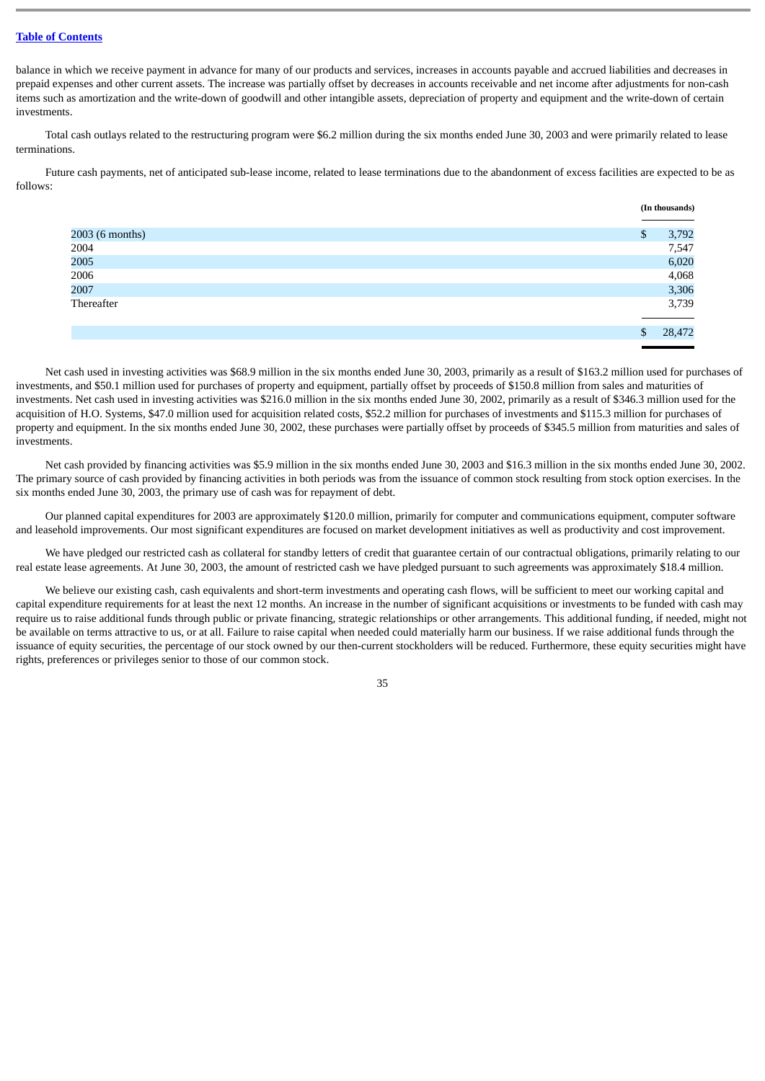balance in which we receive payment in advance for many of our products and services, increases in accounts payable and accrued liabilities and decreases in prepaid expenses and other current assets. The increase was partially offset by decreases in accounts receivable and net income after adjustments for non-cash items such as amortization and the write-down of goodwill and other intangible assets, depreciation of property and equipment and the write-down of certain investments.

Total cash outlays related to the restructuring program were \$6.2 million during the six months ended June 30, 2003 and were primarily related to lease terminations.

Future cash payments, net of anticipated sub-lease income, related to lease terminations due to the abandonment of excess facilities are expected to be as follows:

|                 | (in monomus) |
|-----------------|--------------|
| 2003 (6 months) | 3,792<br>\$  |
| 2004            | 7,547        |
| 2005            | 6,020        |
| 2006            | 4,068        |
| 2007            | 3,306        |
| Thereafter      | 3,739        |
|                 |              |
|                 | 28,472<br>\$ |
|                 |              |

**(In thousands)**

Net cash used in investing activities was \$68.9 million in the six months ended June 30, 2003, primarily as a result of \$163.2 million used for purchases of investments, and \$50.1 million used for purchases of property and equipment, partially offset by proceeds of \$150.8 million from sales and maturities of investments. Net cash used in investing activities was \$216.0 million in the six months ended June 30, 2002, primarily as a result of \$346.3 million used for the acquisition of H.O. Systems, \$47.0 million used for acquisition related costs, \$52.2 million for purchases of investments and \$115.3 million for purchases of property and equipment. In the six months ended June 30, 2002, these purchases were partially offset by proceeds of \$345.5 million from maturities and sales of investments.

Net cash provided by financing activities was \$5.9 million in the six months ended June 30, 2003 and \$16.3 million in the six months ended June 30, 2002. The primary source of cash provided by financing activities in both periods was from the issuance of common stock resulting from stock option exercises. In the six months ended June 30, 2003, the primary use of cash was for repayment of debt.

Our planned capital expenditures for 2003 are approximately \$120.0 million, primarily for computer and communications equipment, computer software and leasehold improvements. Our most significant expenditures are focused on market development initiatives as well as productivity and cost improvement.

We have pledged our restricted cash as collateral for standby letters of credit that guarantee certain of our contractual obligations, primarily relating to our real estate lease agreements. At June 30, 2003, the amount of restricted cash we have pledged pursuant to such agreements was approximately \$18.4 million.

We believe our existing cash, cash equivalents and short-term investments and operating cash flows, will be sufficient to meet our working capital and capital expenditure requirements for at least the next 12 months. An increase in the number of significant acquisitions or investments to be funded with cash may require us to raise additional funds through public or private financing, strategic relationships or other arrangements. This additional funding, if needed, might not be available on terms attractive to us, or at all. Failure to raise capital when needed could materially harm our business. If we raise additional funds through the issuance of equity securities, the percentage of our stock owned by our then-current stockholders will be reduced. Furthermore, these equity securities might have rights, preferences or privileges senior to those of our common stock.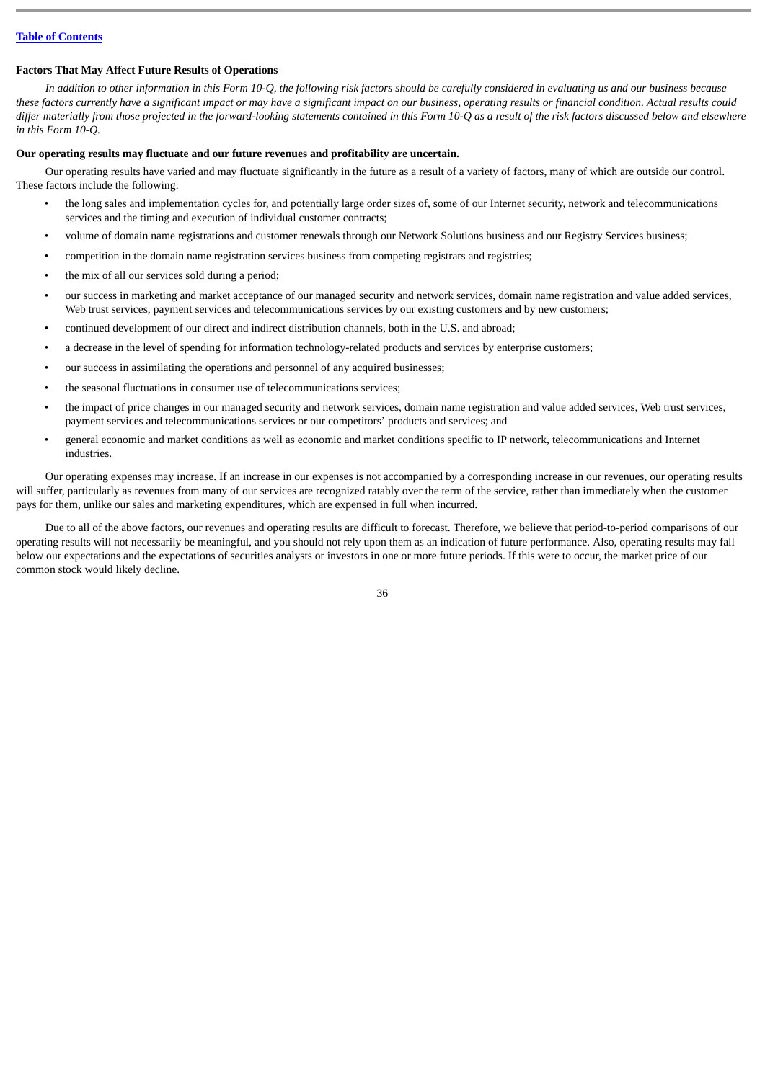## **Factors That May Affect Future Results of Operations**

*In addition to other information in this Form 10-Q, the following risk factors should be carefully considered in evaluating us and our business because these factors currently have a significant impact or may have a significant impact on our business, operating results or financial condition. Actual results could differ materially from those projected in the forward-looking statements contained in this Form 10-Q as a result of the risk factors discussed below and elsewhere in this Form 10-Q.*

### **Our operating results may fluctuate and our future revenues and profitability are uncertain.**

Our operating results have varied and may fluctuate significantly in the future as a result of a variety of factors, many of which are outside our control. These factors include the following:

- the long sales and implementation cycles for, and potentially large order sizes of, some of our Internet security, network and telecommunications services and the timing and execution of individual customer contracts;
- volume of domain name registrations and customer renewals through our Network Solutions business and our Registry Services business;
- competition in the domain name registration services business from competing registrars and registries;
- the mix of all our services sold during a period:
- our success in marketing and market acceptance of our managed security and network services, domain name registration and value added services, Web trust services, payment services and telecommunications services by our existing customers and by new customers;
- continued development of our direct and indirect distribution channels, both in the U.S. and abroad;
- a decrease in the level of spending for information technology-related products and services by enterprise customers;
- our success in assimilating the operations and personnel of any acquired businesses;
- the seasonal fluctuations in consumer use of telecommunications services;
- the impact of price changes in our managed security and network services, domain name registration and value added services, Web trust services, payment services and telecommunications services or our competitors' products and services; and
- general economic and market conditions as well as economic and market conditions specific to IP network, telecommunications and Internet industries.

Our operating expenses may increase. If an increase in our expenses is not accompanied by a corresponding increase in our revenues, our operating results will suffer, particularly as revenues from many of our services are recognized ratably over the term of the service, rather than immediately when the customer pays for them, unlike our sales and marketing expenditures, which are expensed in full when incurred.

Due to all of the above factors, our revenues and operating results are difficult to forecast. Therefore, we believe that period-to-period comparisons of our operating results will not necessarily be meaningful, and you should not rely upon them as an indication of future performance. Also, operating results may fall below our expectations and the expectations of securities analysts or investors in one or more future periods. If this were to occur, the market price of our common stock would likely decline.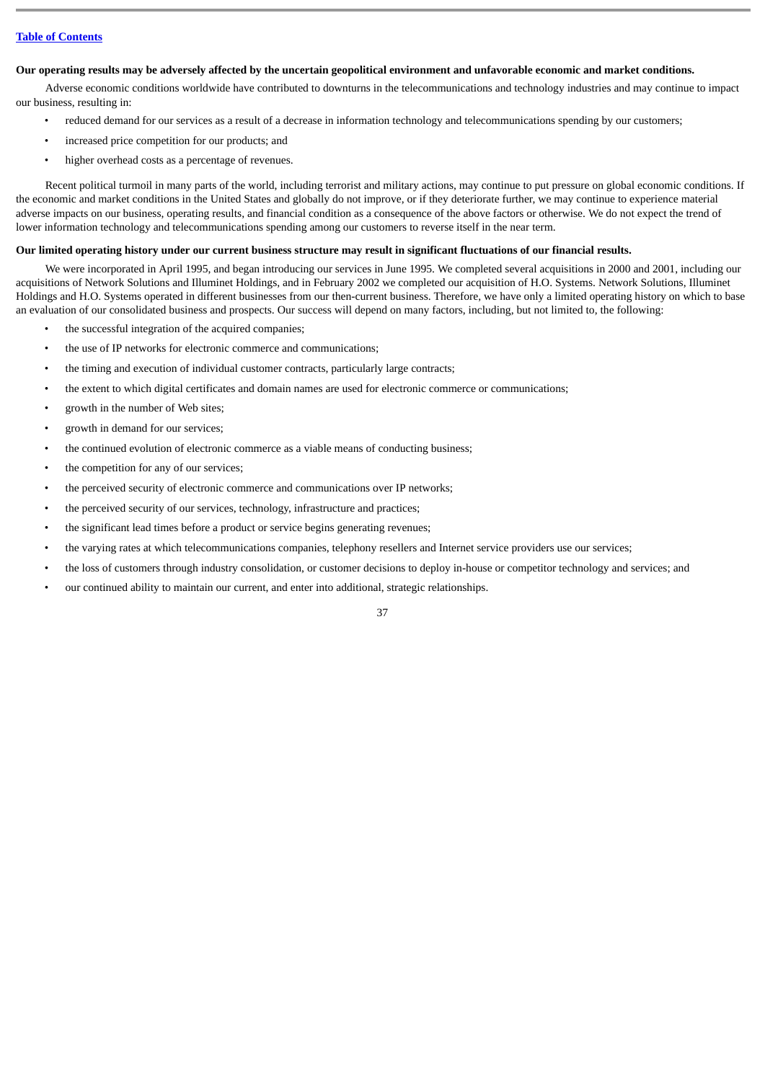#### **Our operating results may be adversely affected by the uncertain geopolitical environment and unfavorable economic and market conditions.**

Adverse economic conditions worldwide have contributed to downturns in the telecommunications and technology industries and may continue to impact our business, resulting in:

- reduced demand for our services as a result of a decrease in information technology and telecommunications spending by our customers;
- increased price competition for our products; and
- higher overhead costs as a percentage of revenues.

Recent political turmoil in many parts of the world, including terrorist and military actions, may continue to put pressure on global economic conditions. If the economic and market conditions in the United States and globally do not improve, or if they deteriorate further, we may continue to experience material adverse impacts on our business, operating results, and financial condition as a consequence of the above factors or otherwise. We do not expect the trend of lower information technology and telecommunications spending among our customers to reverse itself in the near term.

#### **Our limited operating history under our current business structure may result in significant fluctuations of our financial results.**

We were incorporated in April 1995, and began introducing our services in June 1995. We completed several acquisitions in 2000 and 2001, including our acquisitions of Network Solutions and Illuminet Holdings, and in February 2002 we completed our acquisition of H.O. Systems. Network Solutions, Illuminet Holdings and H.O. Systems operated in different businesses from our then-current business. Therefore, we have only a limited operating history on which to base an evaluation of our consolidated business and prospects. Our success will depend on many factors, including, but not limited to, the following:

- the successful integration of the acquired companies;
- the use of IP networks for electronic commerce and communications;
- the timing and execution of individual customer contracts, particularly large contracts;
- the extent to which digital certificates and domain names are used for electronic commerce or communications;
- growth in the number of Web sites;
- growth in demand for our services;
- the continued evolution of electronic commerce as a viable means of conducting business;
- the competition for any of our services;
- the perceived security of electronic commerce and communications over IP networks;
- the perceived security of our services, technology, infrastructure and practices;
- the significant lead times before a product or service begins generating revenues;
- the varying rates at which telecommunications companies, telephony resellers and Internet service providers use our services;
- the loss of customers through industry consolidation, or customer decisions to deploy in-house or competitor technology and services; and
- our continued ability to maintain our current, and enter into additional, strategic relationships.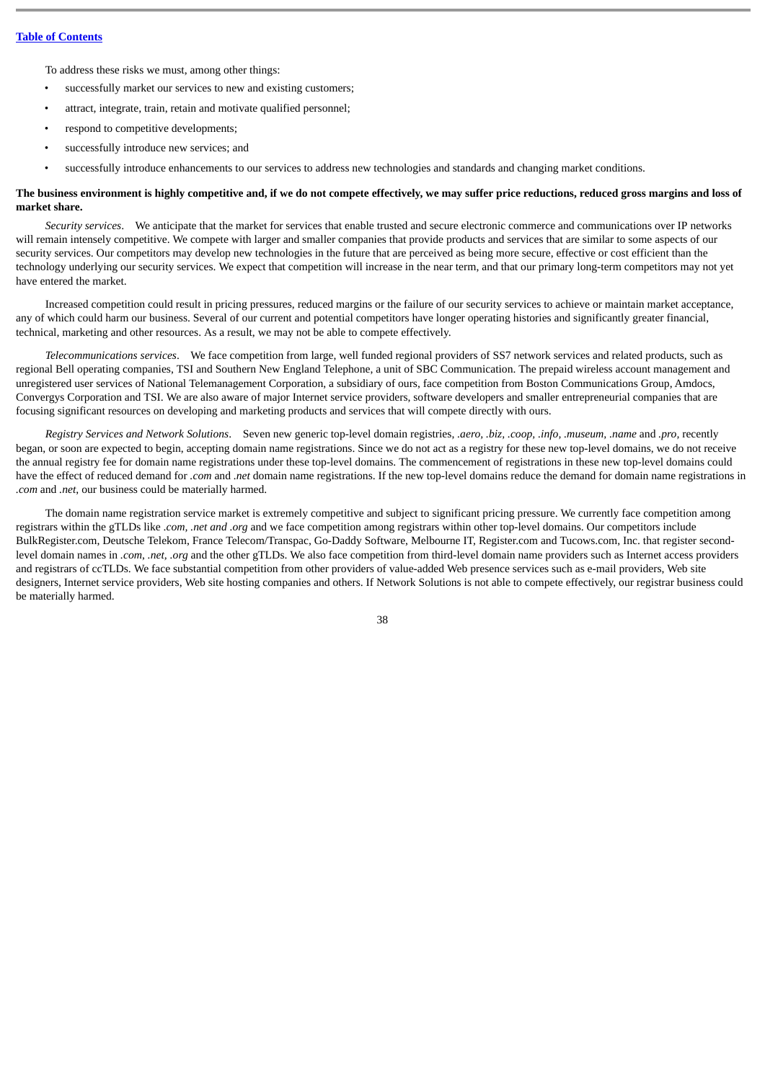To address these risks we must, among other things:

- successfully market our services to new and existing customers;
- attract, integrate, train, retain and motivate qualified personnel;
- respond to competitive developments;
- successfully introduce new services; and
- successfully introduce enhancements to our services to address new technologies and standards and changing market conditions.

## **The business environment is highly competitive and, if we do not compete effectively, we may suffer price reductions, reduced gross margins and loss of market share.**

*Security services*. We anticipate that the market for services that enable trusted and secure electronic commerce and communications over IP networks will remain intensely competitive. We compete with larger and smaller companies that provide products and services that are similar to some aspects of our security services. Our competitors may develop new technologies in the future that are perceived as being more secure, effective or cost efficient than the technology underlying our security services. We expect that competition will increase in the near term, and that our primary long-term competitors may not yet have entered the market.

Increased competition could result in pricing pressures, reduced margins or the failure of our security services to achieve or maintain market acceptance, any of which could harm our business. Several of our current and potential competitors have longer operating histories and significantly greater financial, technical, marketing and other resources. As a result, we may not be able to compete effectively.

*Telecommunications services*. We face competition from large, well funded regional providers of SS7 network services and related products, such as regional Bell operating companies, TSI and Southern New England Telephone, a unit of SBC Communication. The prepaid wireless account management and unregistered user services of National Telemanagement Corporation, a subsidiary of ours, face competition from Boston Communications Group, Amdocs, Convergys Corporation and TSI. We are also aware of major Internet service providers, software developers and smaller entrepreneurial companies that are focusing significant resources on developing and marketing products and services that will compete directly with ours.

*Registry Services and Network Solutions*. Seven new generic top-level domain registries, *.aero, .biz, .coop, .info, .museum, .name* and *.pro,* recently began, or soon are expected to begin, accepting domain name registrations. Since we do not act as a registry for these new top-level domains, we do not receive the annual registry fee for domain name registrations under these top-level domains. The commencement of registrations in these new top-level domains could have the effect of reduced demand for *.com* and *.net* domain name registrations. If the new top-level domains reduce the demand for domain name registrations in *.com* and *.net*, our business could be materially harmed.

The domain name registration service market is extremely competitive and subject to significant pricing pressure. We currently face competition among registrars within the gTLDs like .*com, .net and .org* and we face competition among registrars within other top-level domains. Our competitors include BulkRegister.com, Deutsche Telekom, France Telecom/Transpac, Go-Daddy Software, Melbourne IT, Register.com and Tucows.com, Inc. that register secondlevel domain names in *.com*, *.net, .org* and the other gTLDs. We also face competition from third-level domain name providers such as Internet access providers and registrars of ccTLDs. We face substantial competition from other providers of value-added Web presence services such as e-mail providers, Web site designers, Internet service providers, Web site hosting companies and others. If Network Solutions is not able to compete effectively, our registrar business could be materially harmed.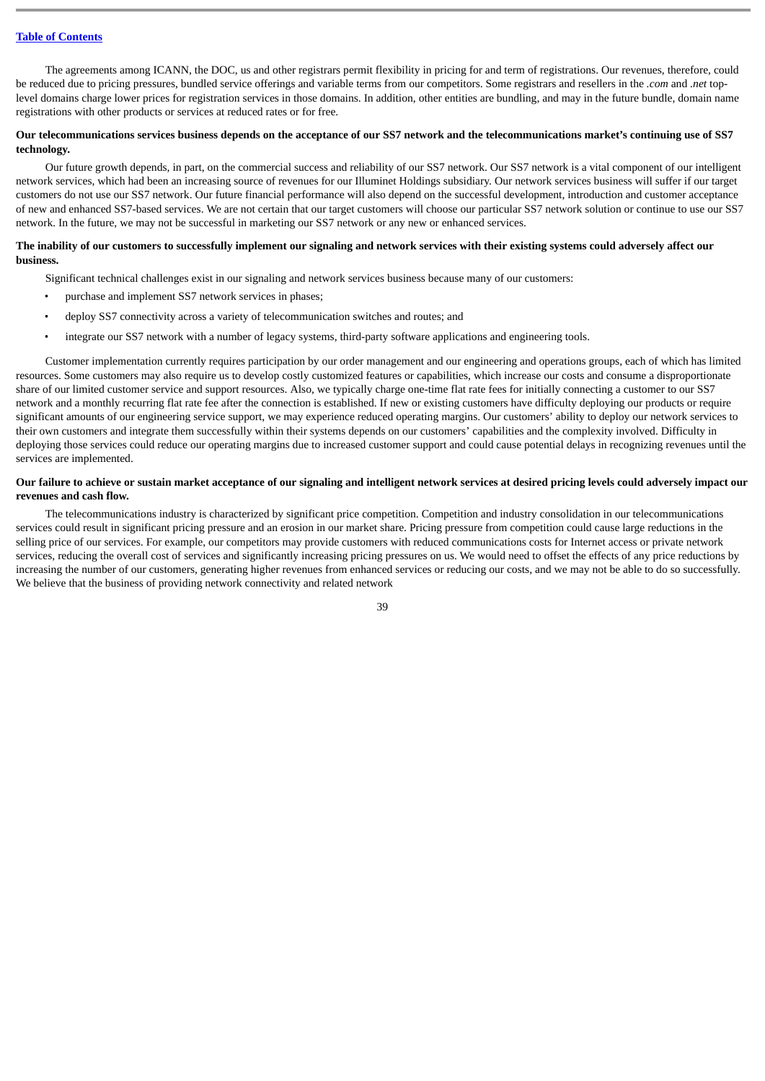The agreements among ICANN, the DOC, us and other registrars permit flexibility in pricing for and term of registrations. Our revenues, therefore, could be reduced due to pricing pressures, bundled service offerings and variable terms from our competitors. Some registrars and resellers in the *.com* and *.net* toplevel domains charge lower prices for registration services in those domains. In addition, other entities are bundling, and may in the future bundle, domain name registrations with other products or services at reduced rates or for free.

# **Our telecommunications services business depends on the acceptance of our SS7 network and the telecommunications market's continuing use of SS7 technology.**

Our future growth depends, in part, on the commercial success and reliability of our SS7 network. Our SS7 network is a vital component of our intelligent network services, which had been an increasing source of revenues for our Illuminet Holdings subsidiary. Our network services business will suffer if our target customers do not use our SS7 network. Our future financial performance will also depend on the successful development, introduction and customer acceptance of new and enhanced SS7-based services. We are not certain that our target customers will choose our particular SS7 network solution or continue to use our SS7 network. In the future, we may not be successful in marketing our SS7 network or any new or enhanced services.

#### **The inability of our customers to successfully implement our signaling and network services with their existing systems could adversely affect our business.**

Significant technical challenges exist in our signaling and network services business because many of our customers:

- purchase and implement SS7 network services in phases;
- deploy SS7 connectivity across a variety of telecommunication switches and routes; and
- integrate our SS7 network with a number of legacy systems, third-party software applications and engineering tools.

Customer implementation currently requires participation by our order management and our engineering and operations groups, each of which has limited resources. Some customers may also require us to develop costly customized features or capabilities, which increase our costs and consume a disproportionate share of our limited customer service and support resources. Also, we typically charge one-time flat rate fees for initially connecting a customer to our SS7 network and a monthly recurring flat rate fee after the connection is established. If new or existing customers have difficulty deploying our products or require significant amounts of our engineering service support, we may experience reduced operating margins. Our customers' ability to deploy our network services to their own customers and integrate them successfully within their systems depends on our customers' capabilities and the complexity involved. Difficulty in deploying those services could reduce our operating margins due to increased customer support and could cause potential delays in recognizing revenues until the services are implemented.

# **Our failure to achieve or sustain market acceptance of our signaling and intelligent network services at desired pricing levels could adversely impact our revenues and cash flow.**

The telecommunications industry is characterized by significant price competition. Competition and industry consolidation in our telecommunications services could result in significant pricing pressure and an erosion in our market share. Pricing pressure from competition could cause large reductions in the selling price of our services. For example, our competitors may provide customers with reduced communications costs for Internet access or private network services, reducing the overall cost of services and significantly increasing pricing pressures on us. We would need to offset the effects of any price reductions by increasing the number of our customers, generating higher revenues from enhanced services or reducing our costs, and we may not be able to do so successfully. We believe that the business of providing network connectivity and related network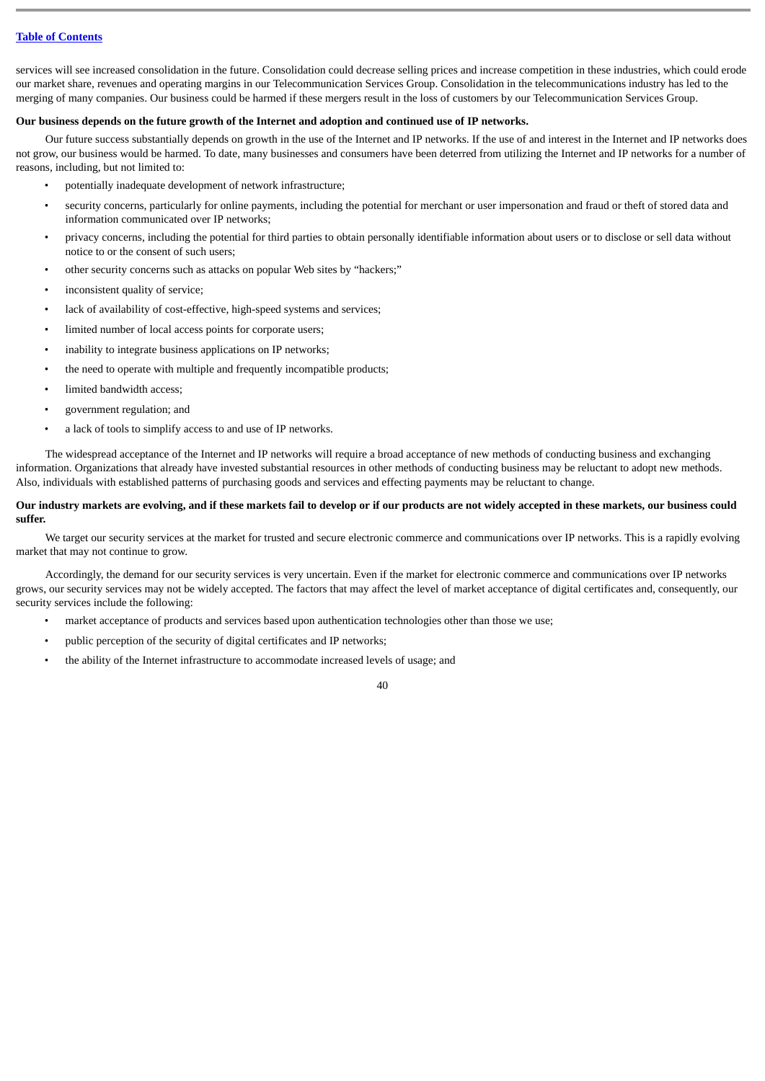services will see increased consolidation in the future. Consolidation could decrease selling prices and increase competition in these industries, which could erode our market share, revenues and operating margins in our Telecommunication Services Group. Consolidation in the telecommunications industry has led to the merging of many companies. Our business could be harmed if these mergers result in the loss of customers by our Telecommunication Services Group.

#### **Our business depends on the future growth of the Internet and adoption and continued use of IP networks.**

Our future success substantially depends on growth in the use of the Internet and IP networks. If the use of and interest in the Internet and IP networks does not grow, our business would be harmed. To date, many businesses and consumers have been deterred from utilizing the Internet and IP networks for a number of reasons, including, but not limited to:

- potentially inadequate development of network infrastructure;
- security concerns, particularly for online payments, including the potential for merchant or user impersonation and fraud or theft of stored data and information communicated over IP networks;
- privacy concerns, including the potential for third parties to obtain personally identifiable information about users or to disclose or sell data without notice to or the consent of such users;
- other security concerns such as attacks on popular Web sites by "hackers;"
- inconsistent quality of service;
- lack of availability of cost-effective, high-speed systems and services;
- limited number of local access points for corporate users;
- inability to integrate business applications on IP networks;
- the need to operate with multiple and frequently incompatible products;
- limited bandwidth access;
- government regulation; and
- a lack of tools to simplify access to and use of IP networks.

The widespread acceptance of the Internet and IP networks will require a broad acceptance of new methods of conducting business and exchanging information. Organizations that already have invested substantial resources in other methods of conducting business may be reluctant to adopt new methods. Also, individuals with established patterns of purchasing goods and services and effecting payments may be reluctant to change.

## **Our industry markets are evolving, and if these markets fail to develop or if our products are not widely accepted in these markets, our business could suffer.**

We target our security services at the market for trusted and secure electronic commerce and communications over IP networks. This is a rapidly evolving market that may not continue to grow.

Accordingly, the demand for our security services is very uncertain. Even if the market for electronic commerce and communications over IP networks grows, our security services may not be widely accepted. The factors that may affect the level of market acceptance of digital certificates and, consequently, our security services include the following:

- market acceptance of products and services based upon authentication technologies other than those we use;
- public perception of the security of digital certificates and IP networks;
- the ability of the Internet infrastructure to accommodate increased levels of usage; and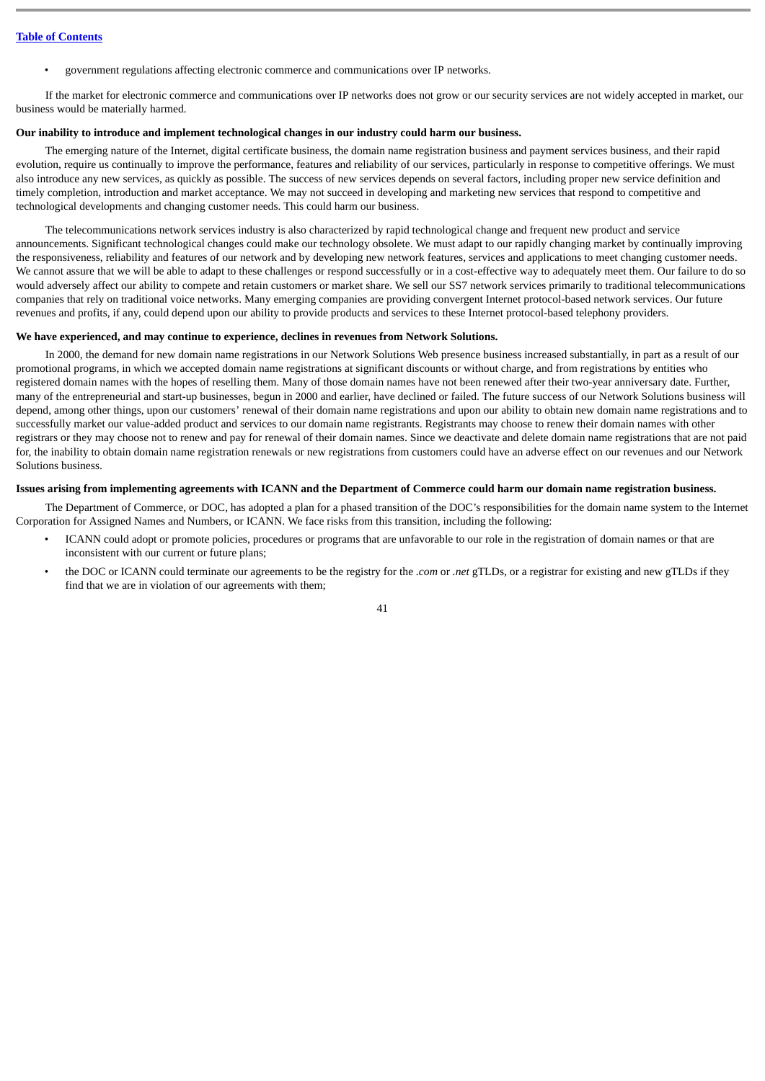• government regulations affecting electronic commerce and communications over IP networks.

If the market for electronic commerce and communications over IP networks does not grow or our security services are not widely accepted in market, our business would be materially harmed.

### **Our inability to introduce and implement technological changes in our industry could harm our business.**

The emerging nature of the Internet, digital certificate business, the domain name registration business and payment services business, and their rapid evolution, require us continually to improve the performance, features and reliability of our services, particularly in response to competitive offerings. We must also introduce any new services, as quickly as possible. The success of new services depends on several factors, including proper new service definition and timely completion, introduction and market acceptance. We may not succeed in developing and marketing new services that respond to competitive and technological developments and changing customer needs. This could harm our business.

The telecommunications network services industry is also characterized by rapid technological change and frequent new product and service announcements. Significant technological changes could make our technology obsolete. We must adapt to our rapidly changing market by continually improving the responsiveness, reliability and features of our network and by developing new network features, services and applications to meet changing customer needs. We cannot assure that we will be able to adapt to these challenges or respond successfully or in a cost-effective way to adequately meet them. Our failure to do so would adversely affect our ability to compete and retain customers or market share. We sell our SS7 network services primarily to traditional telecommunications companies that rely on traditional voice networks. Many emerging companies are providing convergent Internet protocol-based network services. Our future revenues and profits, if any, could depend upon our ability to provide products and services to these Internet protocol-based telephony providers.

#### **We have experienced, and may continue to experience, declines in revenues from Network Solutions.**

In 2000, the demand for new domain name registrations in our Network Solutions Web presence business increased substantially, in part as a result of our promotional programs, in which we accepted domain name registrations at significant discounts or without charge, and from registrations by entities who registered domain names with the hopes of reselling them. Many of those domain names have not been renewed after their two-year anniversary date. Further, many of the entrepreneurial and start-up businesses, begun in 2000 and earlier, have declined or failed. The future success of our Network Solutions business will depend, among other things, upon our customers' renewal of their domain name registrations and upon our ability to obtain new domain name registrations and to successfully market our value-added product and services to our domain name registrants. Registrants may choose to renew their domain names with other registrars or they may choose not to renew and pay for renewal of their domain names. Since we deactivate and delete domain name registrations that are not paid for, the inability to obtain domain name registration renewals or new registrations from customers could have an adverse effect on our revenues and our Network Solutions business.

#### **Issues arising from implementing agreements with ICANN and the Department of Commerce could harm our domain name registration business.**

The Department of Commerce, or DOC, has adopted a plan for a phased transition of the DOC's responsibilities for the domain name system to the Internet Corporation for Assigned Names and Numbers, or ICANN. We face risks from this transition, including the following:

- ICANN could adopt or promote policies, procedures or programs that are unfavorable to our role in the registration of domain names or that are inconsistent with our current or future plans;
- the DOC or ICANN could terminate our agreements to be the registry for the *.com* or *.net* gTLDs, or a registrar for existing and new gTLDs if they find that we are in violation of our agreements with them;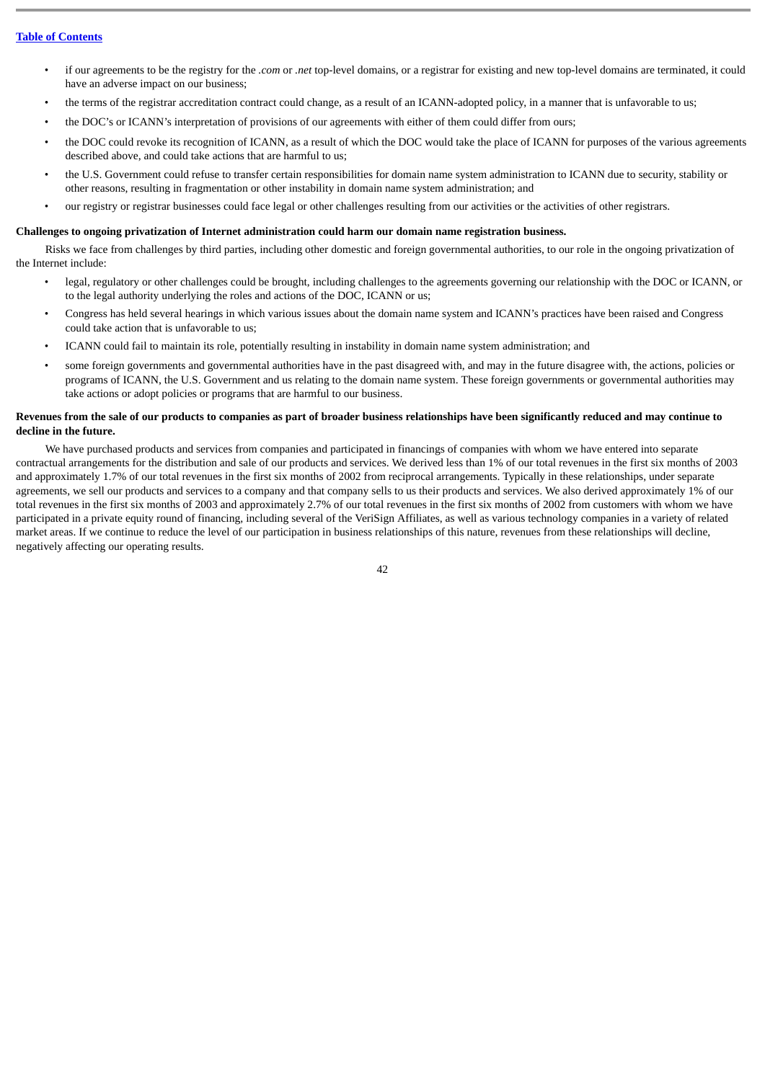- if our agreements to be the registry for the *.com* or *.net* top-level domains, or a registrar for existing and new top-level domains are terminated, it could have an adverse impact on our business;
- the terms of the registrar accreditation contract could change, as a result of an ICANN-adopted policy, in a manner that is unfavorable to us;
- the DOC's or ICANN's interpretation of provisions of our agreements with either of them could differ from ours;
- the DOC could revoke its recognition of ICANN, as a result of which the DOC would take the place of ICANN for purposes of the various agreements described above, and could take actions that are harmful to us;
- the U.S. Government could refuse to transfer certain responsibilities for domain name system administration to ICANN due to security, stability or other reasons, resulting in fragmentation or other instability in domain name system administration; and
- our registry or registrar businesses could face legal or other challenges resulting from our activities or the activities of other registrars.

# **Challenges to ongoing privatization of Internet administration could harm our domain name registration business.**

Risks we face from challenges by third parties, including other domestic and foreign governmental authorities, to our role in the ongoing privatization of the Internet include:

- legal, regulatory or other challenges could be brought, including challenges to the agreements governing our relationship with the DOC or ICANN, or to the legal authority underlying the roles and actions of the DOC, ICANN or us;
- Congress has held several hearings in which various issues about the domain name system and ICANN's practices have been raised and Congress could take action that is unfavorable to us;
- ICANN could fail to maintain its role, potentially resulting in instability in domain name system administration; and
- some foreign governments and governmental authorities have in the past disagreed with, and may in the future disagree with, the actions, policies or programs of ICANN, the U.S. Government and us relating to the domain name system. These foreign governments or governmental authorities may take actions or adopt policies or programs that are harmful to our business.

# **Revenues from the sale of our products to companies as part of broader business relationships have been significantly reduced and may continue to decline in the future.**

We have purchased products and services from companies and participated in financings of companies with whom we have entered into separate contractual arrangements for the distribution and sale of our products and services. We derived less than 1% of our total revenues in the first six months of 2003 and approximately 1.7% of our total revenues in the first six months of 2002 from reciprocal arrangements. Typically in these relationships, under separate agreements, we sell our products and services to a company and that company sells to us their products and services. We also derived approximately 1% of our total revenues in the first six months of 2003 and approximately 2.7% of our total revenues in the first six months of 2002 from customers with whom we have participated in a private equity round of financing, including several of the VeriSign Affiliates, as well as various technology companies in a variety of related market areas. If we continue to reduce the level of our participation in business relationships of this nature, revenues from these relationships will decline, negatively affecting our operating results.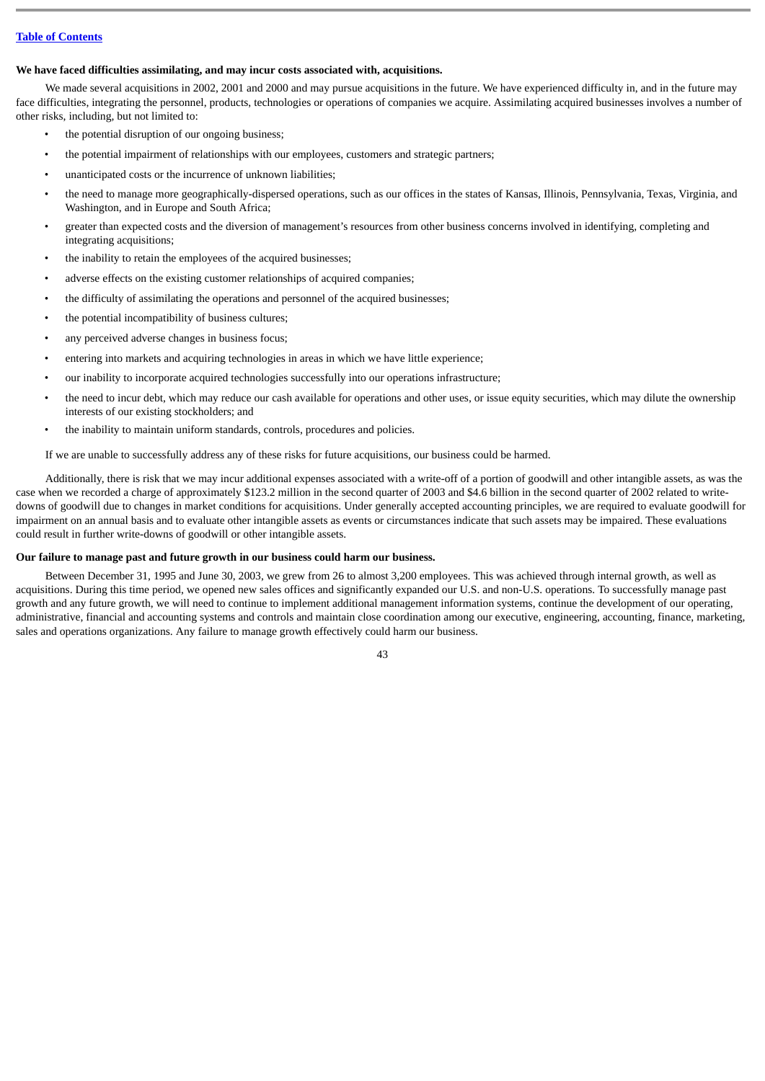#### **We have faced difficulties assimilating, and may incur costs associated with, acquisitions.**

We made several acquisitions in 2002, 2001 and 2000 and may pursue acquisitions in the future. We have experienced difficulty in, and in the future may face difficulties, integrating the personnel, products, technologies or operations of companies we acquire. Assimilating acquired businesses involves a number of other risks, including, but not limited to:

- the potential disruption of our ongoing business;
- the potential impairment of relationships with our employees, customers and strategic partners;
- unanticipated costs or the incurrence of unknown liabilities;
- the need to manage more geographically-dispersed operations, such as our offices in the states of Kansas, Illinois, Pennsylvania, Texas, Virginia, and Washington, and in Europe and South Africa;
- greater than expected costs and the diversion of management's resources from other business concerns involved in identifying, completing and integrating acquisitions;
- the inability to retain the employees of the acquired businesses;
- adverse effects on the existing customer relationships of acquired companies;
- the difficulty of assimilating the operations and personnel of the acquired businesses;
- the potential incompatibility of business cultures;
- any perceived adverse changes in business focus;
- entering into markets and acquiring technologies in areas in which we have little experience;
- our inability to incorporate acquired technologies successfully into our operations infrastructure;
- the need to incur debt, which may reduce our cash available for operations and other uses, or issue equity securities, which may dilute the ownership interests of our existing stockholders; and
- the inability to maintain uniform standards, controls, procedures and policies.

If we are unable to successfully address any of these risks for future acquisitions, our business could be harmed.

Additionally, there is risk that we may incur additional expenses associated with a write-off of a portion of goodwill and other intangible assets, as was the case when we recorded a charge of approximately \$123.2 million in the second quarter of 2003 and \$4.6 billion in the second quarter of 2002 related to writedowns of goodwill due to changes in market conditions for acquisitions. Under generally accepted accounting principles, we are required to evaluate goodwill for impairment on an annual basis and to evaluate other intangible assets as events or circumstances indicate that such assets may be impaired. These evaluations could result in further write-downs of goodwill or other intangible assets.

#### **Our failure to manage past and future growth in our business could harm our business.**

Between December 31, 1995 and June 30, 2003, we grew from 26 to almost 3,200 employees. This was achieved through internal growth, as well as acquisitions. During this time period, we opened new sales offices and significantly expanded our U.S. and non-U.S. operations. To successfully manage past growth and any future growth, we will need to continue to implement additional management information systems, continue the development of our operating, administrative, financial and accounting systems and controls and maintain close coordination among our executive, engineering, accounting, finance, marketing, sales and operations organizations. Any failure to manage growth effectively could harm our business.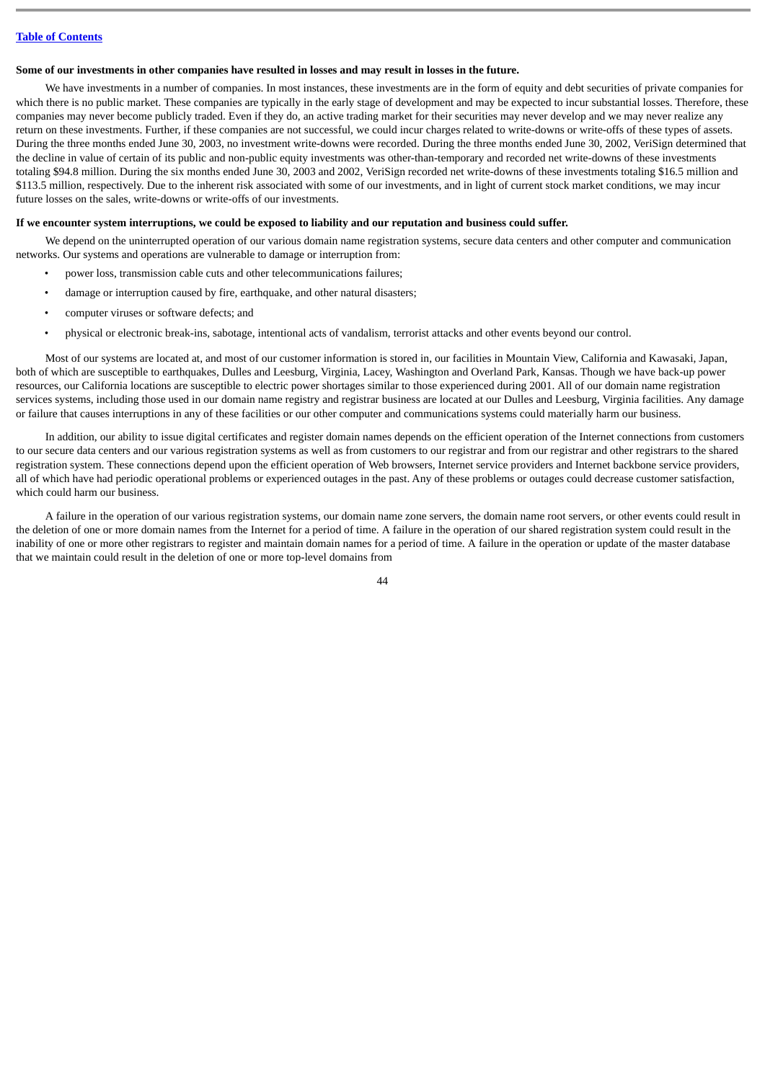#### **Some of our investments in other companies have resulted in losses and may result in losses in the future.**

We have investments in a number of companies. In most instances, these investments are in the form of equity and debt securities of private companies for which there is no public market. These companies are typically in the early stage of development and may be expected to incur substantial losses. Therefore, these companies may never become publicly traded. Even if they do, an active trading market for their securities may never develop and we may never realize any return on these investments. Further, if these companies are not successful, we could incur charges related to write-downs or write-offs of these types of assets. During the three months ended June 30, 2003, no investment write-downs were recorded. During the three months ended June 30, 2002, VeriSign determined that the decline in value of certain of its public and non-public equity investments was other-than-temporary and recorded net write-downs of these investments totaling \$94.8 million. During the six months ended June 30, 2003 and 2002, VeriSign recorded net write-downs of these investments totaling \$16.5 million and \$113.5 million, respectively. Due to the inherent risk associated with some of our investments, and in light of current stock market conditions, we may incur future losses on the sales, write-downs or write-offs of our investments.

#### **If we encounter system interruptions, we could be exposed to liability and our reputation and business could suffer.**

We depend on the uninterrupted operation of our various domain name registration systems, secure data centers and other computer and communication networks. Our systems and operations are vulnerable to damage or interruption from:

- power loss, transmission cable cuts and other telecommunications failures;
- damage or interruption caused by fire, earthquake, and other natural disasters;
- computer viruses or software defects; and
- physical or electronic break-ins, sabotage, intentional acts of vandalism, terrorist attacks and other events beyond our control.

Most of our systems are located at, and most of our customer information is stored in, our facilities in Mountain View, California and Kawasaki, Japan, both of which are susceptible to earthquakes, Dulles and Leesburg, Virginia, Lacey, Washington and Overland Park, Kansas. Though we have back-up power resources, our California locations are susceptible to electric power shortages similar to those experienced during 2001. All of our domain name registration services systems, including those used in our domain name registry and registrar business are located at our Dulles and Leesburg, Virginia facilities. Any damage or failure that causes interruptions in any of these facilities or our other computer and communications systems could materially harm our business.

In addition, our ability to issue digital certificates and register domain names depends on the efficient operation of the Internet connections from customers to our secure data centers and our various registration systems as well as from customers to our registrar and from our registrar and other registrars to the shared registration system. These connections depend upon the efficient operation of Web browsers, Internet service providers and Internet backbone service providers, all of which have had periodic operational problems or experienced outages in the past. Any of these problems or outages could decrease customer satisfaction, which could harm our business.

A failure in the operation of our various registration systems, our domain name zone servers, the domain name root servers, or other events could result in the deletion of one or more domain names from the Internet for a period of time. A failure in the operation of our shared registration system could result in the inability of one or more other registrars to register and maintain domain names for a period of time. A failure in the operation or update of the master database that we maintain could result in the deletion of one or more top-level domains from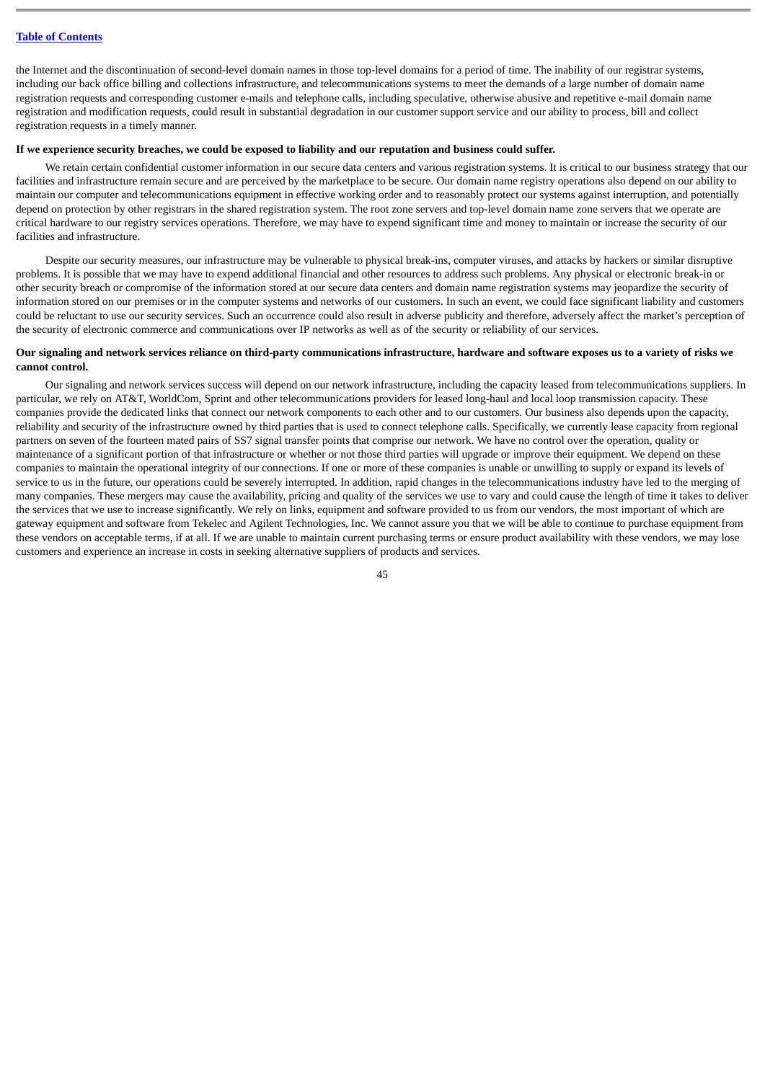the Internet and the discontinuation of second-level domain names in those top-level domains for a period of time. The inability of our registrar systems, including our back office billing and collections infrastructure, and telecommunications systems to meet the demands of a large number of domain name registration requests and corresponding customer e-mails and telephone calls, including speculative, otherwise abusive and repetitive e-mail domain name registration and modification requests, could result in substantial degradation in our customer support service and our ability to process, bill and collect registration requests in a timely manner.

#### **If we experience security breaches, we could be exposed to liability and our reputation and business could suffer.**

We retain certain confidential customer information in our secure data centers and various registration systems. It is critical to our business strategy that our facilities and infrastructure remain secure and are perceived by the marketplace to be secure. Our domain name registry operations also depend on our ability to maintain our computer and telecommunications equipment in effective working order and to reasonably protect our systems against interruption, and potentially depend on protection by other registrars in the shared registration system. The root zone servers and top-level domain name zone servers that we operate are critical hardware to our registry services operations. Therefore, we may have to expend significant time and money to maintain or increase the security of our facilities and infrastructure.

Despite our security measures, our infrastructure may be vulnerable to physical break-ins, computer viruses, and attacks by hackers or similar disruptive problems. It is possible that we may have to expend additional financial and other resources to address such problems. Any physical or electronic break-in or other security breach or compromise of the information stored at our secure data centers and domain name registration systems may jeopardize the security of information stored on our premises or in the computer systems and networks of our customers. In such an event, we could face significant liability and customers could be reluctant to use our security services. Such an occurrence could also result in adverse publicity and therefore, adversely affect the market's perception of the security of electronic commerce and communications over IP networks as well as of the security or reliability of our services.

### **Our signaling and network services reliance on third-party communications infrastructure, hardware and software exposes us to a variety of risks we cannot control.**

Our signaling and network services success will depend on our network infrastructure, including the capacity leased from telecommunications suppliers. In particular, we rely on AT&T, WorldCom, Sprint and other telecommunications providers for leased long-haul and local loop transmission capacity. These companies provide the dedicated links that connect our network components to each other and to our customers. Our business also depends upon the capacity, reliability and security of the infrastructure owned by third parties that is used to connect telephone calls. Specifically, we currently lease capacity from regional partners on seven of the fourteen mated pairs of SS7 signal transfer points that comprise our network. We have no control over the operation, quality or maintenance of a significant portion of that infrastructure or whether or not those third parties will upgrade or improve their equipment. We depend on these companies to maintain the operational integrity of our connections. If one or more of these companies is unable or unwilling to supply or expand its levels of service to us in the future, our operations could be severely interrupted. In addition, rapid changes in the telecommunications industry have led to the merging of many companies. These mergers may cause the availability, pricing and quality of the services we use to vary and could cause the length of time it takes to deliver the services that we use to increase significantly. We rely on links, equipment and software provided to us from our vendors, the most important of which are gateway equipment and software from Tekelec and Agilent Technologies, Inc. We cannot assure you that we will be able to continue to purchase equipment from these vendors on acceptable terms, if at all. If we are unable to maintain current purchasing terms or ensure product availability with these vendors, we may lose customers and experience an increase in costs in seeking alternative suppliers of products and services.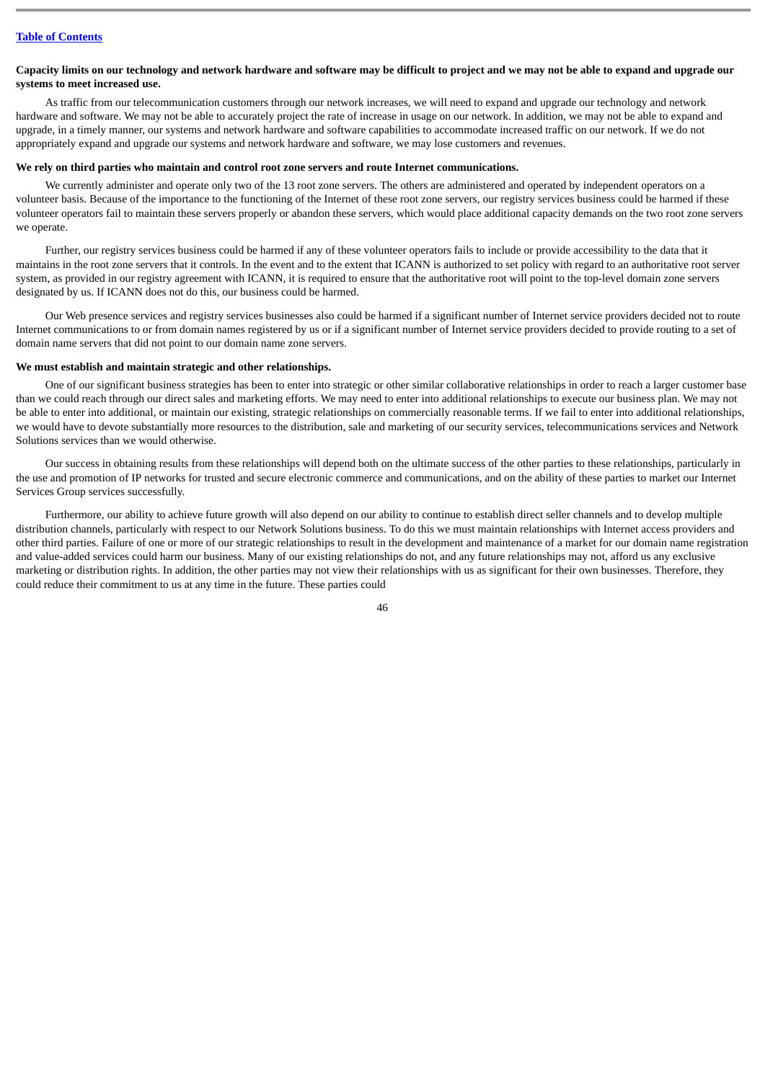## **Capacity limits on our technology and network hardware and software may be difficult to project and we may not be able to expand and upgrade our systems to meet increased use.**

As traffic from our telecommunication customers through our network increases, we will need to expand and upgrade our technology and network hardware and software. We may not be able to accurately project the rate of increase in usage on our network. In addition, we may not be able to expand and upgrade, in a timely manner, our systems and network hardware and software capabilities to accommodate increased traffic on our network. If we do not appropriately expand and upgrade our systems and network hardware and software, we may lose customers and revenues.

#### **We rely on third parties who maintain and control root zone servers and route Internet communications.**

We currently administer and operate only two of the 13 root zone servers. The others are administered and operated by independent operators on a volunteer basis. Because of the importance to the functioning of the Internet of these root zone servers, our registry services business could be harmed if these volunteer operators fail to maintain these servers properly or abandon these servers, which would place additional capacity demands on the two root zone servers we operate.

Further, our registry services business could be harmed if any of these volunteer operators fails to include or provide accessibility to the data that it maintains in the root zone servers that it controls. In the event and to the extent that ICANN is authorized to set policy with regard to an authoritative root server system, as provided in our registry agreement with ICANN, it is required to ensure that the authoritative root will point to the top-level domain zone servers designated by us. If ICANN does not do this, our business could be harmed.

Our Web presence services and registry services businesses also could be harmed if a significant number of Internet service providers decided not to route Internet communications to or from domain names registered by us or if a significant number of Internet service providers decided to provide routing to a set of domain name servers that did not point to our domain name zone servers.

#### **We must establish and maintain strategic and other relationships.**

One of our significant business strategies has been to enter into strategic or other similar collaborative relationships in order to reach a larger customer base than we could reach through our direct sales and marketing efforts. We may need to enter into additional relationships to execute our business plan. We may not be able to enter into additional, or maintain our existing, strategic relationships on commercially reasonable terms. If we fail to enter into additional relationships, we would have to devote substantially more resources to the distribution, sale and marketing of our security services, telecommunications services and Network Solutions services than we would otherwise.

Our success in obtaining results from these relationships will depend both on the ultimate success of the other parties to these relationships, particularly in the use and promotion of IP networks for trusted and secure electronic commerce and communications, and on the ability of these parties to market our Internet Services Group services successfully.

Furthermore, our ability to achieve future growth will also depend on our ability to continue to establish direct seller channels and to develop multiple distribution channels, particularly with respect to our Network Solutions business. To do this we must maintain relationships with Internet access providers and other third parties. Failure of one or more of our strategic relationships to result in the development and maintenance of a market for our domain name registration and value-added services could harm our business. Many of our existing relationships do not, and any future relationships may not, afford us any exclusive marketing or distribution rights. In addition, the other parties may not view their relationships with us as significant for their own businesses. Therefore, they could reduce their commitment to us at any time in the future. These parties could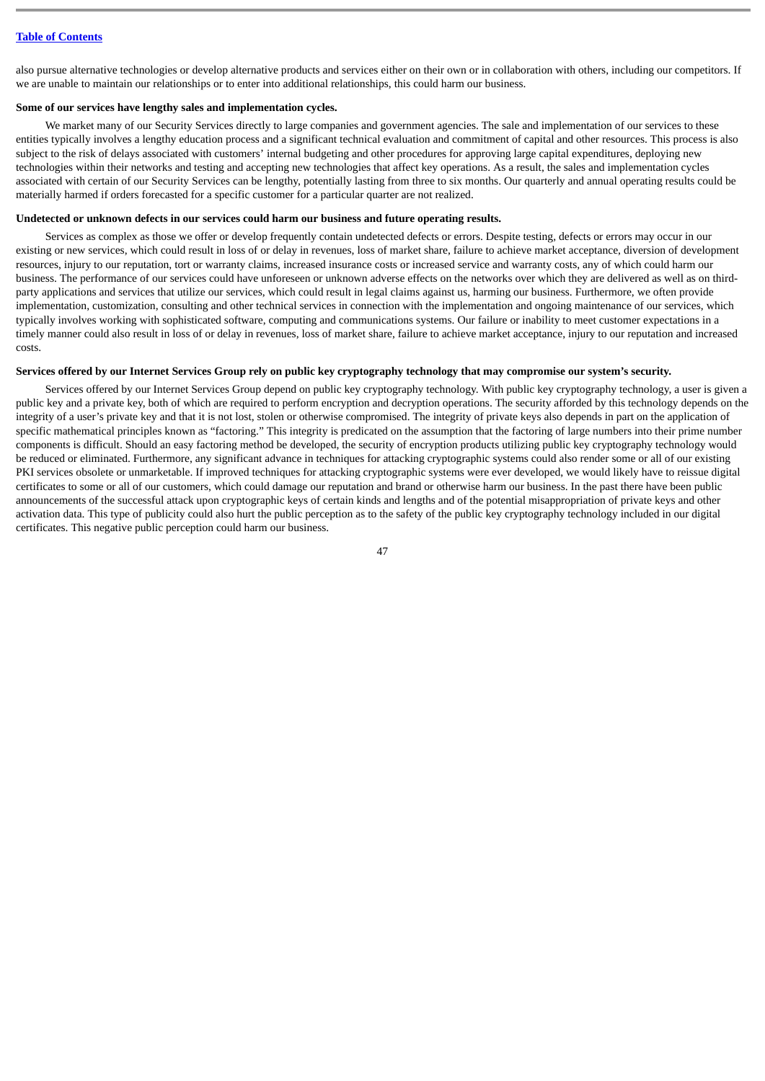also pursue alternative technologies or develop alternative products and services either on their own or in collaboration with others, including our competitors. If we are unable to maintain our relationships or to enter into additional relationships, this could harm our business.

# **Some of our services have lengthy sales and implementation cycles.**

We market many of our Security Services directly to large companies and government agencies. The sale and implementation of our services to these entities typically involves a lengthy education process and a significant technical evaluation and commitment of capital and other resources. This process is also subject to the risk of delays associated with customers' internal budgeting and other procedures for approving large capital expenditures, deploying new technologies within their networks and testing and accepting new technologies that affect key operations. As a result, the sales and implementation cycles associated with certain of our Security Services can be lengthy, potentially lasting from three to six months. Our quarterly and annual operating results could be materially harmed if orders forecasted for a specific customer for a particular quarter are not realized.

#### **Undetected or unknown defects in our services could harm our business and future operating results.**

Services as complex as those we offer or develop frequently contain undetected defects or errors. Despite testing, defects or errors may occur in our existing or new services, which could result in loss of or delay in revenues, loss of market share, failure to achieve market acceptance, diversion of development resources, injury to our reputation, tort or warranty claims, increased insurance costs or increased service and warranty costs, any of which could harm our business. The performance of our services could have unforeseen or unknown adverse effects on the networks over which they are delivered as well as on thirdparty applications and services that utilize our services, which could result in legal claims against us, harming our business. Furthermore, we often provide implementation, customization, consulting and other technical services in connection with the implementation and ongoing maintenance of our services, which typically involves working with sophisticated software, computing and communications systems. Our failure or inability to meet customer expectations in a timely manner could also result in loss of or delay in revenues, loss of market share, failure to achieve market acceptance, injury to our reputation and increased costs.

# **Services offered by our Internet Services Group rely on public key cryptography technology that may compromise our system's security.**

Services offered by our Internet Services Group depend on public key cryptography technology. With public key cryptography technology, a user is given a public key and a private key, both of which are required to perform encryption and decryption operations. The security afforded by this technology depends on the integrity of a user's private key and that it is not lost, stolen or otherwise compromised. The integrity of private keys also depends in part on the application of specific mathematical principles known as "factoring." This integrity is predicated on the assumption that the factoring of large numbers into their prime number components is difficult. Should an easy factoring method be developed, the security of encryption products utilizing public key cryptography technology would be reduced or eliminated. Furthermore, any significant advance in techniques for attacking cryptographic systems could also render some or all of our existing PKI services obsolete or unmarketable. If improved techniques for attacking cryptographic systems were ever developed, we would likely have to reissue digital certificates to some or all of our customers, which could damage our reputation and brand or otherwise harm our business. In the past there have been public announcements of the successful attack upon cryptographic keys of certain kinds and lengths and of the potential misappropriation of private keys and other activation data. This type of publicity could also hurt the public perception as to the safety of the public key cryptography technology included in our digital certificates. This negative public perception could harm our business.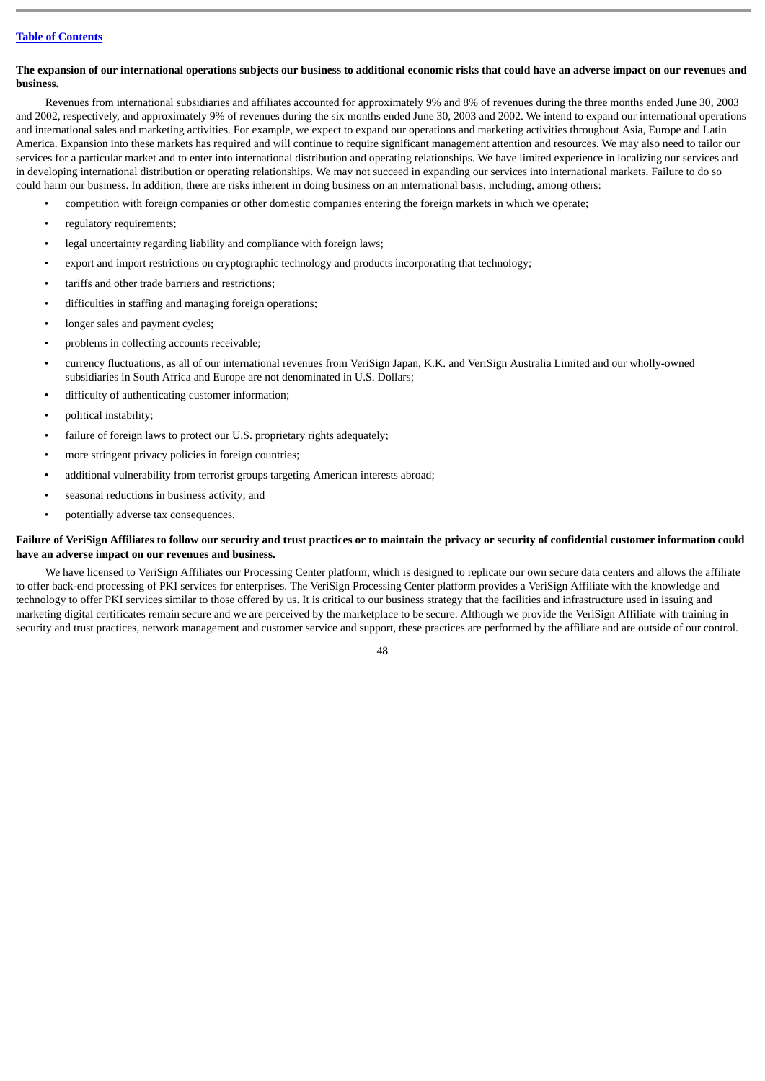# **The expansion of our international operations subjects our business to additional economic risks that could have an adverse impact on our revenues and business.**

Revenues from international subsidiaries and affiliates accounted for approximately 9% and 8% of revenues during the three months ended June 30, 2003 and 2002, respectively, and approximately 9% of revenues during the six months ended June 30, 2003 and 2002. We intend to expand our international operations and international sales and marketing activities. For example, we expect to expand our operations and marketing activities throughout Asia, Europe and Latin America. Expansion into these markets has required and will continue to require significant management attention and resources. We may also need to tailor our services for a particular market and to enter into international distribution and operating relationships. We have limited experience in localizing our services and in developing international distribution or operating relationships. We may not succeed in expanding our services into international markets. Failure to do so could harm our business. In addition, there are risks inherent in doing business on an international basis, including, among others:

- competition with foreign companies or other domestic companies entering the foreign markets in which we operate;
- regulatory requirements;
- legal uncertainty regarding liability and compliance with foreign laws;
- export and import restrictions on cryptographic technology and products incorporating that technology;
- tariffs and other trade barriers and restrictions;
- difficulties in staffing and managing foreign operations;
- longer sales and payment cycles;
- problems in collecting accounts receivable;
- currency fluctuations, as all of our international revenues from VeriSign Japan, K.K. and VeriSign Australia Limited and our wholly-owned subsidiaries in South Africa and Europe are not denominated in U.S. Dollars;
- difficulty of authenticating customer information;
- political instability;
- failure of foreign laws to protect our U.S. proprietary rights adequately;
- more stringent privacy policies in foreign countries;
- additional vulnerability from terrorist groups targeting American interests abroad;
- seasonal reductions in business activity; and
- potentially adverse tax consequences.

# **Failure of VeriSign Affiliates to follow our security and trust practices or to maintain the privacy or security of confidential customer information could have an adverse impact on our revenues and business.**

We have licensed to VeriSign Affiliates our Processing Center platform, which is designed to replicate our own secure data centers and allows the affiliate to offer back-end processing of PKI services for enterprises. The VeriSign Processing Center platform provides a VeriSign Affiliate with the knowledge and technology to offer PKI services similar to those offered by us. It is critical to our business strategy that the facilities and infrastructure used in issuing and marketing digital certificates remain secure and we are perceived by the marketplace to be secure. Although we provide the VeriSign Affiliate with training in security and trust practices, network management and customer service and support, these practices are performed by the affiliate and are outside of our control.

 $\overline{AB}$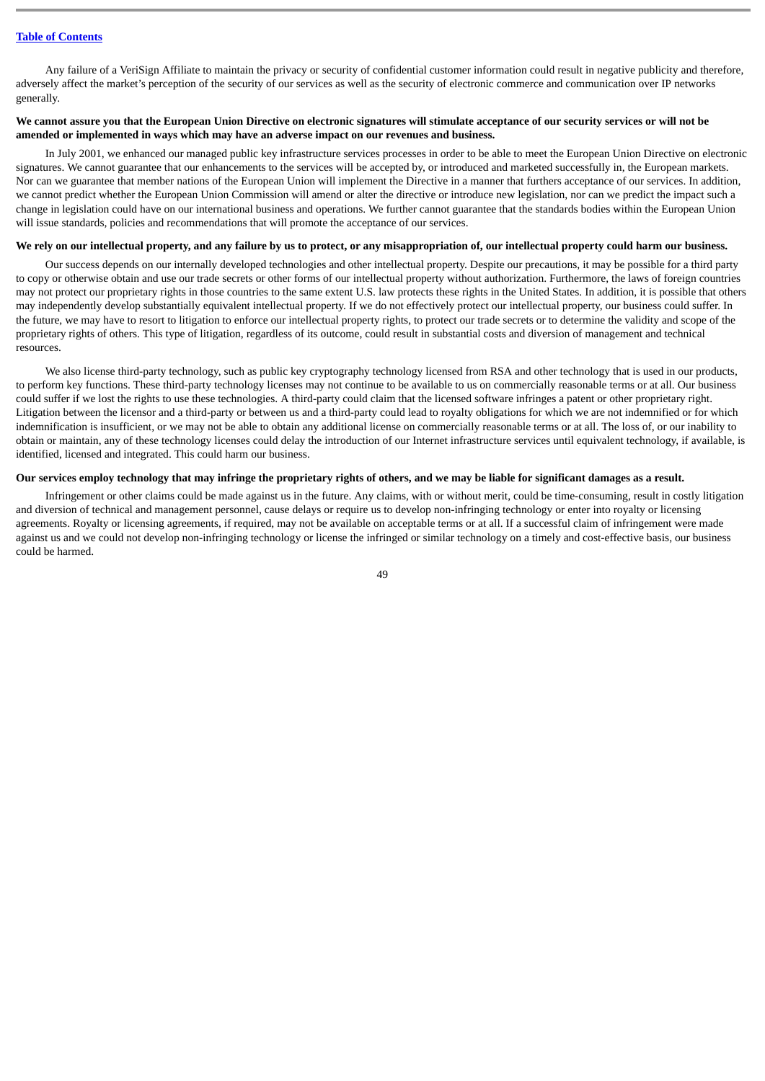Any failure of a VeriSign Affiliate to maintain the privacy or security of confidential customer information could result in negative publicity and therefore, adversely affect the market's perception of the security of our services as well as the security of electronic commerce and communication over IP networks generally.

## **We cannot assure you that the European Union Directive on electronic signatures will stimulate acceptance of our security services or will not be amended or implemented in ways which may have an adverse impact on our revenues and business.**

In July 2001, we enhanced our managed public key infrastructure services processes in order to be able to meet the European Union Directive on electronic signatures. We cannot guarantee that our enhancements to the services will be accepted by, or introduced and marketed successfully in, the European markets. Nor can we guarantee that member nations of the European Union will implement the Directive in a manner that furthers acceptance of our services. In addition, we cannot predict whether the European Union Commission will amend or alter the directive or introduce new legislation, nor can we predict the impact such a change in legislation could have on our international business and operations. We further cannot guarantee that the standards bodies within the European Union will issue standards, policies and recommendations that will promote the acceptance of our services.

### **We rely on our intellectual property, and any failure by us to protect, or any misappropriation of, our intellectual property could harm our business.**

Our success depends on our internally developed technologies and other intellectual property. Despite our precautions, it may be possible for a third party to copy or otherwise obtain and use our trade secrets or other forms of our intellectual property without authorization. Furthermore, the laws of foreign countries may not protect our proprietary rights in those countries to the same extent U.S. law protects these rights in the United States. In addition, it is possible that others may independently develop substantially equivalent intellectual property. If we do not effectively protect our intellectual property, our business could suffer. In the future, we may have to resort to litigation to enforce our intellectual property rights, to protect our trade secrets or to determine the validity and scope of the proprietary rights of others. This type of litigation, regardless of its outcome, could result in substantial costs and diversion of management and technical resources.

We also license third-party technology, such as public key cryptography technology licensed from RSA and other technology that is used in our products, to perform key functions. These third-party technology licenses may not continue to be available to us on commercially reasonable terms or at all. Our business could suffer if we lost the rights to use these technologies. A third-party could claim that the licensed software infringes a patent or other proprietary right. Litigation between the licensor and a third-party or between us and a third-party could lead to royalty obligations for which we are not indemnified or for which indemnification is insufficient, or we may not be able to obtain any additional license on commercially reasonable terms or at all. The loss of, or our inability to obtain or maintain, any of these technology licenses could delay the introduction of our Internet infrastructure services until equivalent technology, if available, is identified, licensed and integrated. This could harm our business.

## **Our services employ technology that may infringe the proprietary rights of others, and we may be liable for significant damages as a result.**

Infringement or other claims could be made against us in the future. Any claims, with or without merit, could be time-consuming, result in costly litigation and diversion of technical and management personnel, cause delays or require us to develop non-infringing technology or enter into royalty or licensing agreements. Royalty or licensing agreements, if required, may not be available on acceptable terms or at all. If a successful claim of infringement were made against us and we could not develop non-infringing technology or license the infringed or similar technology on a timely and cost-effective basis, our business could be harmed.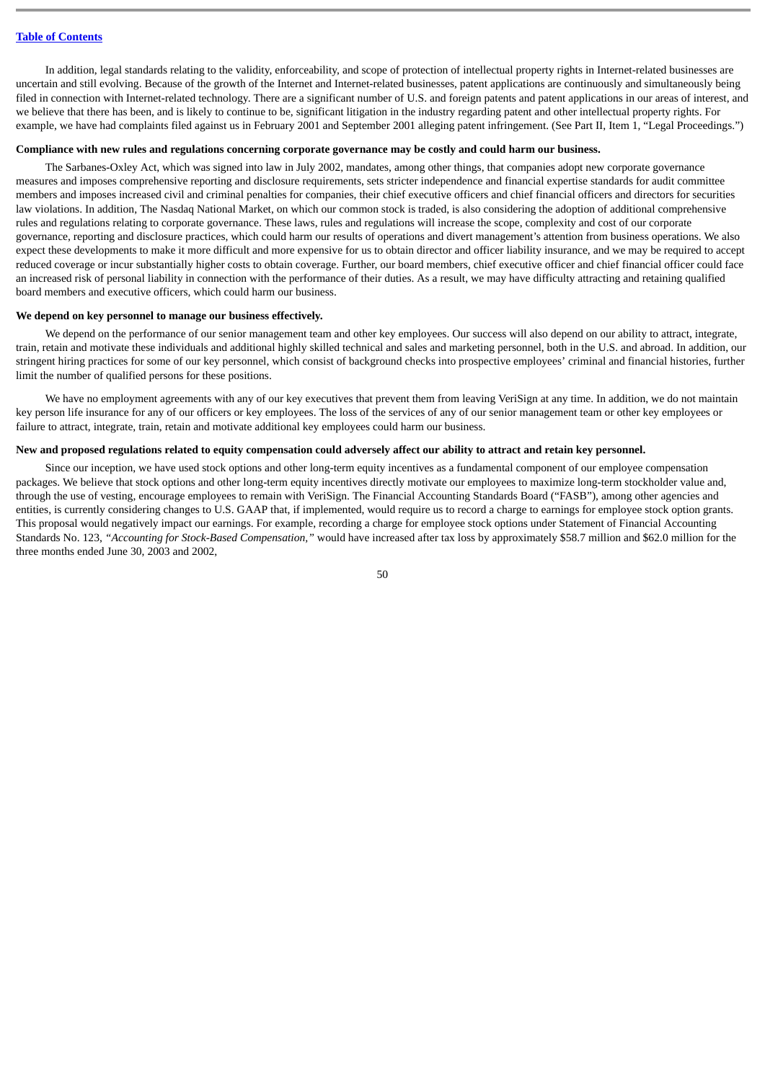In addition, legal standards relating to the validity, enforceability, and scope of protection of intellectual property rights in Internet-related businesses are uncertain and still evolving. Because of the growth of the Internet and Internet-related businesses, patent applications are continuously and simultaneously being filed in connection with Internet-related technology. There are a significant number of U.S. and foreign patents and patent applications in our areas of interest, and we believe that there has been, and is likely to continue to be, significant litigation in the industry regarding patent and other intellectual property rights. For example, we have had complaints filed against us in February 2001 and September 2001 alleging patent infringement. (See Part II, Item 1, "Legal Proceedings.")

#### **Compliance with new rules and regulations concerning corporate governance may be costly and could harm our business.**

The Sarbanes-Oxley Act, which was signed into law in July 2002, mandates, among other things, that companies adopt new corporate governance measures and imposes comprehensive reporting and disclosure requirements, sets stricter independence and financial expertise standards for audit committee members and imposes increased civil and criminal penalties for companies, their chief executive officers and chief financial officers and directors for securities law violations. In addition, The Nasdaq National Market, on which our common stock is traded, is also considering the adoption of additional comprehensive rules and regulations relating to corporate governance. These laws, rules and regulations will increase the scope, complexity and cost of our corporate governance, reporting and disclosure practices, which could harm our results of operations and divert management's attention from business operations. We also expect these developments to make it more difficult and more expensive for us to obtain director and officer liability insurance, and we may be required to accept reduced coverage or incur substantially higher costs to obtain coverage. Further, our board members, chief executive officer and chief financial officer could face an increased risk of personal liability in connection with the performance of their duties. As a result, we may have difficulty attracting and retaining qualified board members and executive officers, which could harm our business.

#### **We depend on key personnel to manage our business effectively.**

We depend on the performance of our senior management team and other key employees. Our success will also depend on our ability to attract, integrate, train, retain and motivate these individuals and additional highly skilled technical and sales and marketing personnel, both in the U.S. and abroad. In addition, our stringent hiring practices for some of our key personnel, which consist of background checks into prospective employees' criminal and financial histories, further limit the number of qualified persons for these positions.

We have no employment agreements with any of our key executives that prevent them from leaving VeriSign at any time. In addition, we do not maintain key person life insurance for any of our officers or key employees. The loss of the services of any of our senior management team or other key employees or failure to attract, integrate, train, retain and motivate additional key employees could harm our business.

#### **New and proposed regulations related to equity compensation could adversely affect our ability to attract and retain key personnel.**

Since our inception, we have used stock options and other long-term equity incentives as a fundamental component of our employee compensation packages. We believe that stock options and other long-term equity incentives directly motivate our employees to maximize long-term stockholder value and, through the use of vesting, encourage employees to remain with VeriSign. The Financial Accounting Standards Board ("FASB"), among other agencies and entities, is currently considering changes to U.S. GAAP that, if implemented, would require us to record a charge to earnings for employee stock option grants. This proposal would negatively impact our earnings. For example, recording a charge for employee stock options under Statement of Financial Accounting Standards No. 123, *"Accounting for Stock-Based Compensation,"* would have increased after tax loss by approximately \$58.7 million and \$62.0 million for the three months ended June 30, 2003 and 2002,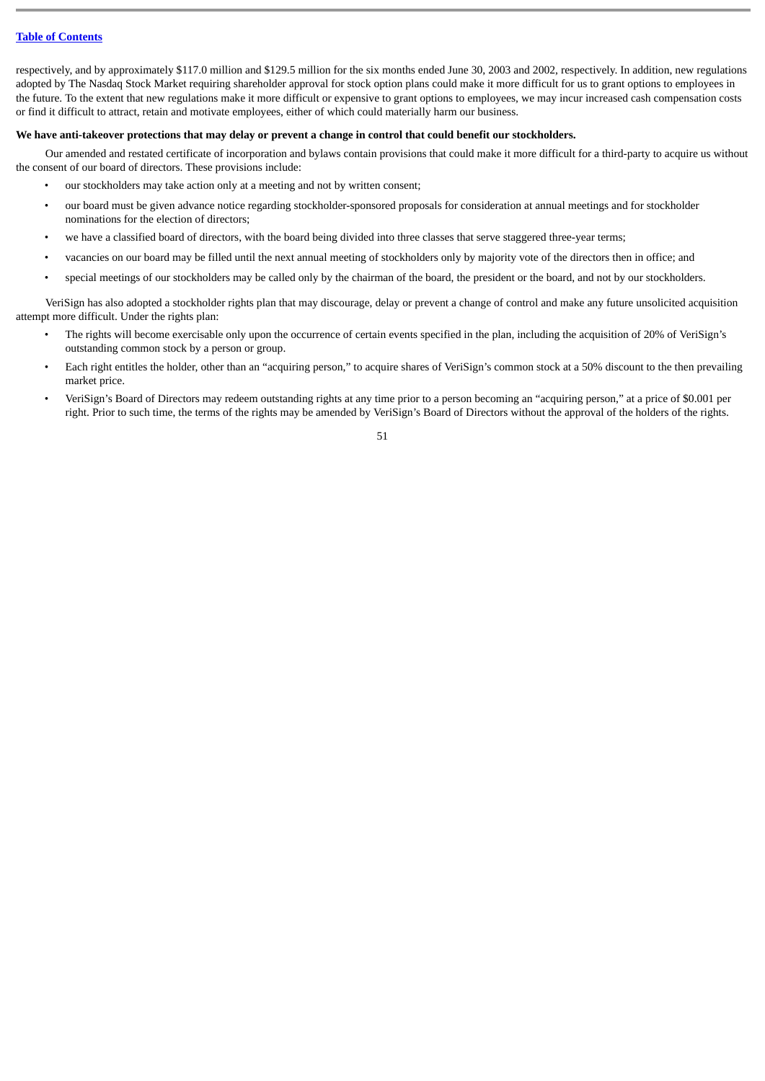respectively, and by approximately \$117.0 million and \$129.5 million for the six months ended June 30, 2003 and 2002, respectively. In addition, new regulations adopted by The Nasdaq Stock Market requiring shareholder approval for stock option plans could make it more difficult for us to grant options to employees in the future. To the extent that new regulations make it more difficult or expensive to grant options to employees, we may incur increased cash compensation costs or find it difficult to attract, retain and motivate employees, either of which could materially harm our business.

## **We have anti-takeover protections that may delay or prevent a change in control that could benefit our stockholders.**

Our amended and restated certificate of incorporation and bylaws contain provisions that could make it more difficult for a third-party to acquire us without the consent of our board of directors. These provisions include:

- our stockholders may take action only at a meeting and not by written consent;
- our board must be given advance notice regarding stockholder-sponsored proposals for consideration at annual meetings and for stockholder nominations for the election of directors;
- we have a classified board of directors, with the board being divided into three classes that serve staggered three-year terms;
- vacancies on our board may be filled until the next annual meeting of stockholders only by majority vote of the directors then in office; and
- special meetings of our stockholders may be called only by the chairman of the board, the president or the board, and not by our stockholders.

VeriSign has also adopted a stockholder rights plan that may discourage, delay or prevent a change of control and make any future unsolicited acquisition attempt more difficult. Under the rights plan:

- The rights will become exercisable only upon the occurrence of certain events specified in the plan, including the acquisition of 20% of VeriSign's outstanding common stock by a person or group.
- Each right entitles the holder, other than an "acquiring person," to acquire shares of VeriSign's common stock at a 50% discount to the then prevailing market price.
- VeriSign's Board of Directors may redeem outstanding rights at any time prior to a person becoming an "acquiring person," at a price of \$0.001 per right. Prior to such time, the terms of the rights may be amended by VeriSign's Board of Directors without the approval of the holders of the rights.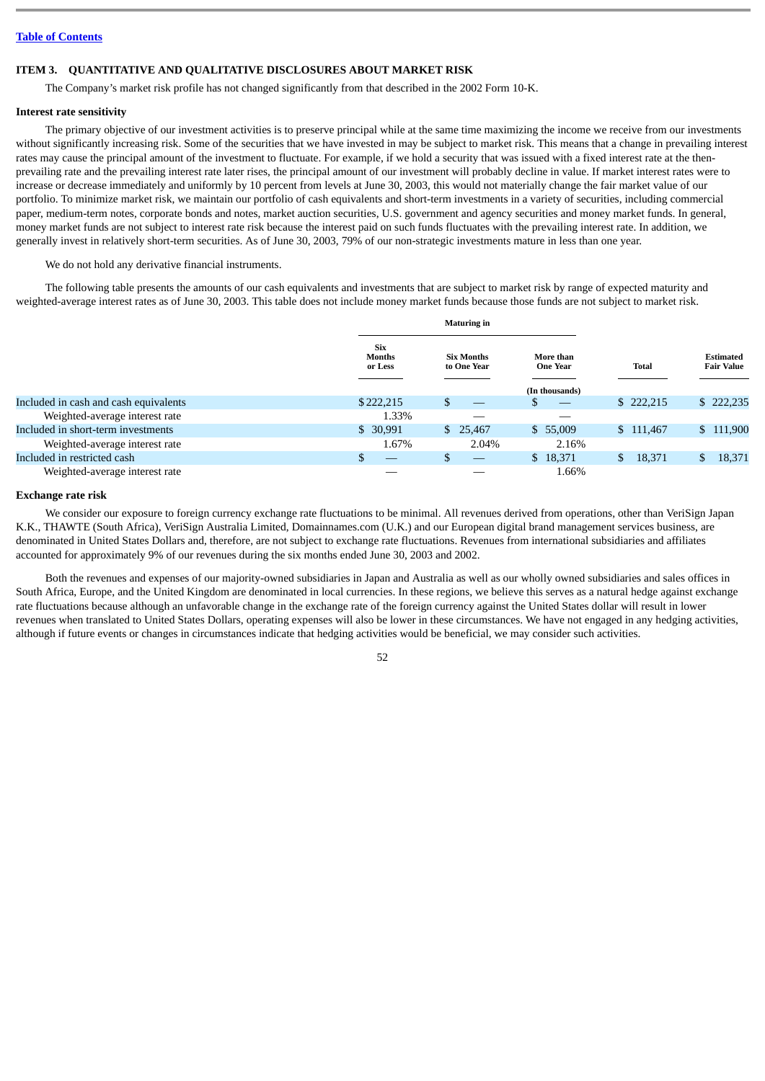### **ITEM 3. QUANTITATIVE AND QUALITATIVE DISCLOSURES ABOUT MARKET RISK**

The Company's market risk profile has not changed significantly from that described in the 2002 Form 10-K.

#### **Interest rate sensitivity**

The primary objective of our investment activities is to preserve principal while at the same time maximizing the income we receive from our investments without significantly increasing risk. Some of the securities that we have invested in may be subject to market risk. This means that a change in prevailing interest rates may cause the principal amount of the investment to fluctuate. For example, if we hold a security that was issued with a fixed interest rate at the thenprevailing rate and the prevailing interest rate later rises, the principal amount of our investment will probably decline in value. If market interest rates were to increase or decrease immediately and uniformly by 10 percent from levels at June 30, 2003, this would not materially change the fair market value of our portfolio. To minimize market risk, we maintain our portfolio of cash equivalents and short-term investments in a variety of securities, including commercial paper, medium-term notes, corporate bonds and notes, market auction securities, U.S. government and agency securities and money market funds. In general, money market funds are not subject to interest rate risk because the interest paid on such funds fluctuates with the prevailing interest rate. In addition, we generally invest in relatively short-term securities. As of June 30, 2003, 79% of our non-strategic investments mature in less than one year.

We do not hold any derivative financial instruments.

The following table presents the amounts of our cash equivalents and investments that are subject to market risk by range of expected maturity and weighted-average interest rates as of June 30, 2003. This table does not include money market funds because those funds are not subject to market risk.

|                                       |                                        | <b>Maturing in</b>               |                               |              |                                       |
|---------------------------------------|----------------------------------------|----------------------------------|-------------------------------|--------------|---------------------------------------|
|                                       | <b>Six</b><br><b>Months</b><br>or Less | <b>Six Months</b><br>to One Year | More than<br><b>One Year</b>  | <b>Total</b> | <b>Estimated</b><br><b>Fair Value</b> |
|                                       |                                        |                                  | (In thousands)                |              |                                       |
| Included in cash and cash equivalents | \$222,215                              | \$                               | $\overbrace{\phantom{aaaaa}}$ | \$222,215    | \$222,235                             |
| Weighted-average interest rate        | 1.33%                                  |                                  |                               |              |                                       |
| Included in short-term investments    | \$ 30,991                              | \$25,467                         | \$55,009                      | \$111,467    | \$111,900                             |
| Weighted-average interest rate        | 1.67%                                  | 2.04%                            | 2.16%                         |              |                                       |
| Included in restricted cash           | \$                                     | \$                               | \$18,371                      | \$<br>18,371 | 18,371                                |
| Weighted-average interest rate        |                                        |                                  | 1.66%                         |              |                                       |

#### **Exchange rate risk**

We consider our exposure to foreign currency exchange rate fluctuations to be minimal. All revenues derived from operations, other than VeriSign Japan K.K., THAWTE (South Africa), VeriSign Australia Limited, Domainnames.com (U.K.) and our European digital brand management services business, are denominated in United States Dollars and, therefore, are not subject to exchange rate fluctuations. Revenues from international subsidiaries and affiliates accounted for approximately 9% of our revenues during the six months ended June 30, 2003 and 2002.

Both the revenues and expenses of our majority-owned subsidiaries in Japan and Australia as well as our wholly owned subsidiaries and sales offices in South Africa, Europe, and the United Kingdom are denominated in local currencies. In these regions, we believe this serves as a natural hedge against exchange rate fluctuations because although an unfavorable change in the exchange rate of the foreign currency against the United States dollar will result in lower revenues when translated to United States Dollars, operating expenses will also be lower in these circumstances. We have not engaged in any hedging activities, although if future events or changes in circumstances indicate that hedging activities would be beneficial, we may consider such activities.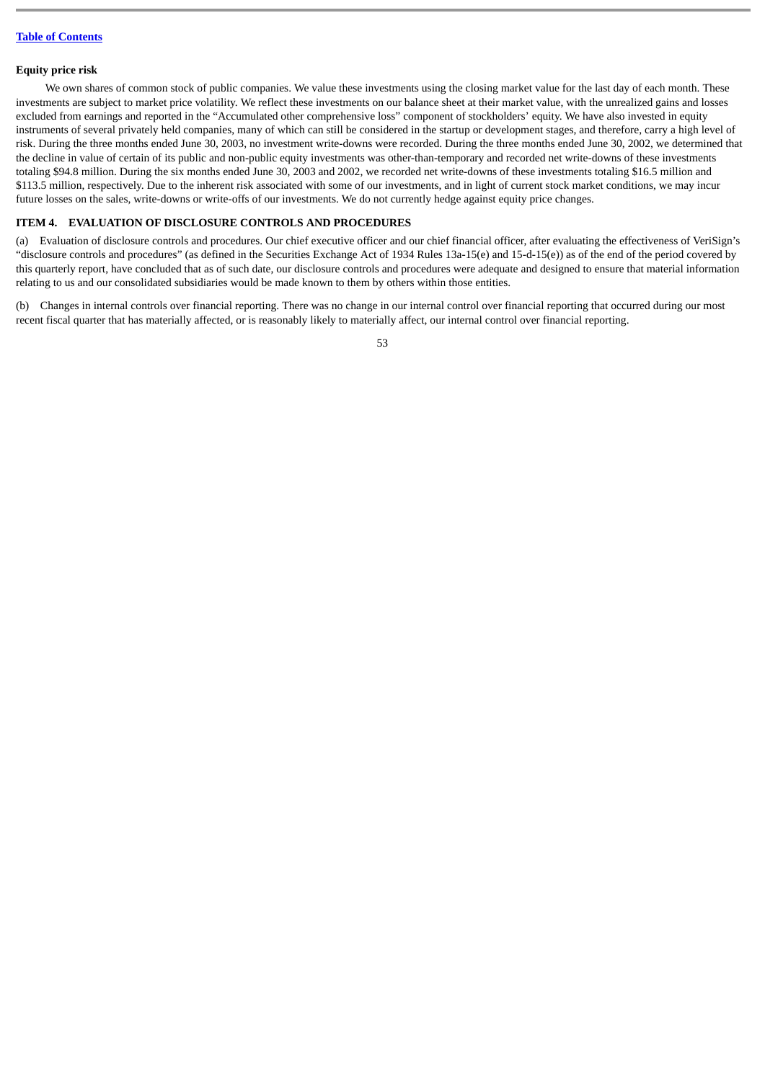### **Equity price risk**

We own shares of common stock of public companies. We value these investments using the closing market value for the last day of each month. These investments are subject to market price volatility. We reflect these investments on our balance sheet at their market value, with the unrealized gains and losses excluded from earnings and reported in the "Accumulated other comprehensive loss" component of stockholders' equity. We have also invested in equity instruments of several privately held companies, many of which can still be considered in the startup or development stages, and therefore, carry a high level of risk. During the three months ended June 30, 2003, no investment write-downs were recorded. During the three months ended June 30, 2002, we determined that the decline in value of certain of its public and non-public equity investments was other-than-temporary and recorded net write-downs of these investments totaling \$94.8 million. During the six months ended June 30, 2003 and 2002, we recorded net write-downs of these investments totaling \$16.5 million and \$113.5 million, respectively. Due to the inherent risk associated with some of our investments, and in light of current stock market conditions, we may incur future losses on the sales, write-downs or write-offs of our investments. We do not currently hedge against equity price changes.

## **ITEM 4. EVALUATION OF DISCLOSURE CONTROLS AND PROCEDURES**

(a) Evaluation of disclosure controls and procedures. Our chief executive officer and our chief financial officer, after evaluating the effectiveness of VeriSign's "disclosure controls and procedures" (as defined in the Securities Exchange Act of 1934 Rules 13a-15(e) and 15-d-15(e)) as of the end of the period covered by this quarterly report, have concluded that as of such date, our disclosure controls and procedures were adequate and designed to ensure that material information relating to us and our consolidated subsidiaries would be made known to them by others within those entities.

(b) Changes in internal controls over financial reporting. There was no change in our internal control over financial reporting that occurred during our most recent fiscal quarter that has materially affected, or is reasonably likely to materially affect, our internal control over financial reporting.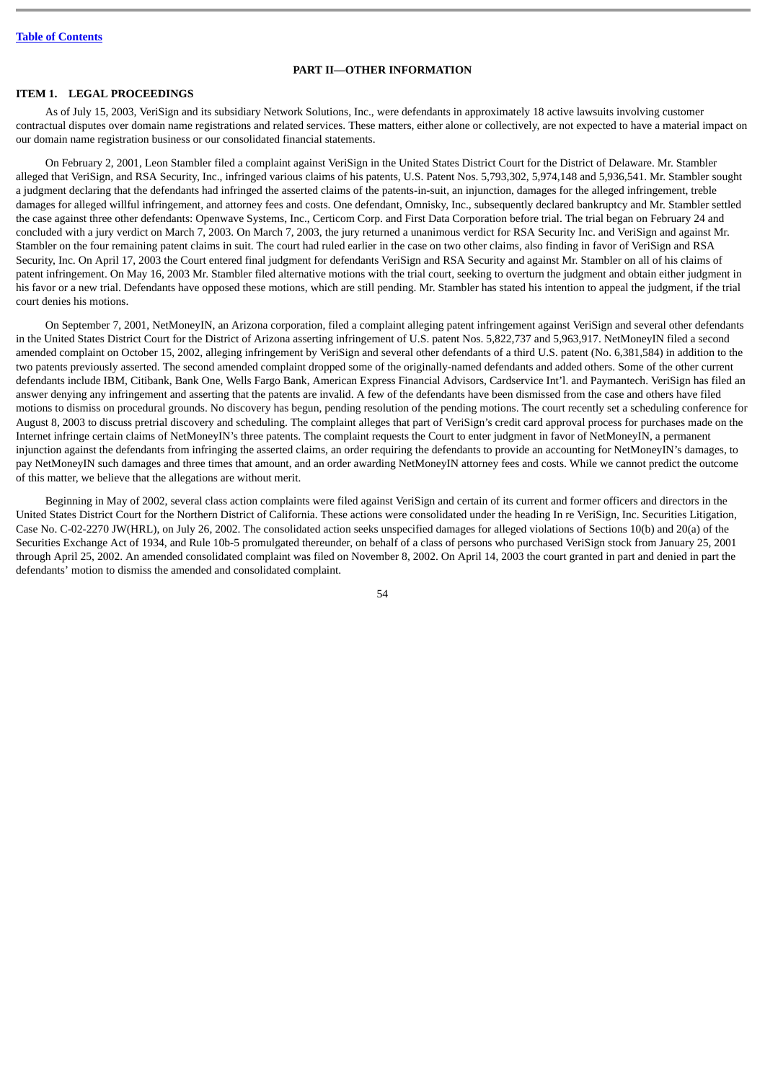## **PART II—OTHER INFORMATION**

# **ITEM 1. LEGAL PROCEEDINGS**

As of July 15, 2003, VeriSign and its subsidiary Network Solutions, Inc., were defendants in approximately 18 active lawsuits involving customer contractual disputes over domain name registrations and related services. These matters, either alone or collectively, are not expected to have a material impact on our domain name registration business or our consolidated financial statements.

On February 2, 2001, Leon Stambler filed a complaint against VeriSign in the United States District Court for the District of Delaware. Mr. Stambler alleged that VeriSign, and RSA Security, Inc., infringed various claims of his patents, U.S. Patent Nos. 5,793,302, 5,974,148 and 5,936,541. Mr. Stambler sought a judgment declaring that the defendants had infringed the asserted claims of the patents-in-suit, an injunction, damages for the alleged infringement, treble damages for alleged willful infringement, and attorney fees and costs. One defendant, Omnisky, Inc., subsequently declared bankruptcy and Mr. Stambler settled the case against three other defendants: Openwave Systems, Inc., Certicom Corp. and First Data Corporation before trial. The trial began on February 24 and concluded with a jury verdict on March 7, 2003. On March 7, 2003, the jury returned a unanimous verdict for RSA Security Inc. and VeriSign and against Mr. Stambler on the four remaining patent claims in suit. The court had ruled earlier in the case on two other claims, also finding in favor of VeriSign and RSA Security, Inc. On April 17, 2003 the Court entered final judgment for defendants VeriSign and RSA Security and against Mr. Stambler on all of his claims of patent infringement. On May 16, 2003 Mr. Stambler filed alternative motions with the trial court, seeking to overturn the judgment and obtain either judgment in his favor or a new trial. Defendants have opposed these motions, which are still pending. Mr. Stambler has stated his intention to appeal the judgment, if the trial court denies his motions.

On September 7, 2001, NetMoneyIN, an Arizona corporation, filed a complaint alleging patent infringement against VeriSign and several other defendants in the United States District Court for the District of Arizona asserting infringement of U.S. patent Nos. 5,822,737 and 5,963,917. NetMoneyIN filed a second amended complaint on October 15, 2002, alleging infringement by VeriSign and several other defendants of a third U.S. patent (No. 6,381,584) in addition to the two patents previously asserted. The second amended complaint dropped some of the originally-named defendants and added others. Some of the other current defendants include IBM, Citibank, Bank One, Wells Fargo Bank, American Express Financial Advisors, Cardservice Int'l. and Paymantech. VeriSign has filed an answer denying any infringement and asserting that the patents are invalid. A few of the defendants have been dismissed from the case and others have filed motions to dismiss on procedural grounds. No discovery has begun, pending resolution of the pending motions. The court recently set a scheduling conference for August 8, 2003 to discuss pretrial discovery and scheduling. The complaint alleges that part of VeriSign's credit card approval process for purchases made on the Internet infringe certain claims of NetMoneyIN's three patents. The complaint requests the Court to enter judgment in favor of NetMoneyIN, a permanent injunction against the defendants from infringing the asserted claims, an order requiring the defendants to provide an accounting for NetMoneyIN's damages, to pay NetMoneyIN such damages and three times that amount, and an order awarding NetMoneyIN attorney fees and costs. While we cannot predict the outcome of this matter, we believe that the allegations are without merit.

Beginning in May of 2002, several class action complaints were filed against VeriSign and certain of its current and former officers and directors in the United States District Court for the Northern District of California. These actions were consolidated under the heading In re VeriSign, Inc. Securities Litigation, Case No. C-02-2270 JW(HRL), on July 26, 2002. The consolidated action seeks unspecified damages for alleged violations of Sections 10(b) and 20(a) of the Securities Exchange Act of 1934, and Rule 10b-5 promulgated thereunder, on behalf of a class of persons who purchased VeriSign stock from January 25, 2001 through April 25, 2002. An amended consolidated complaint was filed on November 8, 2002. On April 14, 2003 the court granted in part and denied in part the defendants' motion to dismiss the amended and consolidated complaint.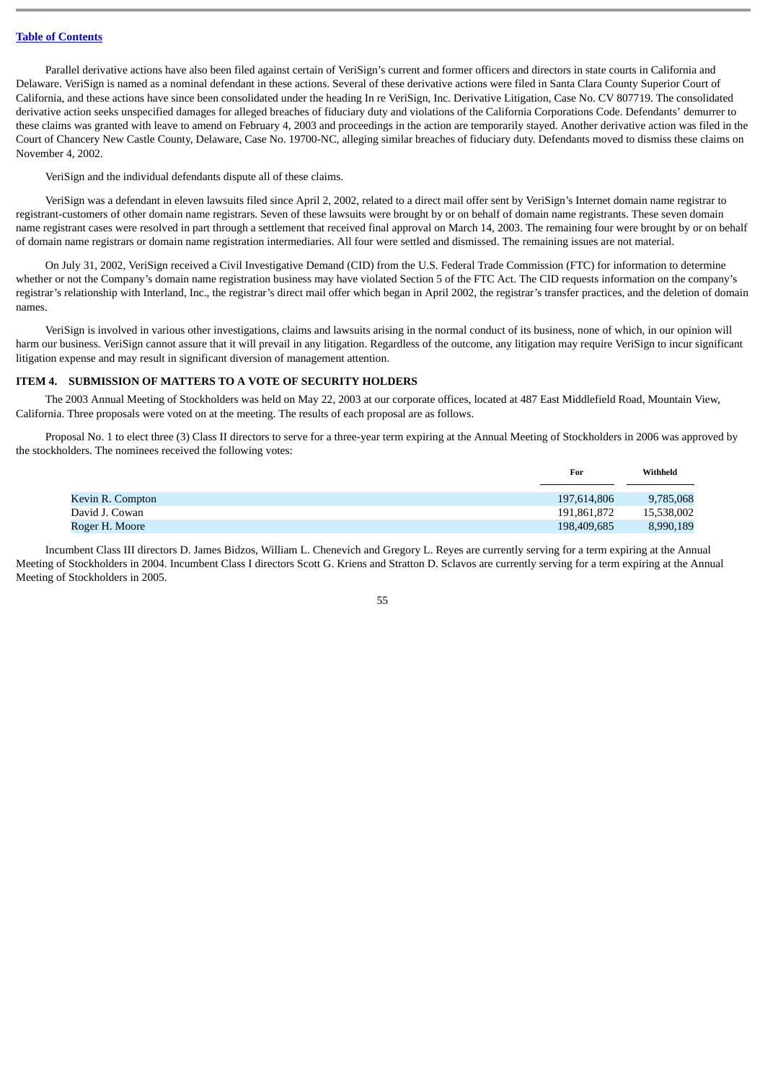Parallel derivative actions have also been filed against certain of VeriSign's current and former officers and directors in state courts in California and Delaware. VeriSign is named as a nominal defendant in these actions. Several of these derivative actions were filed in Santa Clara County Superior Court of California, and these actions have since been consolidated under the heading In re VeriSign, Inc. Derivative Litigation, Case No. CV 807719. The consolidated derivative action seeks unspecified damages for alleged breaches of fiduciary duty and violations of the California Corporations Code. Defendants' demurrer to these claims was granted with leave to amend on February 4, 2003 and proceedings in the action are temporarily stayed. Another derivative action was filed in the Court of Chancery New Castle County, Delaware, Case No. 19700-NC, alleging similar breaches of fiduciary duty. Defendants moved to dismiss these claims on November 4, 2002.

VeriSign and the individual defendants dispute all of these claims.

VeriSign was a defendant in eleven lawsuits filed since April 2, 2002, related to a direct mail offer sent by VeriSign's Internet domain name registrar to registrant-customers of other domain name registrars. Seven of these lawsuits were brought by or on behalf of domain name registrants. These seven domain name registrant cases were resolved in part through a settlement that received final approval on March 14, 2003. The remaining four were brought by or on behalf of domain name registrars or domain name registration intermediaries. All four were settled and dismissed. The remaining issues are not material.

On July 31, 2002, VeriSign received a Civil Investigative Demand (CID) from the U.S. Federal Trade Commission (FTC) for information to determine whether or not the Company's domain name registration business may have violated Section 5 of the FTC Act. The CID requests information on the company's registrar's relationship with Interland, Inc., the registrar's direct mail offer which began in April 2002, the registrar's transfer practices, and the deletion of domain names.

VeriSign is involved in various other investigations, claims and lawsuits arising in the normal conduct of its business, none of which, in our opinion will harm our business. VeriSign cannot assure that it will prevail in any litigation. Regardless of the outcome, any litigation may require VeriSign to incur significant litigation expense and may result in significant diversion of management attention.

#### **ITEM 4. SUBMISSION OF MATTERS TO A VOTE OF SECURITY HOLDERS**

The 2003 Annual Meeting of Stockholders was held on May 22, 2003 at our corporate offices, located at 487 East Middlefield Road, Mountain View, California. Three proposals were voted on at the meeting. The results of each proposal are as follows.

Proposal No. 1 to elect three (3) Class II directors to serve for a three-year term expiring at the Annual Meeting of Stockholders in 2006 was approved by the stockholders. The nominees received the following votes:

|                  | For         | Withheld   |
|------------------|-------------|------------|
| Kevin R. Compton | 197.614.806 | 9,785,068  |
| David J. Cowan   | 191.861.872 | 15,538,002 |
| Roger H. Moore   | 198,409,685 | 8,990,189  |

Incumbent Class III directors D. James Bidzos, William L. Chenevich and Gregory L. Reyes are currently serving for a term expiring at the Annual Meeting of Stockholders in 2004. Incumbent Class I directors Scott G. Kriens and Stratton D. Sclavos are currently serving for a term expiring at the Annual Meeting of Stockholders in 2005.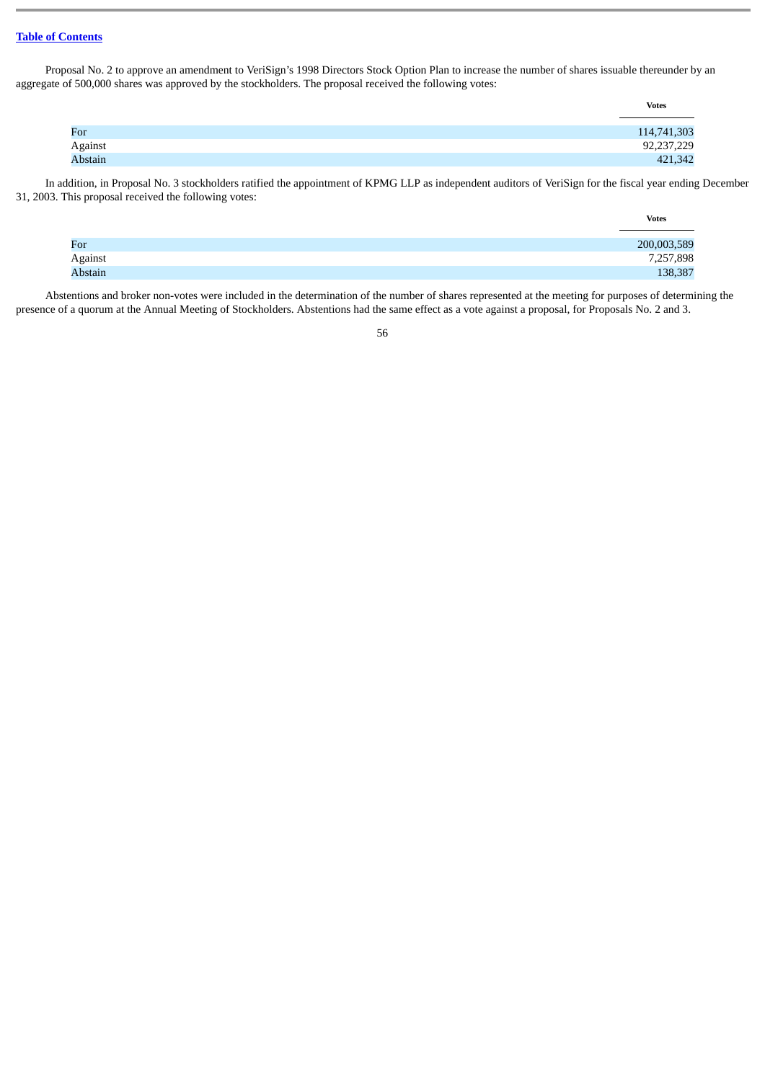Proposal No. 2 to approve an amendment to VeriSign's 1998 Directors Stock Option Plan to increase the number of shares issuable thereunder by an aggregate of 500,000 shares was approved by the stockholders. The proposal received the following votes:

|                | <b>Votes</b> |
|----------------|--------------|
| For            | 114,741,303  |
| Against        | 92,237,229   |
| <b>Abstain</b> | 421,342      |

In addition, in Proposal No. 3 stockholders ratified the appointment of KPMG LLP as independent auditors of VeriSign for the fiscal year ending December 31, 2003. This proposal received the following votes:

|                    | <b>Votes</b> |
|--------------------|--------------|
| For                | 200,003,589  |
| Against<br>Abstain | 7,257,898    |
|                    | 138,387      |

Abstentions and broker non-votes were included in the determination of the number of shares represented at the meeting for purposes of determining the presence of a quorum at the Annual Meeting of Stockholders. Abstentions had the same effect as a vote against a proposal, for Proposals No. 2 and 3.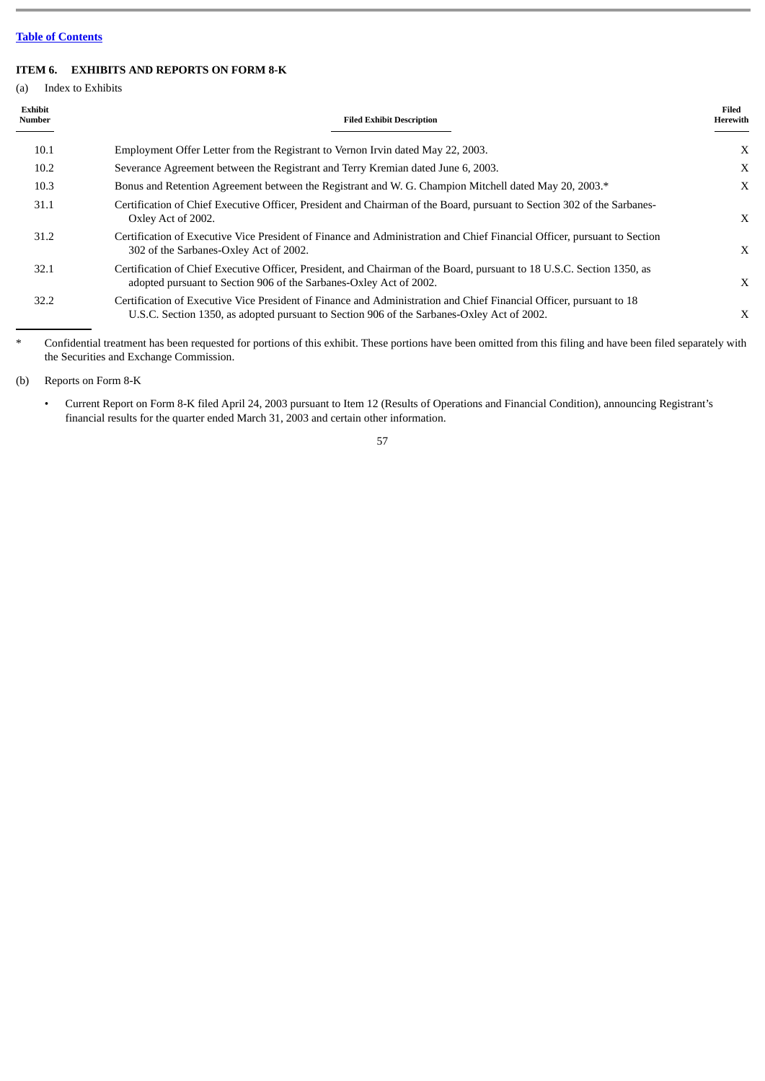# **ITEM 6. EXHIBITS AND REPORTS ON FORM 8-K**

# (a) Index to Exhibits

| Exhibit<br>Number | <b>Filed Exhibit Description</b>                                                                                                                                                                                  | Filed<br>Herewith |
|-------------------|-------------------------------------------------------------------------------------------------------------------------------------------------------------------------------------------------------------------|-------------------|
| 10.1              | Employment Offer Letter from the Registrant to Vernon Irvin dated May 22, 2003.                                                                                                                                   | X                 |
| 10.2              | Severance Agreement between the Registrant and Terry Kremian dated June 6, 2003.                                                                                                                                  | X                 |
| 10.3              | Bonus and Retention Agreement between the Registrant and W. G. Champion Mitchell dated May 20, 2003.*                                                                                                             | X                 |
| 31.1              | Certification of Chief Executive Officer, President and Chairman of the Board, pursuant to Section 302 of the Sarbanes-<br>Oxley Act of 2002.                                                                     | X                 |
| 31.2              | Certification of Executive Vice President of Finance and Administration and Chief Financial Officer, pursuant to Section<br>302 of the Sarbanes-Oxley Act of 2002.                                                | X                 |
| 32.1              | Certification of Chief Executive Officer, President, and Chairman of the Board, pursuant to 18 U.S.C. Section 1350, as<br>adopted pursuant to Section 906 of the Sarbanes-Oxley Act of 2002.                      | X                 |
| 32.2              | Certification of Executive Vice President of Finance and Administration and Chief Financial Officer, pursuant to 18<br>U.S.C. Section 1350, as adopted pursuant to Section 906 of the Sarbanes-Oxley Act of 2002. | X                 |

Confidential treatment has been requested for portions of this exhibit. These portions have been omitted from this filing and have been filed separately with the Securities and Exchange Commission.

(b) Reports on Form 8-K

• Current Report on Form 8-K filed April 24, 2003 pursuant to Item 12 (Results of Operations and Financial Condition), announcing Registrant's financial results for the quarter ended March 31, 2003 and certain other information.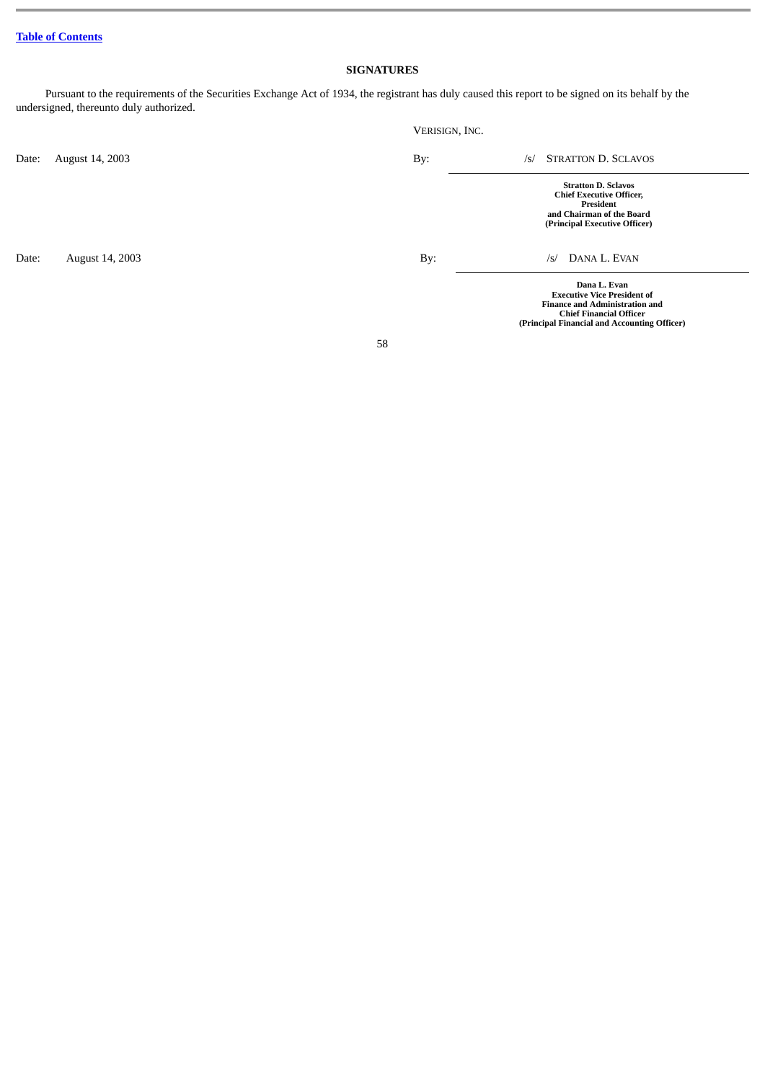# **SIGNATURES**

Pursuant to the requirements of the Securities Exchange Act of 1934, the registrant has duly caused this report to be signed on its behalf by the undersigned, thereunto duly authorized.

Date: August 14, 2003 By: /s/ STRATTON D. SCLAVOS

Date: August 14, 2003 **By:** /s/ DANA L. EVAN

VERISIGN, INC.

**Stratton D. Sclavos Chief Executive Officer, President and Chairman of the Board (Principal Executive Officer)**

**Dana L. Evan Executive Vice President of Finance and Administration and Chief Financial Officer (Principal Financial and Accounting Officer)**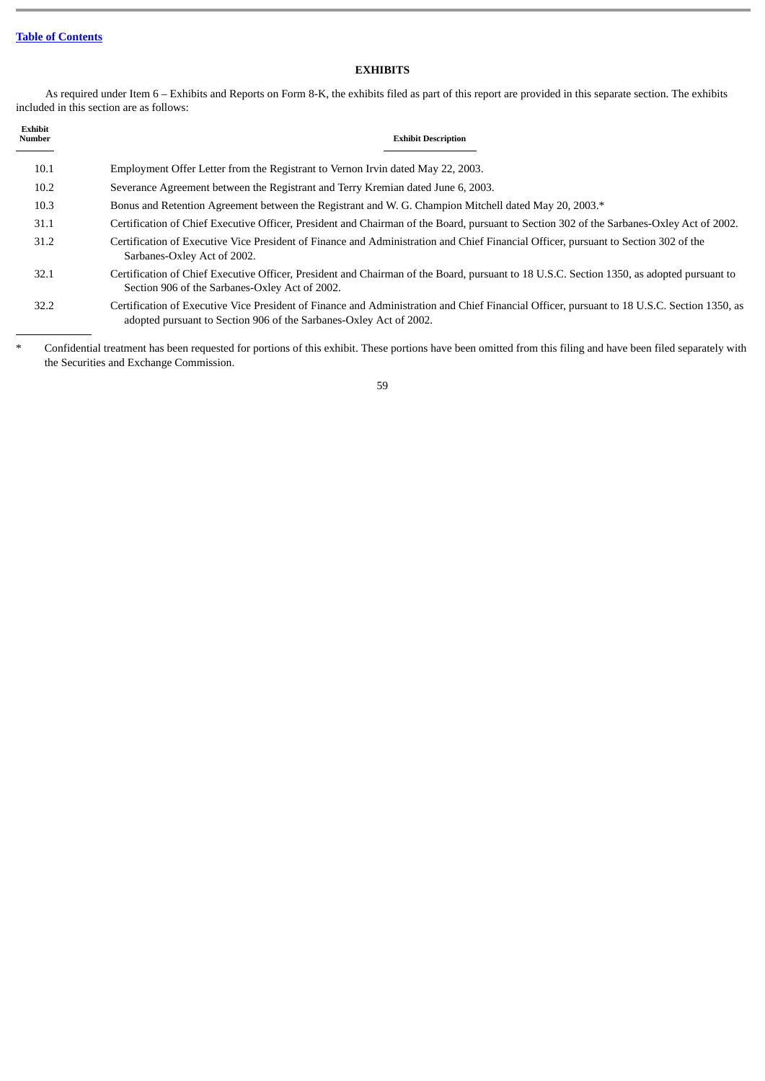# **EXHIBITS**

As required under Item 6 – Exhibits and Reports on Form 8-K, the exhibits filed as part of this report are provided in this separate section. The exhibits included in this section are as follows:

| Exhibit<br>Number | <b>Exhibit Description</b>                                                                                                                                                                                        |  |  |
|-------------------|-------------------------------------------------------------------------------------------------------------------------------------------------------------------------------------------------------------------|--|--|
| 10.1              | Employment Offer Letter from the Registrant to Vernon Irvin dated May 22, 2003.                                                                                                                                   |  |  |
| 10.2              | Severance Agreement between the Registrant and Terry Kremian dated June 6, 2003.                                                                                                                                  |  |  |
| 10.3              | Bonus and Retention Agreement between the Registrant and W. G. Champion Mitchell dated May 20, 2003.*                                                                                                             |  |  |
| 31.1              | Certification of Chief Executive Officer, President and Chairman of the Board, pursuant to Section 302 of the Sarbanes-Oxley Act of 2002.                                                                         |  |  |
| 31.2              | Certification of Executive Vice President of Finance and Administration and Chief Financial Officer, pursuant to Section 302 of the<br>Sarbanes-Oxley Act of 2002.                                                |  |  |
| 32.1              | Certification of Chief Executive Officer, President and Chairman of the Board, pursuant to 18 U.S.C. Section 1350, as adopted pursuant to<br>Section 906 of the Sarbanes-Oxley Act of 2002.                       |  |  |
| 32.2              | Certification of Executive Vice President of Finance and Administration and Chief Financial Officer, pursuant to 18 U.S.C. Section 1350, as<br>adopted pursuant to Section 906 of the Sarbanes-Oxley Act of 2002. |  |  |

\* Confidential treatment has been requested for portions of this exhibit. These portions have been omitted from this filing and have been filed separately with the Securities and Exchange Commission.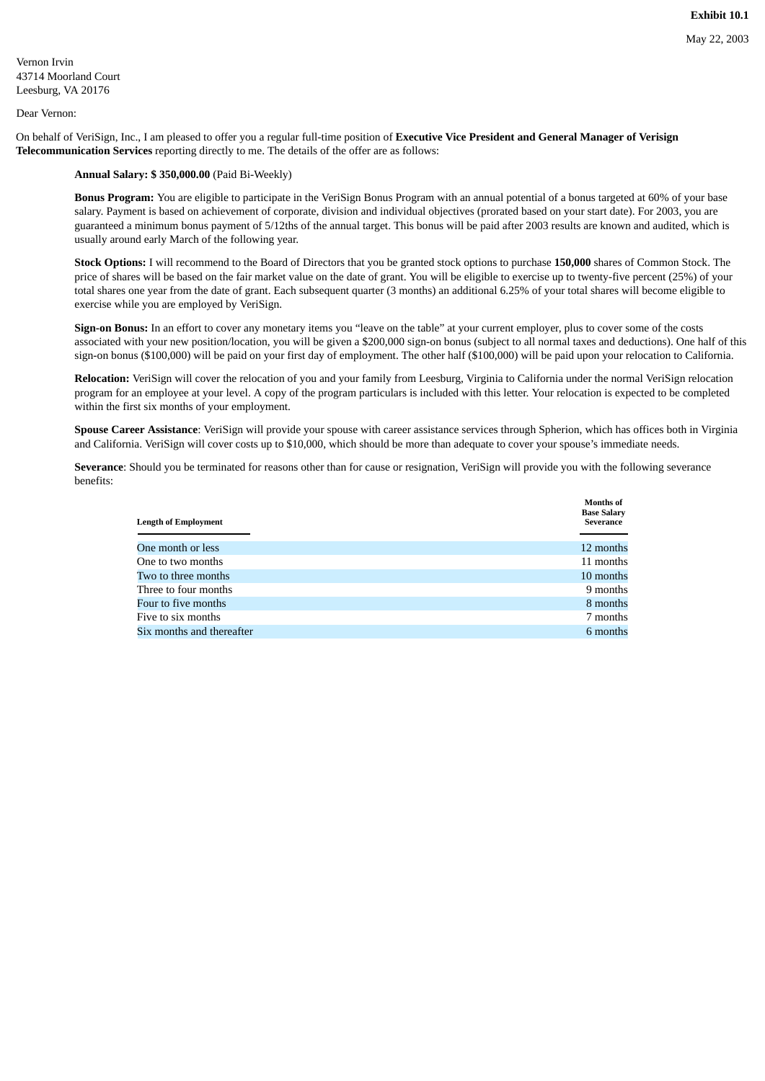Vernon Irvin 43714 Moorland Court Leesburg, VA 20176

Dear Vernon:

On behalf of VeriSign, Inc., I am pleased to offer you a regular full-time position of **Executive Vice President and General Manager of Verisign Telecommunication Services** reporting directly to me. The details of the offer are as follows:

**Annual Salary: \$ 350,000.00** (Paid Bi-Weekly)

**Bonus Program:** You are eligible to participate in the VeriSign Bonus Program with an annual potential of a bonus targeted at 60% of your base salary. Payment is based on achievement of corporate, division and individual objectives (prorated based on your start date). For 2003, you are guaranteed a minimum bonus payment of 5/12ths of the annual target. This bonus will be paid after 2003 results are known and audited, which is usually around early March of the following year.

**Stock Options:** I will recommend to the Board of Directors that you be granted stock options to purchase **150,000** shares of Common Stock. The price of shares will be based on the fair market value on the date of grant. You will be eligible to exercise up to twenty-five percent (25%) of your total shares one year from the date of grant. Each subsequent quarter (3 months) an additional 6.25% of your total shares will become eligible to exercise while you are employed by VeriSign.

**Sign-on Bonus:** In an effort to cover any monetary items you "leave on the table" at your current employer, plus to cover some of the costs associated with your new position/location, you will be given a \$200,000 sign-on bonus (subject to all normal taxes and deductions). One half of this sign-on bonus (\$100,000) will be paid on your first day of employment. The other half (\$100,000) will be paid upon your relocation to California.

**Relocation:** VeriSign will cover the relocation of you and your family from Leesburg, Virginia to California under the normal VeriSign relocation program for an employee at your level. A copy of the program particulars is included with this letter. Your relocation is expected to be completed within the first six months of your employment.

**Spouse Career Assistance**: VeriSign will provide your spouse with career assistance services through Spherion, which has offices both in Virginia and California. VeriSign will cover costs up to \$10,000, which should be more than adequate to cover your spouse's immediate needs.

**Severance**: Should you be terminated for reasons other than for cause or resignation, VeriSign will provide you with the following severance benefits:

| <b>Length of Employment</b> | Months of<br><b>Base Salary</b><br><b>Severance</b> |
|-----------------------------|-----------------------------------------------------|
| One month or less           | 12 months                                           |
| One to two months           | 11 months                                           |
| Two to three months         | 10 months                                           |
| Three to four months        | 9 months                                            |
| Four to five months         | 8 months                                            |
| Five to six months          | 7 months                                            |
| Six months and thereafter   | 6 months                                            |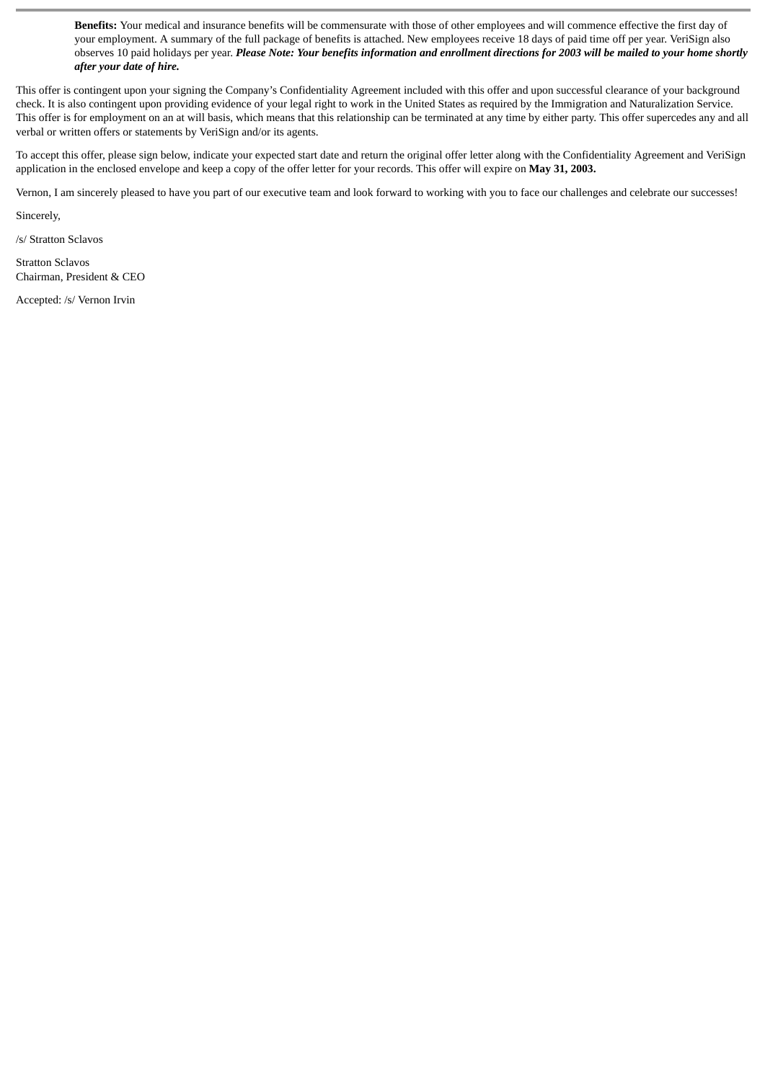**Benefits:** Your medical and insurance benefits will be commensurate with those of other employees and will commence effective the first day of your employment. A summary of the full package of benefits is attached. New employees receive 18 days of paid time off per year. VeriSign also observes 10 paid holidays per year. *Please Note: Your benefits information and enrollment directions for 2003 will be mailed to your home shortly after your date of hire.*

This offer is contingent upon your signing the Company's Confidentiality Agreement included with this offer and upon successful clearance of your background check. It is also contingent upon providing evidence of your legal right to work in the United States as required by the Immigration and Naturalization Service. This offer is for employment on an at will basis, which means that this relationship can be terminated at any time by either party. This offer supercedes any and all verbal or written offers or statements by VeriSign and/or its agents.

To accept this offer, please sign below, indicate your expected start date and return the original offer letter along with the Confidentiality Agreement and VeriSign application in the enclosed envelope and keep a copy of the offer letter for your records. This offer will expire on **May 31, 2003.**

Vernon, I am sincerely pleased to have you part of our executive team and look forward to working with you to face our challenges and celebrate our successes!

Sincerely,

/s/ Stratton Sclavos

Stratton Sclavos Chairman, President & CEO

Accepted: /s/ Vernon Irvin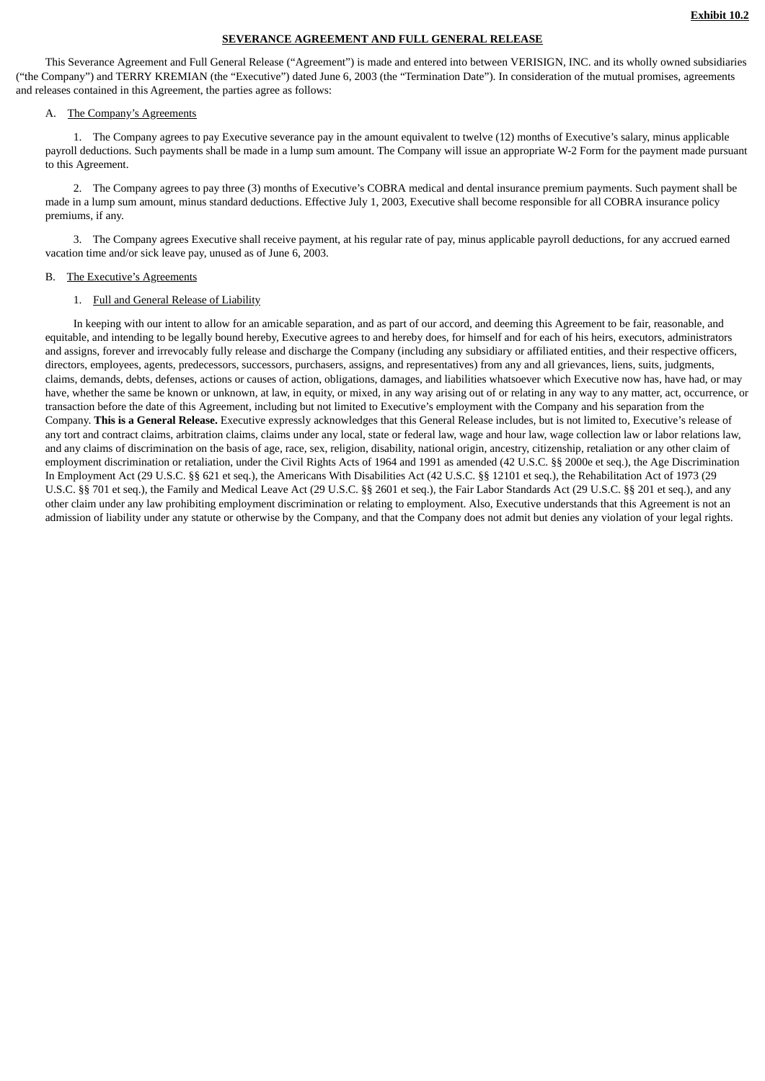## **SEVERANCE AGREEMENT AND FULL GENERAL RELEASE**

This Severance Agreement and Full General Release ("Agreement") is made and entered into between VERISIGN, INC. and its wholly owned subsidiaries ("the Company") and TERRY KREMIAN (the "Executive") dated June 6, 2003 (the "Termination Date"). In consideration of the mutual promises, agreements and releases contained in this Agreement, the parties agree as follows:

## The Company's Agreements

1. The Company agrees to pay Executive severance pay in the amount equivalent to twelve (12) months of Executive's salary, minus applicable payroll deductions. Such payments shall be made in a lump sum amount. The Company will issue an appropriate W-2 Form for the payment made pursuant to this Agreement.

2. The Company agrees to pay three (3) months of Executive's COBRA medical and dental insurance premium payments. Such payment shall be made in a lump sum amount, minus standard deductions. Effective July 1, 2003, Executive shall become responsible for all COBRA insurance policy premiums, if any.

3. The Company agrees Executive shall receive payment, at his regular rate of pay, minus applicable payroll deductions, for any accrued earned vacation time and/or sick leave pay, unused as of June 6, 2003.

### B. The Executive's Agreements

## 1. Full and General Release of Liability

In keeping with our intent to allow for an amicable separation, and as part of our accord, and deeming this Agreement to be fair, reasonable, and equitable, and intending to be legally bound hereby, Executive agrees to and hereby does, for himself and for each of his heirs, executors, administrators and assigns, forever and irrevocably fully release and discharge the Company (including any subsidiary or affiliated entities, and their respective officers, directors, employees, agents, predecessors, successors, purchasers, assigns, and representatives) from any and all grievances, liens, suits, judgments, claims, demands, debts, defenses, actions or causes of action, obligations, damages, and liabilities whatsoever which Executive now has, have had, or may have, whether the same be known or unknown, at law, in equity, or mixed, in any way arising out of or relating in any way to any matter, act, occurrence, or transaction before the date of this Agreement, including but not limited to Executive's employment with the Company and his separation from the Company. **This is a General Release.** Executive expressly acknowledges that this General Release includes, but is not limited to, Executive's release of any tort and contract claims, arbitration claims, claims under any local, state or federal law, wage and hour law, wage collection law or labor relations law, and any claims of discrimination on the basis of age, race, sex, religion, disability, national origin, ancestry, citizenship, retaliation or any other claim of employment discrimination or retaliation, under the Civil Rights Acts of 1964 and 1991 as amended (42 U.S.C. §§ 2000e et seq.), the Age Discrimination In Employment Act (29 U.S.C. §§ 621 et seq.), the Americans With Disabilities Act (42 U.S.C. §§ 12101 et seq.), the Rehabilitation Act of 1973 (29 U.S.C. §§ 701 et seq.), the Family and Medical Leave Act (29 U.S.C. §§ 2601 et seq.), the Fair Labor Standards Act (29 U.S.C. §§ 201 et seq.), and any other claim under any law prohibiting employment discrimination or relating to employment. Also, Executive understands that this Agreement is not an admission of liability under any statute or otherwise by the Company, and that the Company does not admit but denies any violation of your legal rights.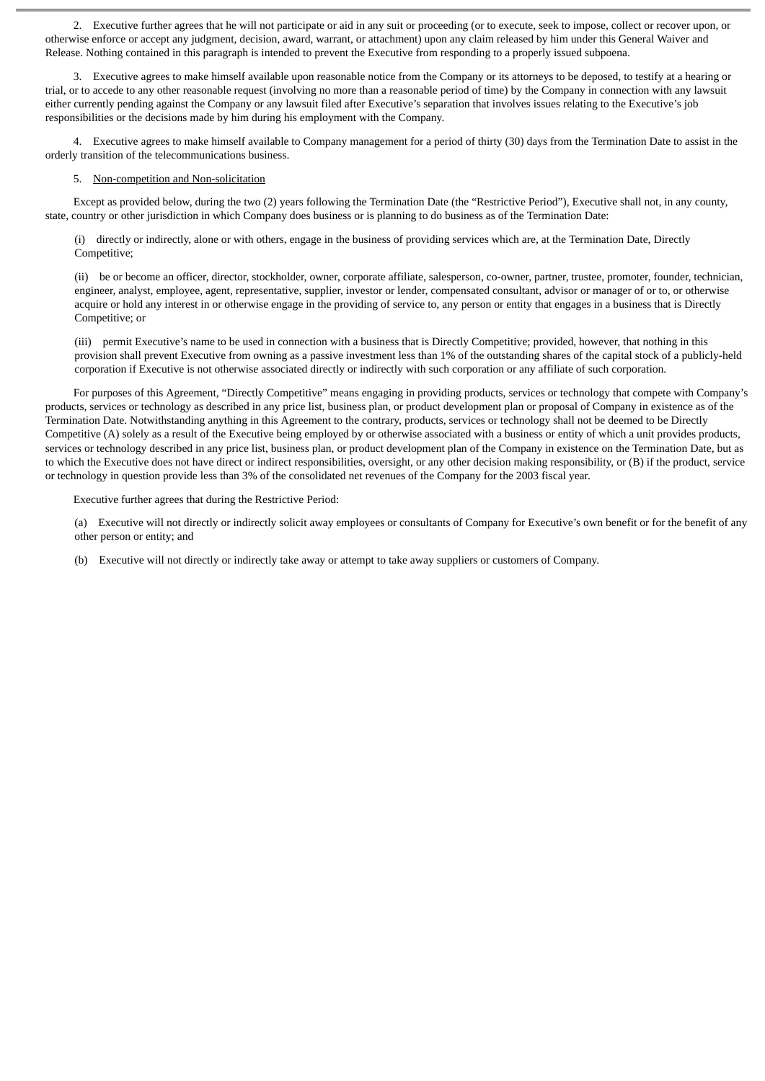2. Executive further agrees that he will not participate or aid in any suit or proceeding (or to execute, seek to impose, collect or recover upon, or otherwise enforce or accept any judgment, decision, award, warrant, or attachment) upon any claim released by him under this General Waiver and Release. Nothing contained in this paragraph is intended to prevent the Executive from responding to a properly issued subpoena.

3. Executive agrees to make himself available upon reasonable notice from the Company or its attorneys to be deposed, to testify at a hearing or trial, or to accede to any other reasonable request (involving no more than a reasonable period of time) by the Company in connection with any lawsuit either currently pending against the Company or any lawsuit filed after Executive's separation that involves issues relating to the Executive's job responsibilities or the decisions made by him during his employment with the Company.

4. Executive agrees to make himself available to Company management for a period of thirty (30) days from the Termination Date to assist in the orderly transition of the telecommunications business.

## 5. Non-competition and Non-solicitation

Except as provided below, during the two (2) years following the Termination Date (the "Restrictive Period"), Executive shall not, in any county, state, country or other jurisdiction in which Company does business or is planning to do business as of the Termination Date:

(i) directly or indirectly, alone or with others, engage in the business of providing services which are, at the Termination Date, Directly Competitive;

(ii) be or become an officer, director, stockholder, owner, corporate affiliate, salesperson, co-owner, partner, trustee, promoter, founder, technician, engineer, analyst, employee, agent, representative, supplier, investor or lender, compensated consultant, advisor or manager of or to, or otherwise acquire or hold any interest in or otherwise engage in the providing of service to, any person or entity that engages in a business that is Directly Competitive; or

(iii) permit Executive's name to be used in connection with a business that is Directly Competitive; provided, however, that nothing in this provision shall prevent Executive from owning as a passive investment less than 1% of the outstanding shares of the capital stock of a publicly-held corporation if Executive is not otherwise associated directly or indirectly with such corporation or any affiliate of such corporation.

For purposes of this Agreement, "Directly Competitive" means engaging in providing products, services or technology that compete with Company's products, services or technology as described in any price list, business plan, or product development plan or proposal of Company in existence as of the Termination Date. Notwithstanding anything in this Agreement to the contrary, products, services or technology shall not be deemed to be Directly Competitive (A) solely as a result of the Executive being employed by or otherwise associated with a business or entity of which a unit provides products, services or technology described in any price list, business plan, or product development plan of the Company in existence on the Termination Date, but as to which the Executive does not have direct or indirect responsibilities, oversight, or any other decision making responsibility, or (B) if the product, service or technology in question provide less than 3% of the consolidated net revenues of the Company for the 2003 fiscal year.

Executive further agrees that during the Restrictive Period:

(a) Executive will not directly or indirectly solicit away employees or consultants of Company for Executive's own benefit or for the benefit of any other person or entity; and

(b) Executive will not directly or indirectly take away or attempt to take away suppliers or customers of Company.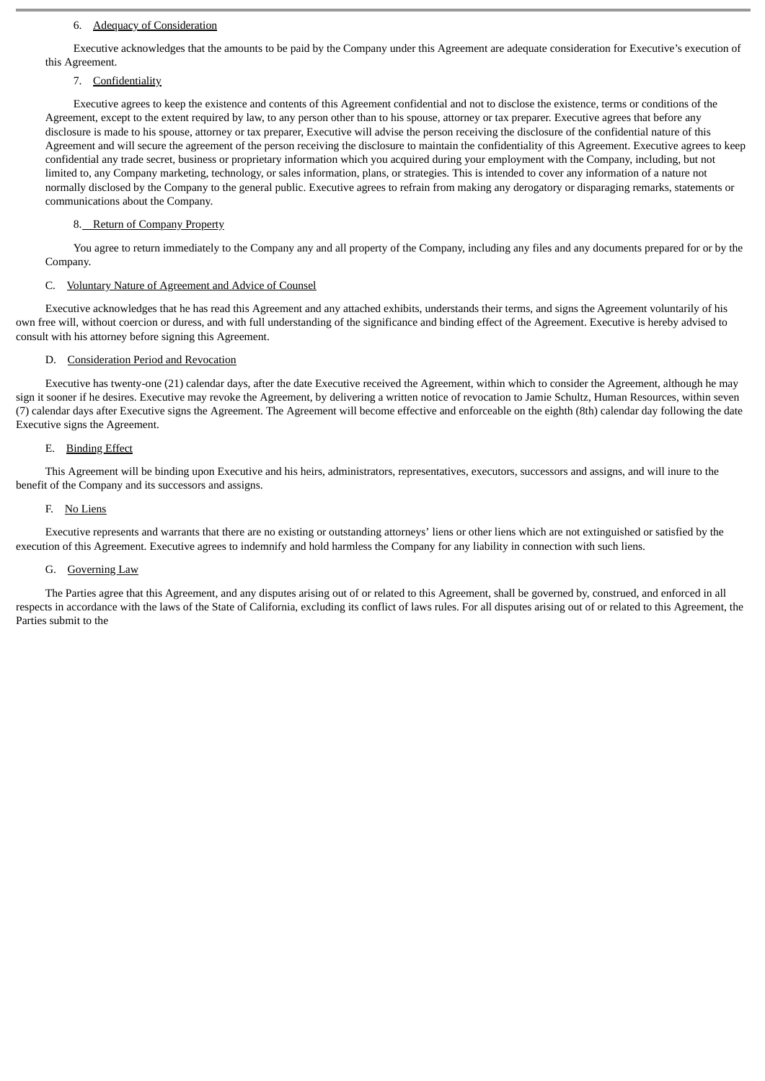## 6. Adequacy of Consideration

Executive acknowledges that the amounts to be paid by the Company under this Agreement are adequate consideration for Executive's execution of this Agreement.

## 7. Confidentiality

Executive agrees to keep the existence and contents of this Agreement confidential and not to disclose the existence, terms or conditions of the Agreement, except to the extent required by law, to any person other than to his spouse, attorney or tax preparer. Executive agrees that before any disclosure is made to his spouse, attorney or tax preparer, Executive will advise the person receiving the disclosure of the confidential nature of this Agreement and will secure the agreement of the person receiving the disclosure to maintain the confidentiality of this Agreement. Executive agrees to keep confidential any trade secret, business or proprietary information which you acquired during your employment with the Company, including, but not limited to, any Company marketing, technology, or sales information, plans, or strategies. This is intended to cover any information of a nature not normally disclosed by the Company to the general public. Executive agrees to refrain from making any derogatory or disparaging remarks, statements or communications about the Company.

## 8. Return of Company Property

You agree to return immediately to the Company any and all property of the Company, including any files and any documents prepared for or by the Company.

## C. Voluntary Nature of Agreement and Advice of Counsel

Executive acknowledges that he has read this Agreement and any attached exhibits, understands their terms, and signs the Agreement voluntarily of his own free will, without coercion or duress, and with full understanding of the significance and binding effect of the Agreement. Executive is hereby advised to consult with his attorney before signing this Agreement.

#### D. Consideration Period and Revocation

Executive has twenty-one (21) calendar days, after the date Executive received the Agreement, within which to consider the Agreement, although he may sign it sooner if he desires. Executive may revoke the Agreement, by delivering a written notice of revocation to Jamie Schultz, Human Resources, within seven (7) calendar days after Executive signs the Agreement. The Agreement will become effective and enforceable on the eighth (8th) calendar day following the date Executive signs the Agreement.

### E. Binding Effect

This Agreement will be binding upon Executive and his heirs, administrators, representatives, executors, successors and assigns, and will inure to the benefit of the Company and its successors and assigns.

#### F. No Liens

Executive represents and warrants that there are no existing or outstanding attorneys' liens or other liens which are not extinguished or satisfied by the execution of this Agreement. Executive agrees to indemnify and hold harmless the Company for any liability in connection with such liens.

# G. Governing Law

The Parties agree that this Agreement, and any disputes arising out of or related to this Agreement, shall be governed by, construed, and enforced in all respects in accordance with the laws of the State of California, excluding its conflict of laws rules. For all disputes arising out of or related to this Agreement, the Parties submit to the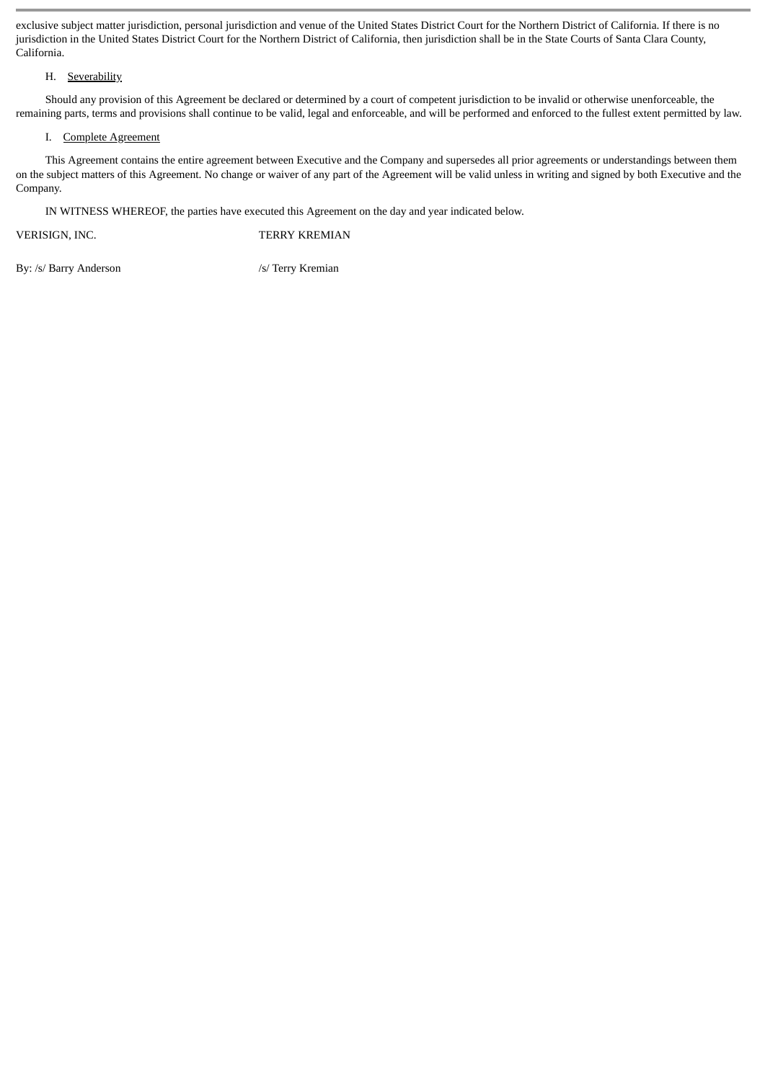exclusive subject matter jurisdiction, personal jurisdiction and venue of the United States District Court for the Northern District of California. If there is no jurisdiction in the United States District Court for the Northern District of California, then jurisdiction shall be in the State Courts of Santa Clara County, California.

# H. **Severability**

Should any provision of this Agreement be declared or determined by a court of competent jurisdiction to be invalid or otherwise unenforceable, the remaining parts, terms and provisions shall continue to be valid, legal and enforceable, and will be performed and enforced to the fullest extent permitted by law.

# I. Complete Agreement

This Agreement contains the entire agreement between Executive and the Company and supersedes all prior agreements or understandings between them on the subject matters of this Agreement. No change or waiver of any part of the Agreement will be valid unless in writing and signed by both Executive and the Company.

IN WITNESS WHEREOF, the parties have executed this Agreement on the day and year indicated below.

VERISIGN, INC. TERRY KREMIAN

By: /s/ Barry Anderson /s/ Terry Kremian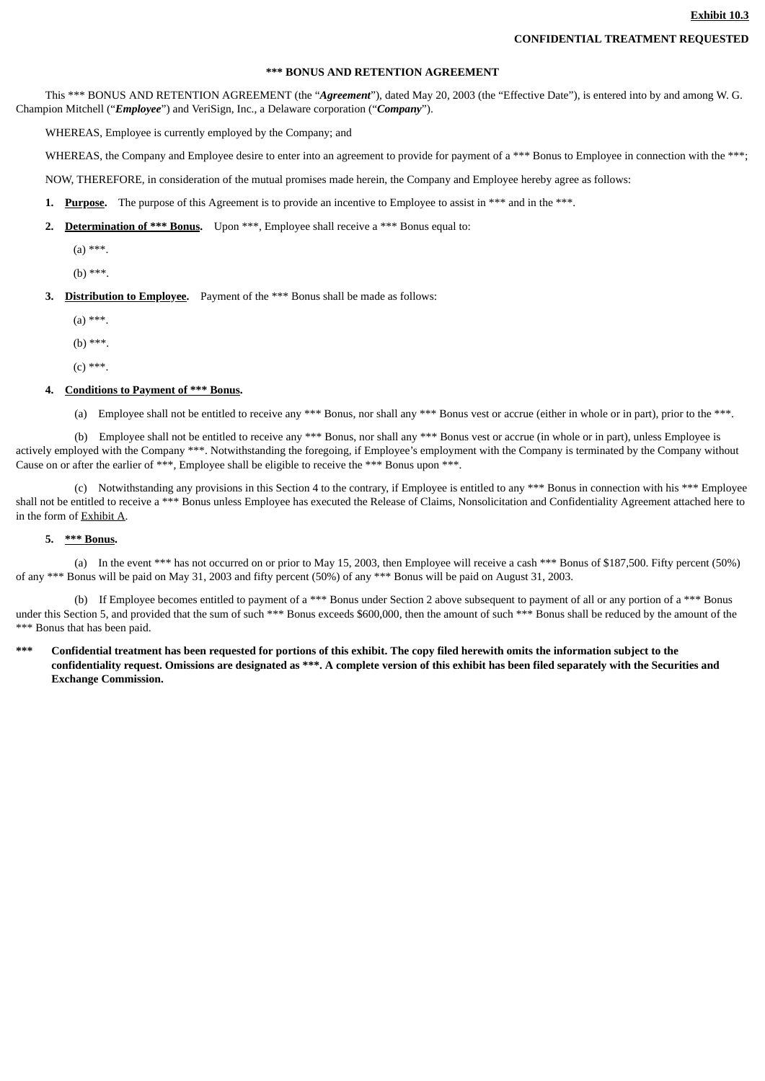# **CONFIDENTIAL TREATMENT REQUESTED**

## **\*\*\* BONUS AND RETENTION AGREEMENT**

This \*\*\* BONUS AND RETENTION AGREEMENT (the "*Agreement*"), dated May 20, 2003 (the "Effective Date"), is entered into by and among W. G. Champion Mitchell ("*Employee*") and VeriSign, Inc., a Delaware corporation ("*Company*").

WHEREAS, Employee is currently employed by the Company; and

WHEREAS, the Company and Employee desire to enter into an agreement to provide for payment of a \*\*\* Bonus to Employee in connection with the \*\*\*;

NOW, THEREFORE, in consideration of the mutual promises made herein, the Company and Employee hereby agree as follows:

- **1.** Purpose. The purpose of this Agreement is to provide an incentive to Employee to assist in \*\*\* and in the \*\*\*.
- 2. Determination of \*\*\* Bonus. Upon \*\*\*, Employee shall receive a \*\*\* Bonus equal to:

(a) \*\*\*.

(b) \*\*\*.

**3. Distribution to Employee.** Payment of the \*\*\* Bonus shall be made as follows:

 $(a)$ \*\*\*.

(b) \*\*\*.

 $(c)$ \*\*\*.

## **4. Conditions to Payment of \*\*\* Bonus.**

(a) Employee shall not be entitled to receive any \*\*\* Bonus, nor shall any \*\*\* Bonus vest or accrue (either in whole or in part), prior to the \*\*\*.

(b) Employee shall not be entitled to receive any \*\*\* Bonus, nor shall any \*\*\* Bonus vest or accrue (in whole or in part), unless Employee is actively employed with the Company \*\*\*. Notwithstanding the foregoing, if Employee's employment with the Company is terminated by the Company without Cause on or after the earlier of \*\*\*, Employee shall be eligible to receive the \*\*\* Bonus upon \*\*\*.

(c) Notwithstanding any provisions in this Section 4 to the contrary, if Employee is entitled to any \*\*\* Bonus in connection with his \*\*\* Employee shall not be entitled to receive a \*\*\* Bonus unless Employee has executed the Release of Claims, Nonsolicitation and Confidentiality Agreement attached here to in the form of Exhibit A.

# **5. \*\*\* Bonus.**

(a) In the event \*\*\* has not occurred on or prior to May 15, 2003, then Employee will receive a cash \*\*\* Bonus of \$187,500. Fifty percent (50%) of any \*\*\* Bonus will be paid on May 31, 2003 and fifty percent (50%) of any \*\*\* Bonus will be paid on August 31, 2003.

(b) If Employee becomes entitled to payment of a \*\*\* Bonus under Section 2 above subsequent to payment of all or any portion of a \*\*\* Bonus under this Section 5, and provided that the sum of such \*\*\* Bonus exceeds \$600,000, then the amount of such \*\*\* Bonus shall be reduced by the amount of the \*\*\* Bonus that has been paid.

# **\*\*\* Confidential treatment has been requested for portions of this exhibit. The copy filed herewith omits the information subject to the confidentiality request. Omissions are designated as \*\*\*. A complete version of this exhibit has been filed separately with the Securities and Exchange Commission.**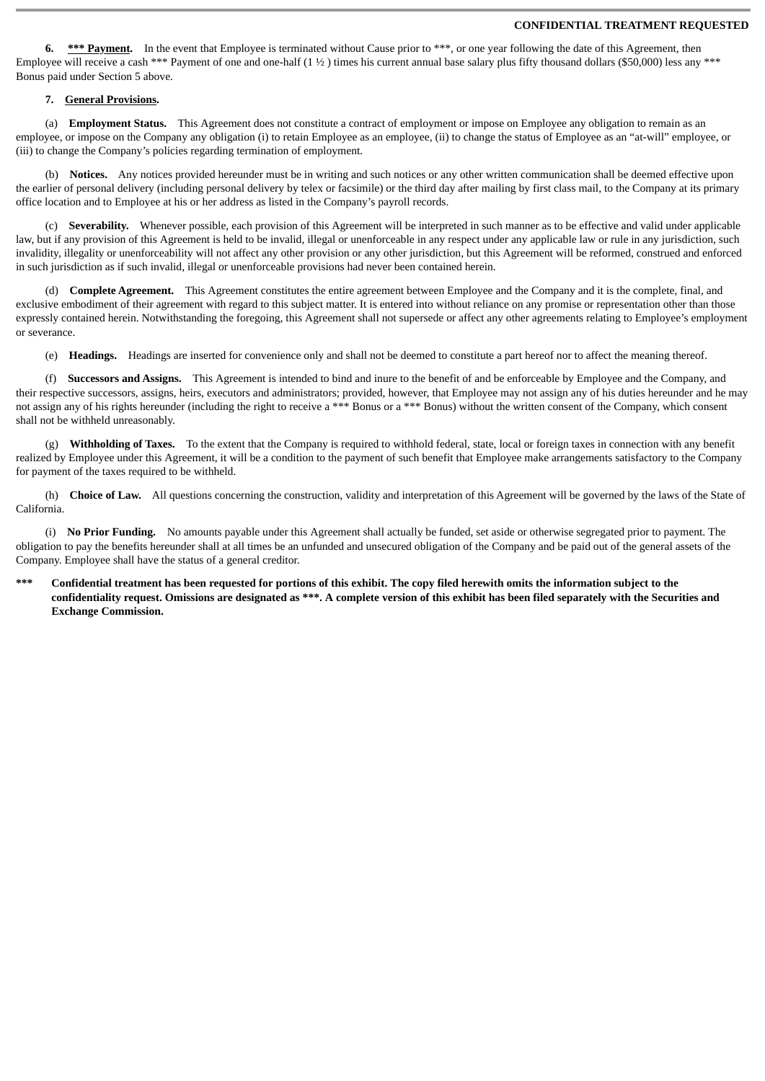# **CONFIDENTIAL TREATMENT REQUESTED**

**6.** \*\*\* **Payment.** In the event that Employee is terminated without Cause prior to \*\*\*, or one year following the date of this Agreement, then Employee will receive a cash \*\*\* Payment of one and one-half  $(1 \frac{1}{2})$  times his current annual base salary plus fifty thousand dollars (\$50,000) less any \*\*\* Bonus paid under Section 5 above.

# **7. General Provisions.**

(a) **Employment Status.** This Agreement does not constitute a contract of employment or impose on Employee any obligation to remain as an employee, or impose on the Company any obligation (i) to retain Employee as an employee, (ii) to change the status of Employee as an "at-will" employee, or (iii) to change the Company's policies regarding termination of employment.

(b) **Notices.** Any notices provided hereunder must be in writing and such notices or any other written communication shall be deemed effective upon the earlier of personal delivery (including personal delivery by telex or facsimile) or the third day after mailing by first class mail, to the Company at its primary office location and to Employee at his or her address as listed in the Company's payroll records.

(c) **Severability.** Whenever possible, each provision of this Agreement will be interpreted in such manner as to be effective and valid under applicable law, but if any provision of this Agreement is held to be invalid, illegal or unenforceable in any respect under any applicable law or rule in any jurisdiction, such invalidity, illegality or unenforceability will not affect any other provision or any other jurisdiction, but this Agreement will be reformed, construed and enforced in such jurisdiction as if such invalid, illegal or unenforceable provisions had never been contained herein.

(d) **Complete Agreement.** This Agreement constitutes the entire agreement between Employee and the Company and it is the complete, final, and exclusive embodiment of their agreement with regard to this subject matter. It is entered into without reliance on any promise or representation other than those expressly contained herein. Notwithstanding the foregoing, this Agreement shall not supersede or affect any other agreements relating to Employee's employment or severance.

(e) **Headings.** Headings are inserted for convenience only and shall not be deemed to constitute a part hereof nor to affect the meaning thereof.

(f) **Successors and Assigns.** This Agreement is intended to bind and inure to the benefit of and be enforceable by Employee and the Company, and their respective successors, assigns, heirs, executors and administrators; provided, however, that Employee may not assign any of his duties hereunder and he may not assign any of his rights hereunder (including the right to receive a \*\*\* Bonus or a \*\*\* Bonus) without the written consent of the Company, which consent shall not be withheld unreasonably.

(g) **Withholding of Taxes.** To the extent that the Company is required to withhold federal, state, local or foreign taxes in connection with any benefit realized by Employee under this Agreement, it will be a condition to the payment of such benefit that Employee make arrangements satisfactory to the Company for payment of the taxes required to be withheld.

(h) **Choice of Law.** All questions concerning the construction, validity and interpretation of this Agreement will be governed by the laws of the State of California.

(i) **No Prior Funding.** No amounts payable under this Agreement shall actually be funded, set aside or otherwise segregated prior to payment. The obligation to pay the benefits hereunder shall at all times be an unfunded and unsecured obligation of the Company and be paid out of the general assets of the Company. Employee shall have the status of a general creditor.

**\*\*\* Confidential treatment has been requested for portions of this exhibit. The copy filed herewith omits the information subject to the confidentiality request. Omissions are designated as \*\*\*. A complete version of this exhibit has been filed separately with the Securities and Exchange Commission.**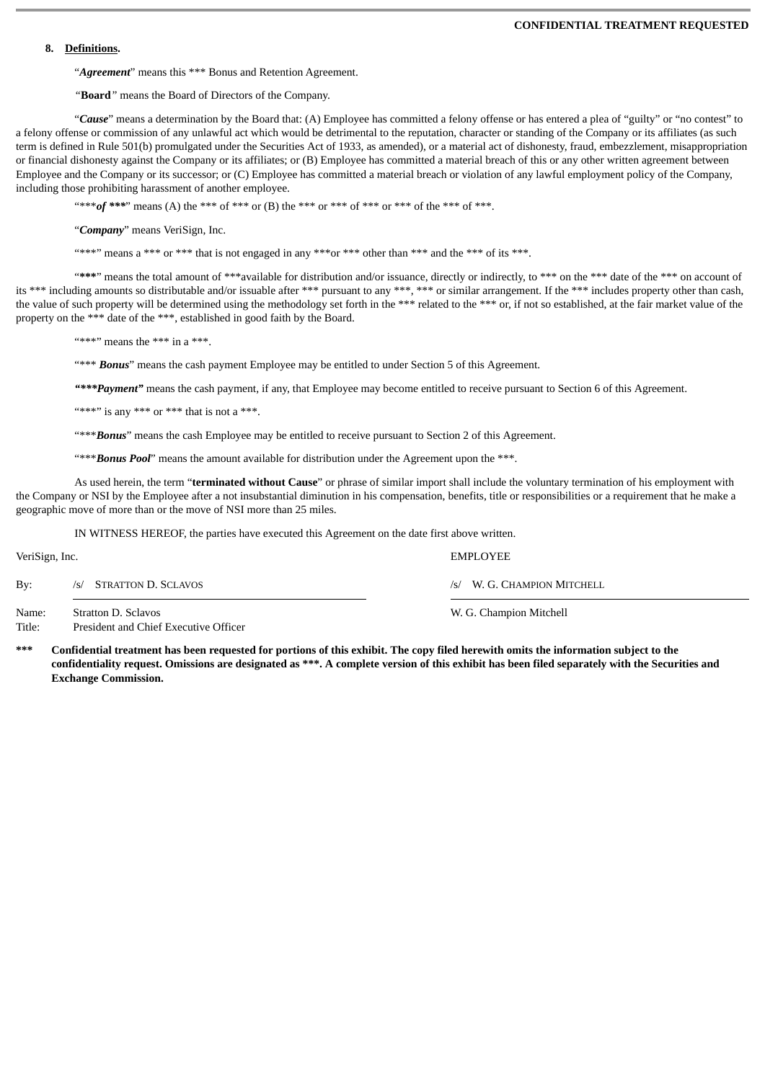# **CONFIDENTIAL TREATMENT REQUESTED**

# **8. Definitions.**

"*Agreement*" means this \*\*\* Bonus and Retention Agreement.

*"***Board***"* means the Board of Directors of the Company.

"*Cause*" means a determination by the Board that: (A) Employee has committed a felony offense or has entered a plea of "guilty" or "no contest" to a felony offense or commission of any unlawful act which would be detrimental to the reputation, character or standing of the Company or its affiliates (as such term is defined in Rule 501(b) promulgated under the Securities Act of 1933, as amended), or a material act of dishonesty, fraud, embezzlement, misappropriation or financial dishonesty against the Company or its affiliates; or (B) Employee has committed a material breach of this or any other written agreement between Employee and the Company or its successor; or (C) Employee has committed a material breach or violation of any lawful employment policy of the Company, including those prohibiting harassment of another employee.

"\*\*\**of \*\*\**" means (A) the \*\*\* of \*\*\* or (B) the \*\*\* or \*\*\* of \*\*\* or \*\*\* of the \*\*\* of \*\*\*.

"*Company*" means VeriSign, Inc.

"\*\*\*" means a \*\*\* or \*\*\* that is not engaged in any \*\*\*or \*\*\* other than \*\*\* and the \*\*\* of its \*\*\*.

"**\*\*\***" means the total amount of \*\*\*available for distribution and/or issuance, directly or indirectly, to \*\*\* on the \*\*\* date of the \*\*\* on account of its \*\*\* including amounts so distributable and/or issuable after \*\*\* pursuant to any \*\*\*, \*\*\* or similar arrangement. If the \*\*\* includes property other than cash, the value of such property will be determined using the methodology set forth in the \*\*\* related to the \*\*\* or, if not so established, at the fair market value of the property on the \*\*\* date of the \*\*\*, established in good faith by the Board.

"\*\*\*" means the \*\*\* in a \*\*\*.

"\*\*\* *Bonus*" means the cash payment Employee may be entitled to under Section 5 of this Agreement.

*"\*\*\*Payment"* means the cash payment, if any, that Employee may become entitled to receive pursuant to Section 6 of this Agreement.

"\*\*\*" is any \*\*\* or \*\*\* that is not a \*\*\*.

"\*\*\**Bonus*" means the cash Employee may be entitled to receive pursuant to Section 2 of this Agreement.

"\*\*\**Bonus Pool*" means the amount available for distribution under the Agreement upon the \*\*\*.

As used herein, the term "**terminated without Cause**" or phrase of similar import shall include the voluntary termination of his employment with the Company or NSI by the Employee after a not insubstantial diminution in his compensation, benefits, title or responsibilities or a requirement that he make a geographic move of more than or the move of NSI more than 25 miles.

IN WITNESS HEREOF, the parties have executed this Agreement on the date first above written.

By: /s/ STRATTON D. SCLAVOS /s/ W. G. CHAMPION MITCHELL

Title: President and Chief Executive Officer

**\*\*\* Confidential treatment has been requested for portions of this exhibit. The copy filed herewith omits the information subject to the confidentiality request. Omissions are designated as \*\*\*. A complete version of this exhibit has been filed separately with the Securities and Exchange Commission.**

VeriSign, Inc. EMPLOYEE

Name: Stratton D. Sclavos **W. G. Champion Mitchell**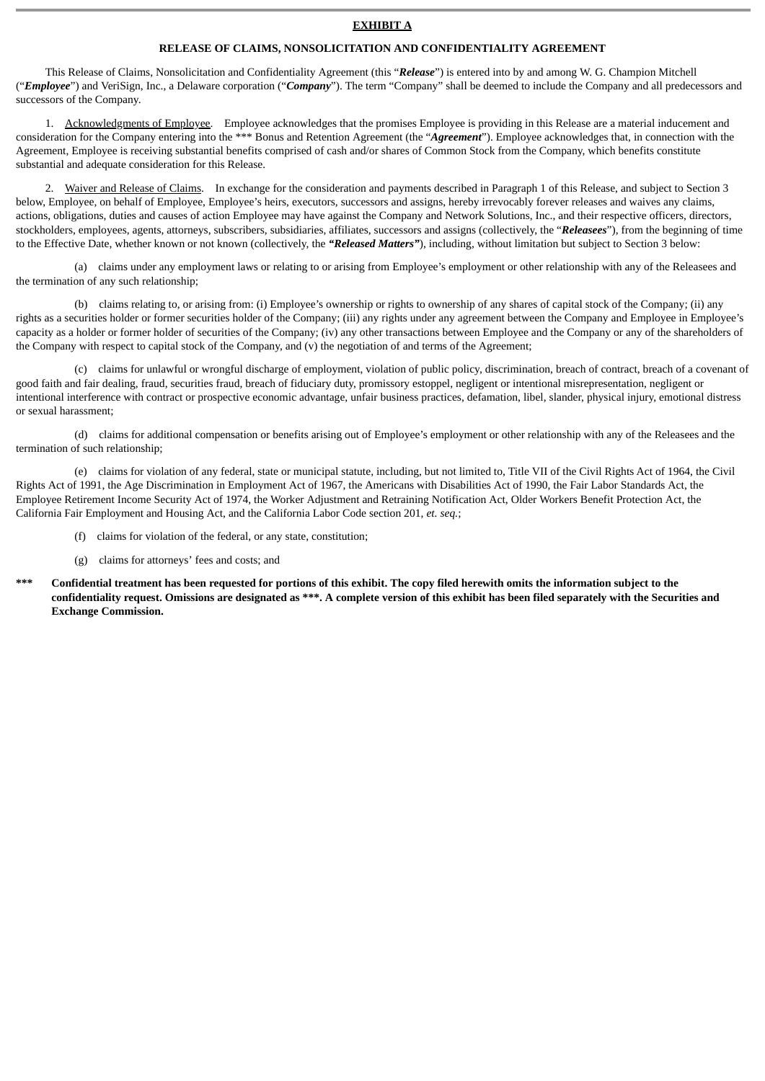# **EXHIBIT A**

# **RELEASE OF CLAIMS, NONSOLICITATION AND CONFIDENTIALITY AGREEMENT**

This Release of Claims, Nonsolicitation and Confidentiality Agreement (this "*Release*") is entered into by and among W. G. Champion Mitchell ("*Employee*") and VeriSign, Inc., a Delaware corporation ("*Company*"). The term "Company" shall be deemed to include the Company and all predecessors and successors of the Company.

1. Acknowledgments of Employee. Employee acknowledges that the promises Employee is providing in this Release are a material inducement and consideration for the Company entering into the \*\*\* Bonus and Retention Agreement (the "*Agreement*"). Employee acknowledges that, in connection with the Agreement, Employee is receiving substantial benefits comprised of cash and/or shares of Common Stock from the Company, which benefits constitute substantial and adequate consideration for this Release.

2. Waiver and Release of Claims. In exchange for the consideration and payments described in Paragraph 1 of this Release, and subject to Section 3 below, Employee, on behalf of Employee, Employee's heirs, executors, successors and assigns, hereby irrevocably forever releases and waives any claims, actions, obligations, duties and causes of action Employee may have against the Company and Network Solutions, Inc., and their respective officers, directors, stockholders, employees, agents, attorneys, subscribers, subsidiaries, affiliates, successors and assigns (collectively, the "*Releasees*"), from the beginning of time to the Effective Date, whether known or not known (collectively, the *"Released Matters"*), including, without limitation but subject to Section 3 below:

(a) claims under any employment laws or relating to or arising from Employee's employment or other relationship with any of the Releasees and the termination of any such relationship;

(b) claims relating to, or arising from: (i) Employee's ownership or rights to ownership of any shares of capital stock of the Company; (ii) any rights as a securities holder or former securities holder of the Company; (iii) any rights under any agreement between the Company and Employee in Employee's capacity as a holder or former holder of securities of the Company; (iv) any other transactions between Employee and the Company or any of the shareholders of the Company with respect to capital stock of the Company, and (v) the negotiation of and terms of the Agreement;

(c) claims for unlawful or wrongful discharge of employment, violation of public policy, discrimination, breach of contract, breach of a covenant of good faith and fair dealing, fraud, securities fraud, breach of fiduciary duty, promissory estoppel, negligent or intentional misrepresentation, negligent or intentional interference with contract or prospective economic advantage, unfair business practices, defamation, libel, slander, physical injury, emotional distress or sexual harassment;

(d) claims for additional compensation or benefits arising out of Employee's employment or other relationship with any of the Releasees and the termination of such relationship;

(e) claims for violation of any federal, state or municipal statute, including, but not limited to, Title VII of the Civil Rights Act of 1964, the Civil Rights Act of 1991, the Age Discrimination in Employment Act of 1967, the Americans with Disabilities Act of 1990, the Fair Labor Standards Act, the Employee Retirement Income Security Act of 1974, the Worker Adjustment and Retraining Notification Act, Older Workers Benefit Protection Act, the California Fair Employment and Housing Act, and the California Labor Code section 201, *et. seq.*;

- (f) claims for violation of the federal, or any state, constitution;
- (g) claims for attorneys' fees and costs; and
- **\*\*\* Confidential treatment has been requested for portions of this exhibit. The copy filed herewith omits the information subject to the confidentiality request. Omissions are designated as \*\*\*. A complete version of this exhibit has been filed separately with the Securities and Exchange Commission.**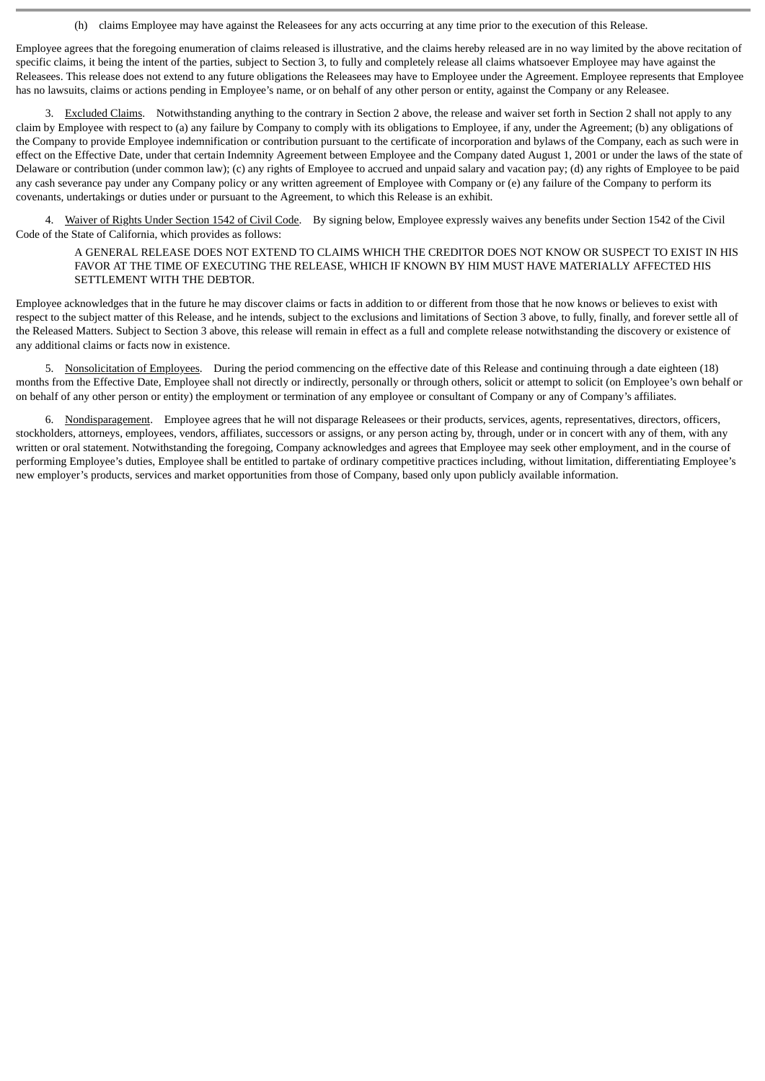(h) claims Employee may have against the Releasees for any acts occurring at any time prior to the execution of this Release.

Employee agrees that the foregoing enumeration of claims released is illustrative, and the claims hereby released are in no way limited by the above recitation of specific claims, it being the intent of the parties, subject to Section 3, to fully and completely release all claims whatsoever Employee may have against the Releasees. This release does not extend to any future obligations the Releasees may have to Employee under the Agreement. Employee represents that Employee has no lawsuits, claims or actions pending in Employee's name, or on behalf of any other person or entity, against the Company or any Releasee.

3. Excluded Claims. Notwithstanding anything to the contrary in Section 2 above, the release and waiver set forth in Section 2 shall not apply to any claim by Employee with respect to (a) any failure by Company to comply with its obligations to Employee, if any, under the Agreement; (b) any obligations of the Company to provide Employee indemnification or contribution pursuant to the certificate of incorporation and bylaws of the Company, each as such were in effect on the Effective Date, under that certain Indemnity Agreement between Employee and the Company dated August 1, 2001 or under the laws of the state of Delaware or contribution (under common law); (c) any rights of Employee to accrued and unpaid salary and vacation pay; (d) any rights of Employee to be paid any cash severance pay under any Company policy or any written agreement of Employee with Company or (e) any failure of the Company to perform its covenants, undertakings or duties under or pursuant to the Agreement, to which this Release is an exhibit.

4. Waiver of Rights Under Section 1542 of Civil Code. By signing below, Employee expressly waives any benefits under Section 1542 of the Civil Code of the State of California, which provides as follows:

A GENERAL RELEASE DOES NOT EXTEND TO CLAIMS WHICH THE CREDITOR DOES NOT KNOW OR SUSPECT TO EXIST IN HIS FAVOR AT THE TIME OF EXECUTING THE RELEASE, WHICH IF KNOWN BY HIM MUST HAVE MATERIALLY AFFECTED HIS SETTLEMENT WITH THE DEBTOR.

Employee acknowledges that in the future he may discover claims or facts in addition to or different from those that he now knows or believes to exist with respect to the subject matter of this Release, and he intends, subject to the exclusions and limitations of Section 3 above, to fully, finally, and forever settle all of the Released Matters. Subject to Section 3 above, this release will remain in effect as a full and complete release notwithstanding the discovery or existence of any additional claims or facts now in existence.

5. Nonsolicitation of Employees. During the period commencing on the effective date of this Release and continuing through a date eighteen (18) months from the Effective Date, Employee shall not directly or indirectly, personally or through others, solicit or attempt to solicit (on Employee's own behalf or on behalf of any other person or entity) the employment or termination of any employee or consultant of Company or any of Company's affiliates.

6. Nondisparagement. Employee agrees that he will not disparage Releasees or their products, services, agents, representatives, directors, officers, stockholders, attorneys, employees, vendors, affiliates, successors or assigns, or any person acting by, through, under or in concert with any of them, with any written or oral statement. Notwithstanding the foregoing, Company acknowledges and agrees that Employee may seek other employment, and in the course of performing Employee's duties, Employee shall be entitled to partake of ordinary competitive practices including, without limitation, differentiating Employee's new employer's products, services and market opportunities from those of Company, based only upon publicly available information.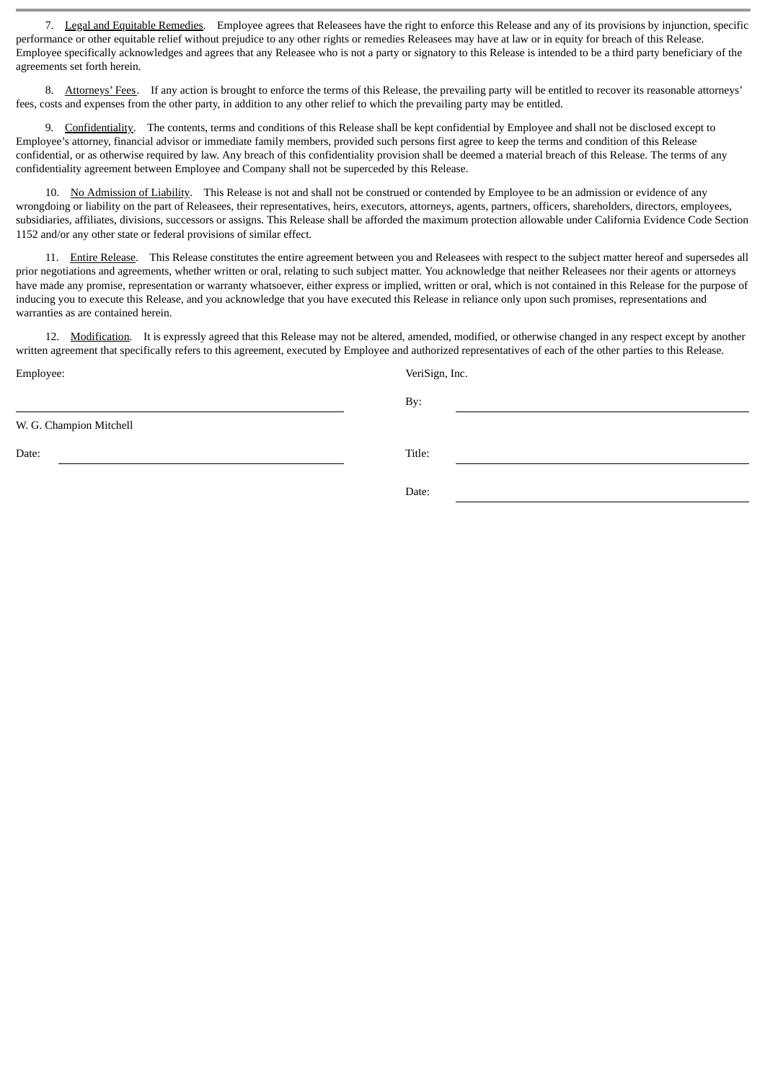7. Legal and Equitable Remedies. Employee agrees that Releasees have the right to enforce this Release and any of its provisions by injunction, specific performance or other equitable relief without prejudice to any other rights or remedies Releasees may have at law or in equity for breach of this Release. Employee specifically acknowledges and agrees that any Releasee who is not a party or signatory to this Release is intended to be a third party beneficiary of the agreements set forth herein.

8. Attorneys' Fees. If any action is brought to enforce the terms of this Release, the prevailing party will be entitled to recover its reasonable attorneys' fees, costs and expenses from the other party, in addition to any other relief to which the prevailing party may be entitled.

9. Confidentiality. The contents, terms and conditions of this Release shall be kept confidential by Employee and shall not be disclosed except to Employee's attorney, financial advisor or immediate family members, provided such persons first agree to keep the terms and condition of this Release confidential, or as otherwise required by law. Any breach of this confidentiality provision shall be deemed a material breach of this Release. The terms of any confidentiality agreement between Employee and Company shall not be superceded by this Release.

10. No Admission of Liability. This Release is not and shall not be construed or contended by Employee to be an admission or evidence of any wrongdoing or liability on the part of Releasees, their representatives, heirs, executors, attorneys, agents, partners, officers, shareholders, directors, employees, subsidiaries, affiliates, divisions, successors or assigns. This Release shall be afforded the maximum protection allowable under California Evidence Code Section 1152 and/or any other state or federal provisions of similar effect.

11. Entire Release. This Release constitutes the entire agreement between you and Releasees with respect to the subject matter hereof and supersedes all prior negotiations and agreements, whether written or oral, relating to such subject matter. You acknowledge that neither Releasees nor their agents or attorneys have made any promise, representation or warranty whatsoever, either express or implied, written or oral, which is not contained in this Release for the purpose of inducing you to execute this Release, and you acknowledge that you have executed this Release in reliance only upon such promises, representations and warranties as are contained herein.

12. Modification. It is expressly agreed that this Release may not be altered, amended, modified, or otherwise changed in any respect except by another written agreement that specifically refers to this agreement, executed by Employee and authorized representatives of each of the other parties to this Release.

Employee: VeriSign, Inc.

W. G. Champion Mitchell

Date: Title:

By:

Date: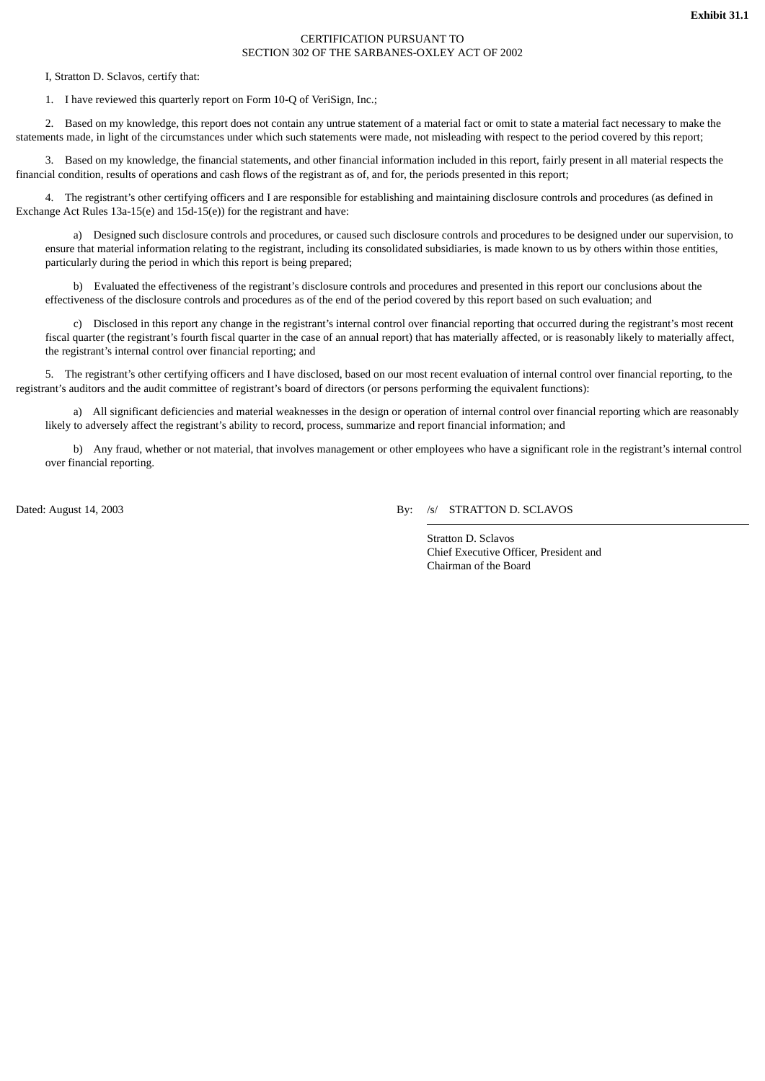# CERTIFICATION PURSUANT TO SECTION 302 OF THE SARBANES-OXLEY ACT OF 2002

I, Stratton D. Sclavos, certify that:

1. I have reviewed this quarterly report on Form 10-Q of VeriSign, Inc.;

2. Based on my knowledge, this report does not contain any untrue statement of a material fact or omit to state a material fact necessary to make the statements made, in light of the circumstances under which such statements were made, not misleading with respect to the period covered by this report;

3. Based on my knowledge, the financial statements, and other financial information included in this report, fairly present in all material respects the financial condition, results of operations and cash flows of the registrant as of, and for, the periods presented in this report;

4. The registrant's other certifying officers and I are responsible for establishing and maintaining disclosure controls and procedures (as defined in Exchange Act Rules 13a-15(e) and 15d-15(e)) for the registrant and have:

a) Designed such disclosure controls and procedures, or caused such disclosure controls and procedures to be designed under our supervision, to ensure that material information relating to the registrant, including its consolidated subsidiaries, is made known to us by others within those entities, particularly during the period in which this report is being prepared;

b) Evaluated the effectiveness of the registrant's disclosure controls and procedures and presented in this report our conclusions about the effectiveness of the disclosure controls and procedures as of the end of the period covered by this report based on such evaluation; and

c) Disclosed in this report any change in the registrant's internal control over financial reporting that occurred during the registrant's most recent fiscal quarter (the registrant's fourth fiscal quarter in the case of an annual report) that has materially affected, or is reasonably likely to materially affect, the registrant's internal control over financial reporting; and

5. The registrant's other certifying officers and I have disclosed, based on our most recent evaluation of internal control over financial reporting, to the registrant's auditors and the audit committee of registrant's board of directors (or persons performing the equivalent functions):

a) All significant deficiencies and material weaknesses in the design or operation of internal control over financial reporting which are reasonably likely to adversely affect the registrant's ability to record, process, summarize and report financial information; and

b) Any fraud, whether or not material, that involves management or other employees who have a significant role in the registrant's internal control over financial reporting.

Dated: August 14, 2003 **By:** /s/ STRATTON D. SCLAVOS

Stratton D. Sclavos Chief Executive Officer, President and Chairman of the Board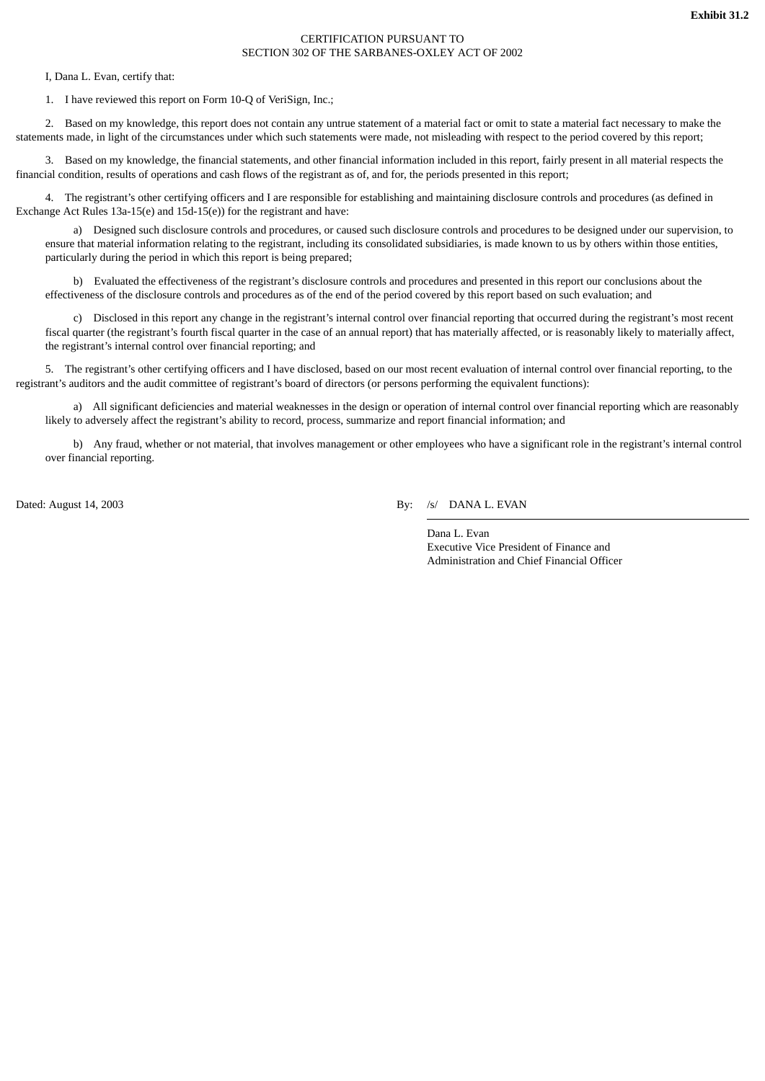# CERTIFICATION PURSUANT TO SECTION 302 OF THE SARBANES-OXLEY ACT OF 2002

I, Dana L. Evan, certify that:

1. I have reviewed this report on Form 10-Q of VeriSign, Inc.;

2. Based on my knowledge, this report does not contain any untrue statement of a material fact or omit to state a material fact necessary to make the statements made, in light of the circumstances under which such statements were made, not misleading with respect to the period covered by this report;

3. Based on my knowledge, the financial statements, and other financial information included in this report, fairly present in all material respects the financial condition, results of operations and cash flows of the registrant as of, and for, the periods presented in this report;

4. The registrant's other certifying officers and I are responsible for establishing and maintaining disclosure controls and procedures (as defined in Exchange Act Rules 13a-15(e) and 15d-15(e)) for the registrant and have:

a) Designed such disclosure controls and procedures, or caused such disclosure controls and procedures to be designed under our supervision, to ensure that material information relating to the registrant, including its consolidated subsidiaries, is made known to us by others within those entities, particularly during the period in which this report is being prepared;

b) Evaluated the effectiveness of the registrant's disclosure controls and procedures and presented in this report our conclusions about the effectiveness of the disclosure controls and procedures as of the end of the period covered by this report based on such evaluation; and

c) Disclosed in this report any change in the registrant's internal control over financial reporting that occurred during the registrant's most recent fiscal quarter (the registrant's fourth fiscal quarter in the case of an annual report) that has materially affected, or is reasonably likely to materially affect, the registrant's internal control over financial reporting; and

5. The registrant's other certifying officers and I have disclosed, based on our most recent evaluation of internal control over financial reporting, to the registrant's auditors and the audit committee of registrant's board of directors (or persons performing the equivalent functions):

a) All significant deficiencies and material weaknesses in the design or operation of internal control over financial reporting which are reasonably likely to adversely affect the registrant's ability to record, process, summarize and report financial information; and

b) Any fraud, whether or not material, that involves management or other employees who have a significant role in the registrant's internal control over financial reporting.

Dated: August 14, 2003 By: /s/ DANA L. EVAN

Dana L. Evan Executive Vice President of Finance and Administration and Chief Financial Officer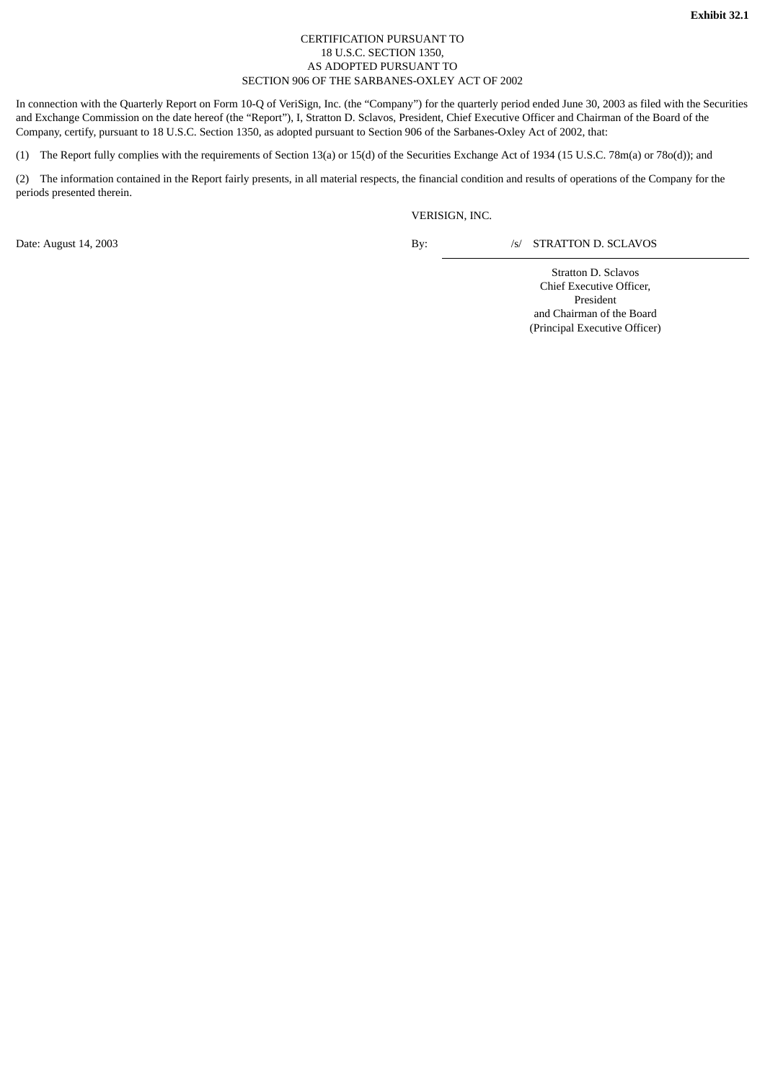# CERTIFICATION PURSUANT TO 18 U.S.C. SECTION 1350, AS ADOPTED PURSUANT TO SECTION 906 OF THE SARBANES-OXLEY ACT OF 2002

In connection with the Quarterly Report on Form 10-Q of VeriSign, Inc. (the "Company") for the quarterly period ended June 30, 2003 as filed with the Securities and Exchange Commission on the date hereof (the "Report"), I, Stratton D. Sclavos, President, Chief Executive Officer and Chairman of the Board of the Company, certify, pursuant to 18 U.S.C. Section 1350, as adopted pursuant to Section 906 of the Sarbanes-Oxley Act of 2002, that:

(1) The Report fully complies with the requirements of Section 13(a) or 15(d) of the Securities Exchange Act of 1934 (15 U.S.C. 78m(a) or 78o(d)); and

(2) The information contained in the Report fairly presents, in all material respects, the financial condition and results of operations of the Company for the periods presented therein.

#### VERISIGN, INC.

Date: August 14, 2003 By: /s/ STRATTON D. SCLAVOS

Stratton D. Sclavos Chief Executive Officer, President and Chairman of the Board (Principal Executive Officer)